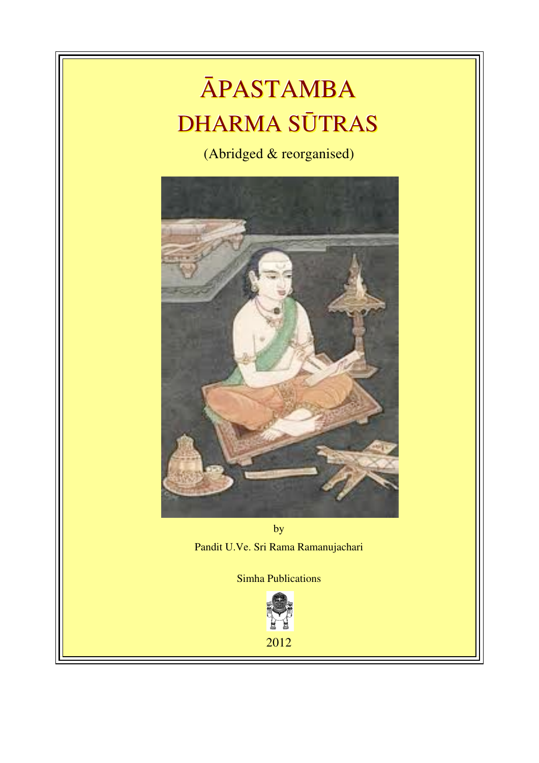# ĀPASTAMBA DHARMA SŪTRAS

(Abridged & reorganised)



by Pandit U.Ve. Sri Rama Ramanujachari

Simha Publications



2012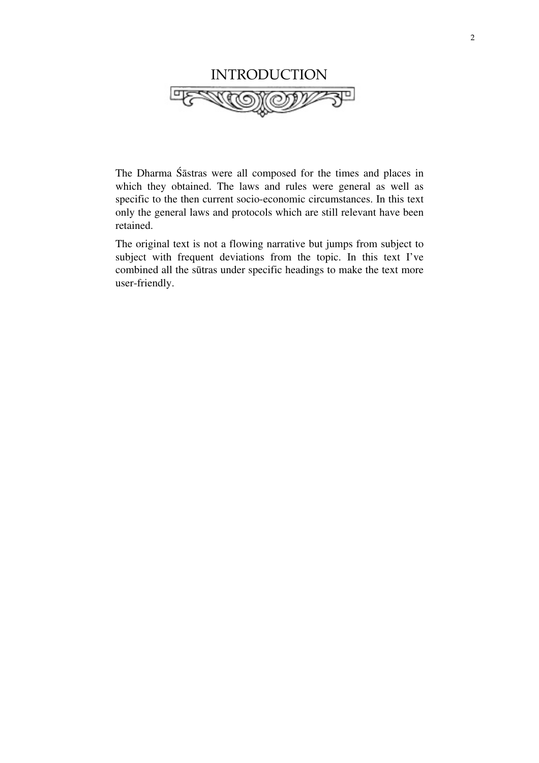

The Dharma Śāstras were all composed for the times and places in which they obtained. The laws and rules were general as well as specific to the then current socio-economic circumstances. In this text only the general laws and protocols which are still relevant have been retained.

The original text is not a flowing narrative but jumps from subject to subject with frequent deviations from the topic. In this text I've combined all the sūtras under specific headings to make the text more user-friendly.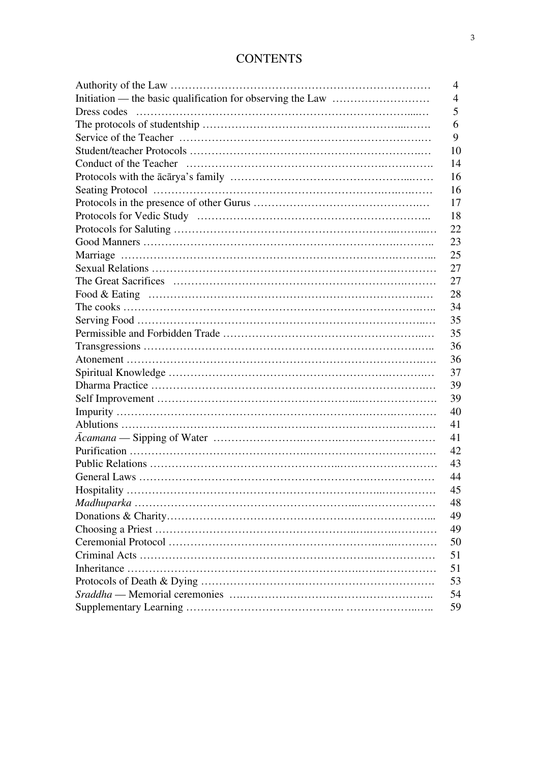# **CONTENTS**

| $\overline{4}$ |
|----------------|
| $\overline{4}$ |
| 5              |
| 6              |
| 9              |
| 10             |
| 14             |
| 16             |
| 16             |
| 17             |
| 18             |
| 22             |
| 23             |
| 25             |
| 27             |
| 27             |
| 28             |
| 34             |
| 35             |
| 35             |
| 36             |
| 36             |
| 37             |
| 39             |
| 39             |
| 40             |
| 41             |
| 41             |
| 42             |
| 43             |
| 44             |
| 45             |
| 48             |
| 49             |
| 49             |
| 50             |
| 51             |
| 51             |
| 53             |
| 54             |
| 59             |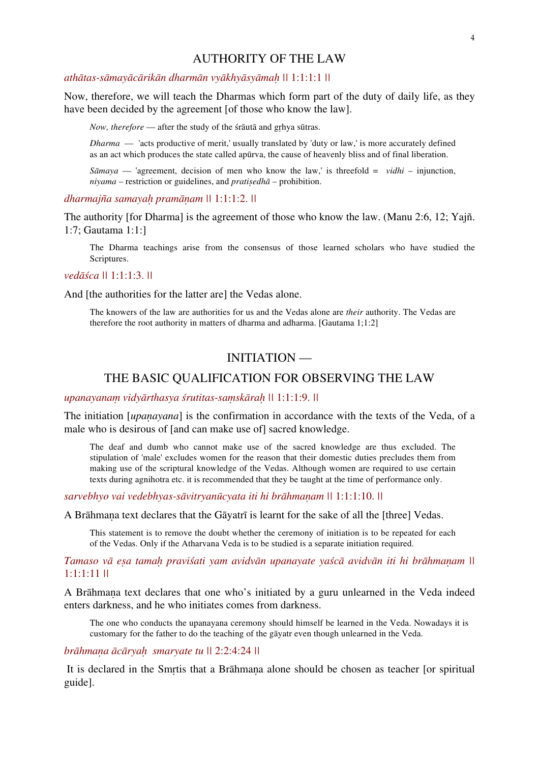# AUTHORITY OF THE LAW

# *athātas-sāmayācārikān dharmān vyākhyāsyāmaḥ ||* 1:1:1:1 *||*

Now, therefore, we will teach the Dharmas which form part of the duty of daily life, as they have been decided by the agreement [of those who know the law].

*Now, therefore* — after the study of the śrāutā and gṛhya sūtras.

*Dharma* — 'acts productive of merit,' usually translated by 'duty or law,' is more accurately defined as an act which produces the state called apūrva, the cause of heavenly bliss and of final liberation.

*S* $\bar{\alpha}$ *maya* — 'agreement, decision of men who know the law,' is threefold = *vidhi* – injunction, *niyama* – restriction or guidelines, and *pratiṣedhā* – prohibition.

*dharmajña samayaḥ pramāṇam ||* 1:1:1:2. *||*

The authority [for Dharma] is the agreement of those who know the law. (Manu 2:6, 12; Yajñ. 1:7; Gautama 1:1:]

The Dharma teachings arise from the consensus of those learned scholars who have studied the Scriptures.

*vedāśca ||* 1:1:1:3. *||*

And [the authorities for the latter are] the Vedas alone.

The knowers of the law are authorities for us and the Vedas alone are *their* authority. The Vedas are therefore the root authority in matters of dharma and adharma. [Gautama 1;1:2]

# INITIATION —

## THE BASIC QUALIFICATION FOR OBSERVING THE LAW

## *upanayanaṃ vidyārthasya śrutitas-saṃskāraḥ ||* 1:1:1:9. *||*

The initiation [*upanayana*] is the confirmation in accordance with the texts of the Veda, of a male who is desirous of [and can make use of] sacred knowledge.

The deaf and dumb who cannot make use of the sacred knowledge are thus excluded. The stipulation of 'male' excludes women for the reason that their domestic duties precludes them from making use of the scriptural knowledge of the Vedas. Although women are required to use certain texts during agnihotra etc. it is recommended that they be taught at the time of performance only.

*sarvebhyo vai vedebhyas-sāvitryanūcyata iti hi brāhmaṇam ||* 1:1:1:10. *||*

A Brāhmaṇa text declares that the Gāyatrī is learnt for the sake of all the [three] Vedas.

This statement is to remove the doubt whether the ceremony of initiation is to be repeated for each of the Vedas. Only if the Atharvana Veda is to be studied is a separate initiation required.

## Tamaso vā esa tamah pravišati vam avidvān upanavate vašcā avidvān iti hi brāhmanam \\ 1:1:1:11 *||*

A Brāhmaṇa text declares that one who's initiated by a guru unlearned in the Veda indeed enters darkness, and he who initiates comes from darkness.

The one who conducts the upanayana ceremony should himself be learned in the Veda. Nowadays it is customary for the father to do the teaching of the gāyatr even though unlearned in the Veda.

## *brāhmaṇa ācāryaḥ smaryate tu ||* 2:2:4:24 *||*

It is declared in the Smrtis that a Brāhmana alone should be chosen as teacher [or spiritual] guide].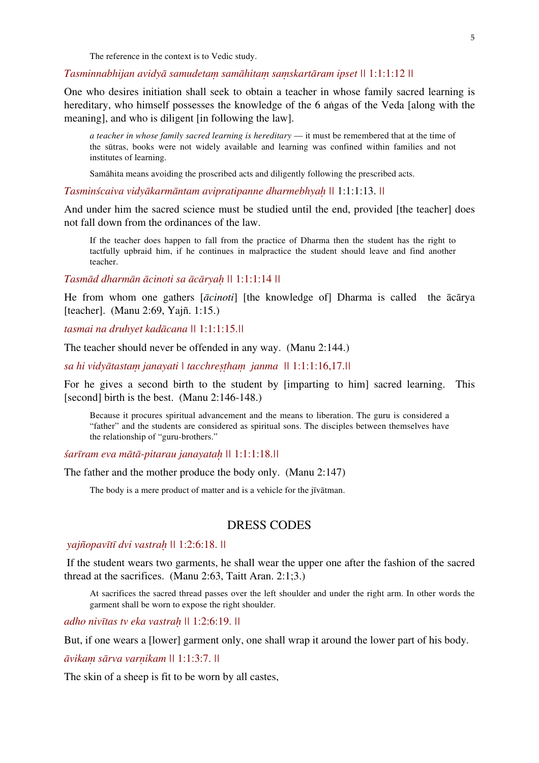The reference in the context is to Vedic study.

#### *Tasminnabhijan avidyā samudetaṃ samāhitaṃ saṃskartāram ipset ||* 1:1:1:12 *||*

One who desires initiation shall seek to obtain a teacher in whose family sacred learning is hereditary, who himself possesses the knowledge of the 6 aṅgas of the Veda [along with the meaning], and who is diligent [in following the law].

*a teacher in whose family sacred learning is hereditary* — it must be remembered that at the time of the sūtras, books were not widely available and learning was confined within families and not institutes of learning.

Samāhita means avoiding the proscribed acts and diligently following the prescribed acts.

#### *Tasminścaiva vidyākarmāntam avipratipanne dharmebhyaḥ ||* 1:1:1:13. *||*

And under him the sacred science must be studied until the end, provided [the teacher] does not fall down from the ordinances of the law.

If the teacher does happen to fall from the practice of Dharma then the student has the right to tactfully upbraid him, if he continues in malpractice the student should leave and find another teacher.

*Tasmād dharmān ācinoti sa ācāryaḥ ||* 1:1:1:14 *||*

He from whom one gathers [*ācinoti*] [the knowledge of] Dharma is called the ācārya [teacher]. (Manu 2:69, Yajñ. 1:15.)

*tasmai na druhyet kadācana ||* 1:1:1:15.*||*

The teacher should never be offended in any way. (Manu 2:144.)

*sa hi vidyātastaṃ janayati | tacchreṣṭhaṃ janma ||* 1:1:1:16,17.*||*

For he gives a second birth to the student by [imparting to him] sacred learning. This [second] birth is the best. (Manu 2:146-148.)

Because it procures spiritual advancement and the means to liberation. The guru is considered a "father" and the students are considered as spiritual sons. The disciples between themselves have the relationship of "guru-brothers."

*śarīram eva mātā-pitarau janayataḥ ||* 1:1:1:18.*||*

The father and the mother produce the body only. (Manu 2:147)

The body is a mere product of matter and is a vehicle for the jīvātman.

# DRESS CODES

#### *yajñopavītī dvi vastraḥ ||* 1:2:6:18. *||*

 If the student wears two garments, he shall wear the upper one after the fashion of the sacred thread at the sacrifices. (Manu 2:63, Taitt Aran. 2:1;3.)

At sacrifices the sacred thread passes over the left shoulder and under the right arm. In other words the garment shall be worn to expose the right shoulder.

*adho nivītas tv eka vastraḥ ||* 1:2:6:19. *||*

But, if one wears a [lower] garment only, one shall wrap it around the lower part of his body.

*āvikaṃ sārva varṇikam ||* 1:1:3:7. *||*

The skin of a sheep is fit to be worn by all castes,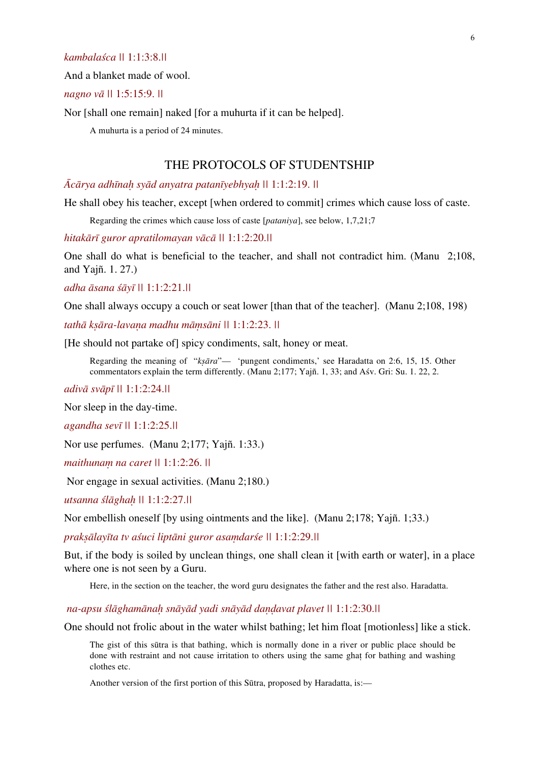## *kambalaśca ||* 1:1:3:8.*||*

And a blanket made of wool.

## *nagno vā ||* 1:5:15:9. *||*

Nor [shall one remain] naked [for a muhurta if it can be helped].

A muhurta is a period of 24 minutes.

# THE PROTOCOLS OF STUDENTSHIP

#### *Ācārya adhīnaḥ syād anyatra patanīyebhyaḥ ||* 1:1:2:19. *||*

He shall obey his teacher, except [when ordered to commit] crimes which cause loss of caste.

Regarding the crimes which cause loss of caste [*pataniya*], see below, 1,7,21;7

*hitakārī guror apratilomayan vācā ||* 1:1:2:20.*||*

One shall do what is beneficial to the teacher, and shall not contradict him. (Manu 2;108, and Yajñ. 1. 27.)

*adha āsana śāyī ||* 1:1:2:21.*||*

One shall always occupy a couch or seat lower [than that of the teacher]. (Manu 2;108, 198)

*tathā kṣāra-lavaṇa madhu māṃsāni ||* 1:1:2:23. *||*

[He should not partake of] spicy condiments, salt, honey or meat.

Regarding the meaning of "*kṣāra*"— 'pungent condiments,' see Haradatta on 2:6, 15, 15. Other commentators explain the term differently. (Manu 2;177; Yajñ. 1, 33; and Aśv. Gri: Su. 1. 22, 2.

*adivā svāpī ||* 1:1:2:24.*||* 

Nor sleep in the day-time.

*agandha sevī ||* 1:1:2:25.*||* 

Nor use perfumes. (Manu 2;177; Yajñ. 1:33.)

*maithunaṃ na caret ||* 1:1:2:26. *||* 

Nor engage in sexual activities. (Manu 2;180.)

*utsanna ślāghaḥ ||* 1:1:2:27.*||* 

Nor embellish oneself [by using ointments and the like]. (Manu 2;178; Yajñ. 1;33.)

*prakṣālayīta tv aśuci liptāni guror asaṃdarśe ||* 1:1:2:29.*||*

But, if the body is soiled by unclean things, one shall clean it [with earth or water], in a place where one is not seen by a Guru.

Here, in the section on the teacher, the word guru designates the father and the rest also. Haradatta.

 *na-apsu ślāghamānaḥ snāyād yadi snāyād daṇḍavat plavet ||* 1:1:2:30.*||*

One should not frolic about in the water whilst bathing; let him float [motionless] like a stick.

The gist of this sūtra is that bathing, which is normally done in a river or public place should be done with restraint and not cause irritation to others using the same ghaṭ for bathing and washing clothes etc.

Another version of the first portion of this Sūtra, proposed by Haradatta, is:—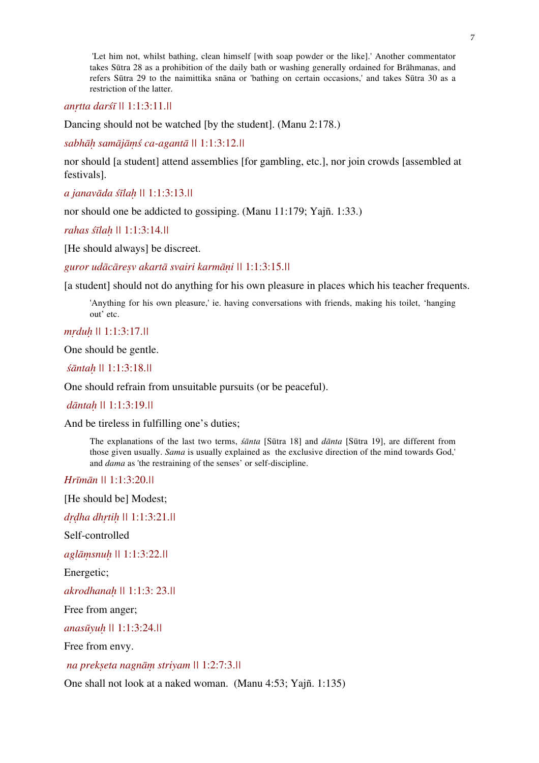'Let him not, whilst bathing, clean himself [with soap powder or the like].' Another commentator takes Sūtra 28 as a prohibition of the daily bath or washing generally ordained for Brāhmanas, and refers Sūtra 29 to the naimittika snāna or 'bathing on certain occasions,' and takes Sūtra 30 as a restriction of the latter.

*anṛtta darśī ||* 1:1:3:11.*||*

Dancing should not be watched [by the student]. (Manu 2:178.)

*sabhāḥ samājāṃś ca-agantā ||* 1:1:3:12.*||*

nor should [a student] attend assemblies [for gambling, etc.], nor join crowds [assembled at festivals].

*a janavāda śīlaḥ ||* 1:1:3:13.*||*

nor should one be addicted to gossiping. (Manu 11:179; Yajñ. 1:33.)

*rahas śīlaḥ ||* 1:1:3:14.*||*

[He should always] be discreet.

*guror udācāreṣv akartā svairi karmāṇi ||* 1:1:3:15.*||*

[a student] should not do anything for his own pleasure in places which his teacher frequents.

'Anything for his own pleasure,' ie. having conversations with friends, making his toilet, 'hanging out' etc.

*mṛduḥ ||* 1:1:3:17.*||*

One should be gentle.

*śāntaḥ ||* 1:1:3:18.*||* 

One should refrain from unsuitable pursuits (or be peaceful).

 *dāntaḥ ||* 1:1:3:19.*||*

And be tireless in fulfilling one's duties;

The explanations of the last two terms, *śānta* [Sūtra 18] and *dānta* [Sūtra 19], are different from those given usually. *Sama* is usually explained as the exclusive direction of the mind towards God,' and *dama* as 'the restraining of the senses' or self-discipline.

*Hrīmān ||* 1:1:3:20.*||* 

[He should be] Modest;

*dṛḍha dhṛtiḥ ||* 1:1:3:21.*||*

Self-controlled

*aglāṃsnuḥ ||* 1:1:3:22.*||*

Energetic;

*akrodhanaḥ ||* 1:1:3: 23.*||*

Free from anger;

*anasūyuḥ ||* 1:1:3:24.*||*

Free from envy.

 *na prekṣeta nagnāṃ striyam ||* 1:2:7:3.*||* 

One shall not look at a naked woman. (Manu 4:53; Yajñ. 1:135)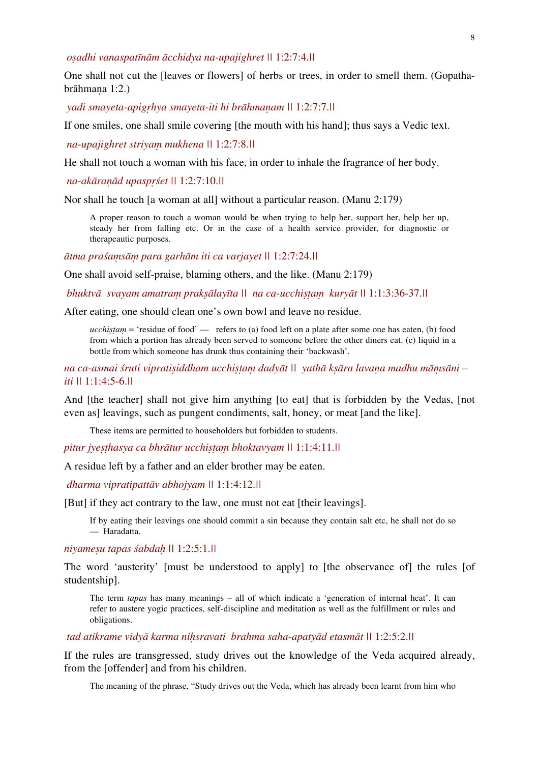*oṣadhi vanaspatīnām ācchidya na-upajighret ||* 1:2:7:4.*||* 

One shall not cut the [leaves or flowers] of herbs or trees, in order to smell them. (Gopathabrāhmaṇa 1:2.)

 *yadi smayeta-apigṛhya smayeta-iti hi brāhmaṇam ||* 1:2:7:7.*||* 

If one smiles, one shall smile covering [the mouth with his hand]; thus says a Vedic text.

 *na-upajighret striyaṃ mukhena ||* 1:2:7:8.*||*

He shall not touch a woman with his face, in order to inhale the fragrance of her body.

 *na-akāraṇād upaspṛśet ||* 1:2:7:10.*||* 

Nor shall he touch [a woman at all] without a particular reason. (Manu 2:179)

A proper reason to touch a woman would be when trying to help her, support her, help her up, steady her from falling etc. Or in the case of a health service provider, for diagnostic or therapeautic purposes.

*ātma praśaṃsāṃ para garhām iti ca varjayet ||* 1:2:7:24.*||* 

One shall avoid self-praise, blaming others, and the like. (Manu 2:179)

 *bhuktvā svayam amatraṃ prakṣālayīta || na ca-ucchiṣṭaṃ kuryāt ||* 1:1:3:36-37.*||*

After eating, one should clean one's own bowl and leave no residue.

 $\mu$ *ucchistam* = 'residue of food' — refers to (a) food left on a plate after some one has eaten, (b) food from which a portion has already been served to someone before the other diners eat. (c) liquid in a bottle from which someone has drunk thus containing their 'backwash'.

na ca-asmai śruti vipratisiddham ucchistam dadyāt || yathā ksāra lavana madhu māmsāni *iti ||* 1:1:4:5-6.*||*

And [the teacher] shall not give him anything [to eat] that is forbidden by the Vedas, [not even as] leavings, such as pungent condiments, salt, honey, or meat [and the like].

These items are permitted to householders but forbidden to students.

*pitur jyeṣṭhasya ca bhrātur ucchiṣṭaṃ bhoktavyam ||* 1:1:4:11.*||* 

A residue left by a father and an elder brother may be eaten.

 *dharma vipratipattāv abhojyam ||* 1:1:4:12.*||*

[But] if they act contrary to the law, one must not eat [their leavings].

If by eating their leavings one should commit a sin because they contain salt etc, he shall not do so — Haradatta.

*niyameṣu tapas śabdaḥ ||* 1:2:5:1.*||* 

The word 'austerity' [must be understood to apply] to [the observance of] the rules [of studentship].

The term *tapas* has many meanings – all of which indicate a 'generation of internal heat'. It can refer to austere yogic practices, self-discipline and meditation as well as the fulfillment or rules and obligations.

 *tad atikrame vidyā karma niḥsravati brahma saha-apatyād etasmāt ||* 1:2:5:2.*||* 

If the rules are transgressed, study drives out the knowledge of the Veda acquired already, from the [offender] and from his children.

The meaning of the phrase, "Study drives out the Veda, which has already been learnt from him who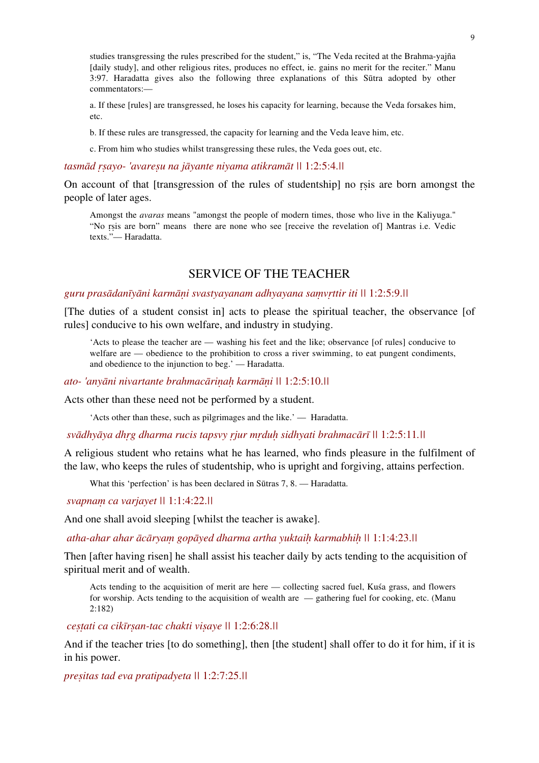studies transgressing the rules prescribed for the student," is, "The Veda recited at the Brahma-yajña [daily study], and other religious rites, produces no effect, ie. gains no merit for the reciter." Manu 3:97. Haradatta gives also the following three explanations of this Sūtra adopted by other commentators:—

a. If these [rules] are transgressed, he loses his capacity for learning, because the Veda forsakes him, etc.

b. If these rules are transgressed, the capacity for learning and the Veda leave him, etc.

c. From him who studies whilst transgressing these rules, the Veda goes out, etc.

*tasmād ṛṣayo- 'avareṣu na jāyante niyama atikramāt ||* 1:2:5:4.*||* 

On account of that [transgression of the rules of studentship] no rsis are born amongst the people of later ages.

Amongst the *avaras* means "amongst the people of modern times, those who live in the Kaliyuga." "No rsis are born" means there are none who see [receive the revelation of] Mantras i.e. Vedic texts."— Haradatta.

# SERVICE OF THE TEACHER

#### *guru prasādanīyāni karmāṇi svastyayanam adhyayana saṃvṛttir iti ||* 1:2:5:9.*||*

[The duties of a student consist in] acts to please the spiritual teacher, the observance [of rules] conducive to his own welfare, and industry in studying.

'Acts to please the teacher are — washing his feet and the like; observance [of rules] conducive to welfare are — obedience to the prohibition to cross a river swimming, to eat pungent condiments, and obedience to the injunction to beg.' — Haradatta.

*ato- 'anyāni nivartante brahmacāriṇaḥ karmāṇi ||* 1:2:5:10.*||* 

Acts other than these need not be performed by a student.

'Acts other than these, such as pilgrimages and the like.' — Haradatta.

 *svādhyāya dhṛg dharma rucis tapsvy ṛjur mṛduḥ sidhyati brahmacārī ||* 1:2:5:11*.||*

A religious student who retains what he has learned, who finds pleasure in the fulfilment of the law, who keeps the rules of studentship, who is upright and forgiving, attains perfection.

What this 'perfection' is has been declared in Sūtras 7, 8. — Haradatta.

 *svapnaṃ ca varjayet ||* 1:1:4:22.*||* 

And one shall avoid sleeping [whilst the teacher is awake].

 *atha-ahar ahar ācāryaṃ gopāyed dharma artha yuktaiḥ karmabhiḥ ||* 1:1:4:23.*||* 

Then [after having risen] he shall assist his teacher daily by acts tending to the acquisition of spiritual merit and of wealth.

Acts tending to the acquisition of merit are here — collecting sacred fuel, Kuśa grass, and flowers for worship. Acts tending to the acquisition of wealth are — gathering fuel for cooking, etc. (Manu 2:182)

 *ceṣṭati ca cikīrṣan-tac chakti viṣaye ||* 1:2:6:28.*||* 

And if the teacher tries [to do something], then [the student] shall offer to do it for him, if it is in his power.

*preṣitas tad eva pratipadyeta ||* 1:2:7:25.*||*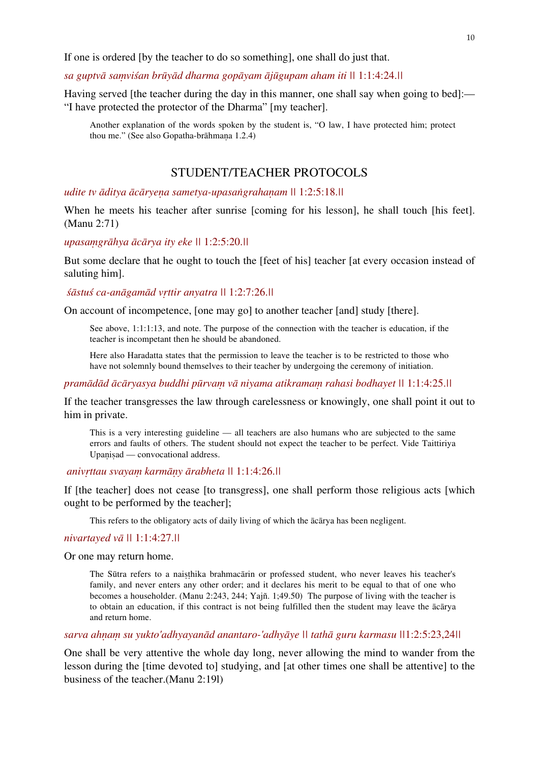If one is ordered [by the teacher to do so something], one shall do just that.

## *sa guptvā saṃviśan brūyād dharma gopāyam ājūgupam aham iti ||* 1:1:4:24.*||*

Having served [the teacher during the day in this manner, one shall say when going to bed]:— "I have protected the protector of the Dharma" [my teacher].

Another explanation of the words spoken by the student is, "O law, I have protected him; protect thou me." (See also Gopatha-brāhmana 1.2.4)

# STUDENT/TEACHER PROTOCOLS

*udite tv āditya ācāryeṇa sametya-upasaṅgrahaṇam ||* 1:2:5:18.*||*

When he meets his teacher after sunrise [coming for his lesson], he shall touch [his feet]. (Manu 2:71)

*upasaṃgrāhya ācārya ity eke ||* 1:2:5:20.*||* 

But some declare that he ought to touch the [feet of his] teacher [at every occasion instead of saluting him].

*śāstuś ca-anāgamād vṛttir anyatra ||* 1:2:7:26.*||* 

On account of incompetence, [one may go] to another teacher [and] study [there].

See above, 1:1:1:13, and note. The purpose of the connection with the teacher is education, if the teacher is incompetant then he should be abandoned.

Here also Haradatta states that the permission to leave the teacher is to be restricted to those who have not solemnly bound themselves to their teacher by undergoing the ceremony of initiation.

*pramādād ācāryasya buddhi pūrvaṃ vā niyama atikramaṃ rahasi bodhayet ||* 1:1:4:25.*||* 

If the teacher transgresses the law through carelessness or knowingly, one shall point it out to him in private.

This is a very interesting guideline — all teachers are also humans who are subjected to the same errors and faults of others. The student should not expect the teacher to be perfect. Vide Taittiriya Upanisad — convocational address.

 *anivṛttau svayaṃ karmāṇy ārabheta ||* 1:1:4:26.*||*

If [the teacher] does not cease [to transgress], one shall perform those religious acts [which ought to be performed by the teacher];

This refers to the obligatory acts of daily living of which the ācārya has been negligent.

#### *nivartayed vā ||* 1:1:4:27.*||*

Or one may return home.

The Sūtra refers to a naiṣṭhika brahmacārin or professed student, who never leaves his teacher's family, and never enters any other order; and it declares his merit to be equal to that of one who becomes a householder. (Manu 2:243, 244; Yajñ. 1;49.50) The purpose of living with the teacher is to obtain an education, if this contract is not being fulfilled then the student may leave the ācārya and return home.

*sarva ahṇaṃ su yukto'adhyayanād anantaro-'adhyāye || tathā guru karmasu ||*1:2:5:23,24*||* 

One shall be very attentive the whole day long, never allowing the mind to wander from the lesson during the [time devoted to] studying, and [at other times one shall be attentive] to the business of the teacher.(Manu 2:19l)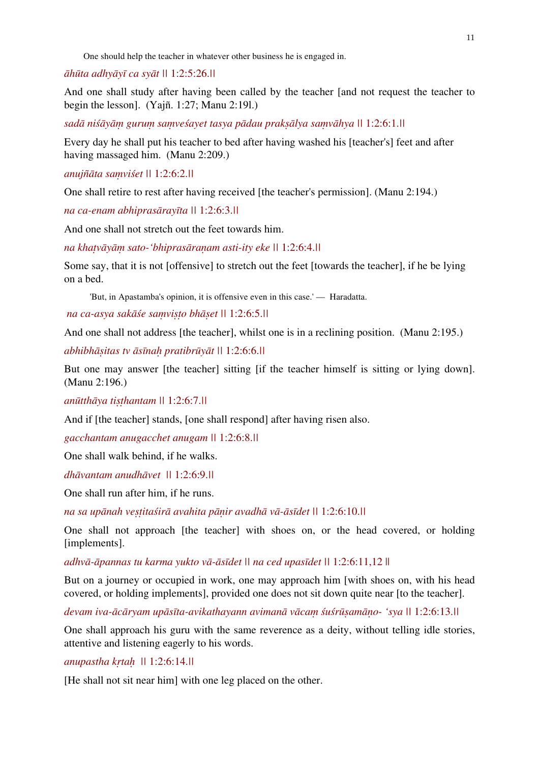One should help the teacher in whatever other business he is engaged in.

*āhūta adhyāyī ca syāt ||* 1:2:5:26.*||* 

And one shall study after having been called by the teacher [and not request the teacher to begin the lesson]. (Yajñ. 1:27; Manu 2:19l.)

sadā niśāyām gurum samveśayet tasya pādau praksālya samvāhya || 1:2:6:1.||

Every day he shall put his teacher to bed after having washed his [teacher's] feet and after having massaged him. (Manu 2:209.)

*anujñāta saṃviśet ||* 1:2:6:2.*||*

One shall retire to rest after having received [the teacher's permission]. (Manu 2:194.)

*na ca-enam abhiprasārayīta ||* 1:2:6:3.*||* 

And one shall not stretch out the feet towards him.

*na khaṭvāyāṃ sato-'bhiprasāraṇam asti-ity eke ||* 1:2:6:4.*||* 

Some say, that it is not [offensive] to stretch out the feet [towards the teacher], if he be lying on a bed.

'But, in Apastamba's opinion, it is offensive even in this case.' — Haradatta.

 *na ca-asya sakāśe saṃviṣṭo bhāṣet ||* 1:2:6:5.*||* 

And one shall not address [the teacher], whilst one is in a reclining position. (Manu 2:195.)

*abhibhāṣitas tv āsīnaḥ pratibrūyāt ||* 1:2:6:6.*||* 

But one may answer [the teacher] sitting [if the teacher himself is sitting or lying down]. (Manu 2:196.)

*anūtthāya tiṣṭhantam ||* 1:2:6:7.*||*

And if [the teacher] stands, [one shall respond] after having risen also.

*gacchantam anugacchet anugam ||* 1:2:6:8.*||* 

One shall walk behind, if he walks.

*dhāvantam anudhāvet ||* 1:2:6:9.*||*

One shall run after him, if he runs.

*na sa upānah veṣṭitaśirā avahita pāṇir avadhā vā-āsīdet ||* 1:2:6:10.*||* 

One shall not approach [the teacher] with shoes on, or the head covered, or holding [implements].

*adhvā-āpannas tu karma yukto vā-āsīdet || na ced upasīdet ||* 1:2:6:11,12 ||

But on a journey or occupied in work, one may approach him [with shoes on, with his head covered, or holding implements], provided one does not sit down quite near [to the teacher].

devam iva-ācāryam upāsīta-avikathayann avimanā vācam śuśrūsamāno- 'sya || 1:2:6:13.||

One shall approach his guru with the same reverence as a deity, without telling idle stories, attentive and listening eagerly to his words.

## *anupastha kṛtaḥ ||* 1:2:6:14.*||*

[He shall not sit near him] with one leg placed on the other.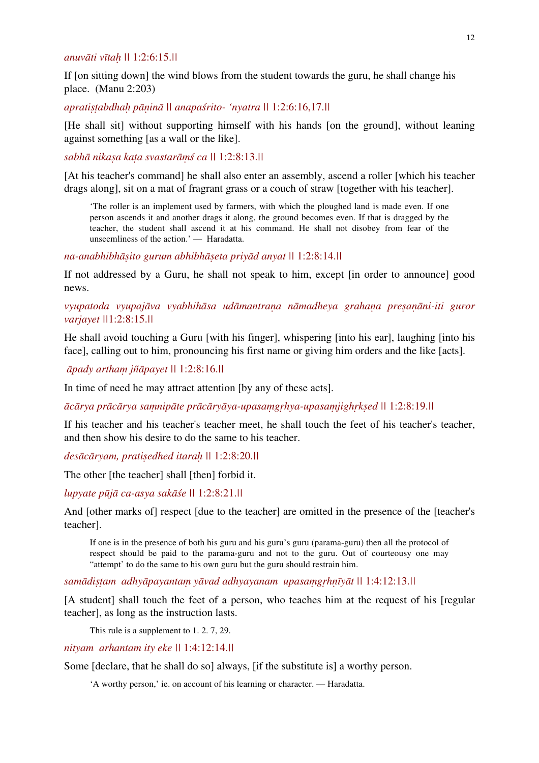## *anuvāti vītaḥ ||* 1:2:6:15.*||*

If [on sitting down] the wind blows from the student towards the guru, he shall change his place. (Manu 2:203)

*apratiṣṭabdhaḥ pāṇinā || anapaśrito- 'nyatra ||* 1:2:6:16,17.*||*

[He shall sit] without supporting himself with his hands [on the ground], without leaning against something [as a wall or the like].

*sabhā nikaṣa kaṭa svastarāṃś ca ||* 1:2:8:13.*||*

[At his teacher's command] he shall also enter an assembly, ascend a roller [which his teacher drags along], sit on a mat of fragrant grass or a couch of straw [together with his teacher].

'The roller is an implement used by farmers, with which the ploughed land is made even. If one person ascends it and another drags it along, the ground becomes even. If that is dragged by the teacher, the student shall ascend it at his command. He shall not disobey from fear of the unseemliness of the action.' — Haradatta.

*na-anabhibhāṣito gurum abhibhāṣeta priyād anyat ||* 1:2:8:14.*||* 

If not addressed by a Guru, he shall not speak to him, except [in order to announce] good news.

# *vyupatoda vyupajāva vyabhihāsa udāmantraṇa nāmadheya grahaṇa preṣaṇāni-iti guror varjayet ||*1:2:8:15.*||*

He shall avoid touching a Guru [with his finger], whispering [into his ear], laughing [into his face], calling out to him, pronouncing his first name or giving him orders and the like [acts].

*āpady arthaṃ jñāpayet ||* 1:2:8:16.*||* 

In time of need he may attract attention [by any of these acts].

ācārya prācārya samnipāte prācāryāya-upasamgrhya-upasamjighrksed || 1:2:8:19.||

If his teacher and his teacher's teacher meet, he shall touch the feet of his teacher's teacher, and then show his desire to do the same to his teacher.

*desācāryam, pratiṣedhed itaraḥ ||* 1:2:8:20.*||*

The other [the teacher] shall [then] forbid it.

*lupyate pūjā ca-asya sakāśe ||* 1:2:8:21.*||* 

And [other marks of] respect [due to the teacher] are omitted in the presence of the [teacher's teacher].

If one is in the presence of both his guru and his guru's guru (parama-guru) then all the protocol of respect should be paid to the parama-guru and not to the guru. Out of courteousy one may "attempt' to do the same to his own guru but the guru should restrain him.

*samādiṣṭam adhyāpayantaṃ yāvad adhyayanam upasaṃgṛhṇīyāt ||* 1:4:12:13.*||* 

[A student] shall touch the feet of a person, who teaches him at the request of his [regular] teacher], as long as the instruction lasts.

This rule is a supplement to 1. 2. 7, 29.

*nityam arhantam ity eke ||* 1:4:12:14.*||*

Some [declare, that he shall do so] always, [if the substitute is] a worthy person.

'A worthy person,' ie. on account of his learning or character. — Haradatta.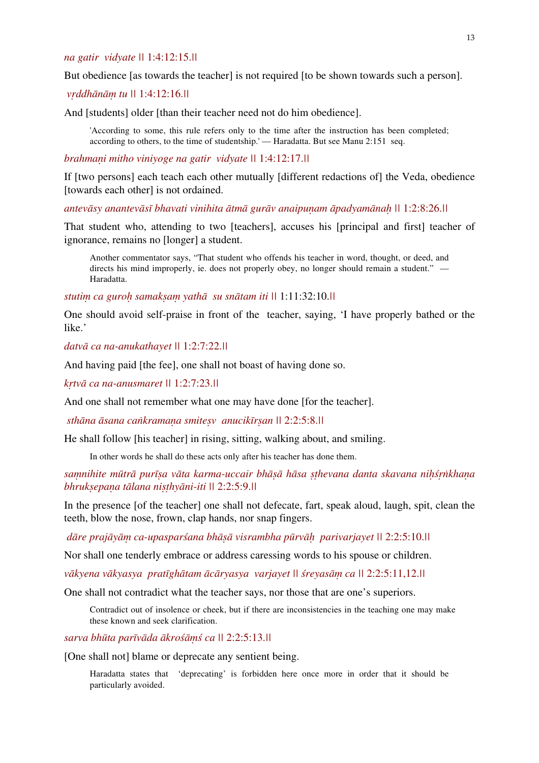## *na gatir vidyate ||* 1:4:12:15.*||*

But obedience [as towards the teacher] is not required [to be shown towards such a person].

## *vṛddhānāṃ tu ||* 1:4:12:16.*||*

And [students] older [than their teacher need not do him obedience].

'According to some, this rule refers only to the time after the instruction has been completed; according to others, to the time of studentship.' — Haradatta. But see Manu 2:151 seq.

## *brahmaṇi mitho viniyoge na gatir vidyate ||* 1:4:12:17.*||*

If [two persons] each teach each other mutually [different redactions of] the Veda, obedience [towards each other] is not ordained.

antevāsy anantevāsī bhavati vinihita ātmā gurāv anaipunam āpadyamānah || 1:2:8:26.||

That student who, attending to two [teachers], accuses his [principal and first] teacher of ignorance, remains no [longer] a student.

Another commentator says, "That student who offends his teacher in word, thought, or deed, and directs his mind improperly, ie. does not properly obey, no longer should remain a student." — Haradatta.

*stutiṃ ca guroḥ samakṣaṃ yathā su snātam iti ||* 1:11:32:10.*||*

One should avoid self-praise in front of the teacher, saying, 'I have properly bathed or the like.'

*datvā ca na-anukathayet ||* 1:2:7:22.*||*

And having paid [the fee], one shall not boast of having done so.

*kṛtvā ca na-anusmaret ||* 1:2:7:23.*||* 

And one shall not remember what one may have done [for the teacher].

 *sthāna āsana caṅkramaṇa smiteṣv anucikīrṣan ||* 2:2:5:8.*||* 

He shall follow [his teacher] in rising, sitting, walking about, and smiling.

In other words he shall do these acts only after his teacher has done them.

samnihite mūtrā purīsa vāta karma-uccair bhāsā hāsa sthevana danta skavana nihśrnkhana *bhrukṣepaṇa tālana niṣṭhyāni-iti ||* 2:2:5:9.*||*

In the presence [of the teacher] one shall not defecate, fart, speak aloud, laugh, spit, clean the teeth, blow the nose, frown, clap hands, nor snap fingers.

 *dāre prajāyāṃ ca-upasparśana bhāṣā visrambha pūrvāḥ parivarjayet ||* 2:2:5:10.*||* 

Nor shall one tenderly embrace or address caressing words to his spouse or children.

*vākyena vākyasya pratīghātam ācāryasya varjayet || śreyasāṃ ca ||* 2:2:5:11,12.*||*

One shall not contradict what the teacher says, nor those that are one's superiors.

Contradict out of insolence or cheek, but if there are inconsistencies in the teaching one may make these known and seek clarification.

*sarva bhūta parīvāda ākrośāṃś ca ||* 2:2:5:13.*||* 

[One shall not] blame or deprecate any sentient being.

Haradatta states that 'deprecating' is forbidden here once more in order that it should be particularly avoided.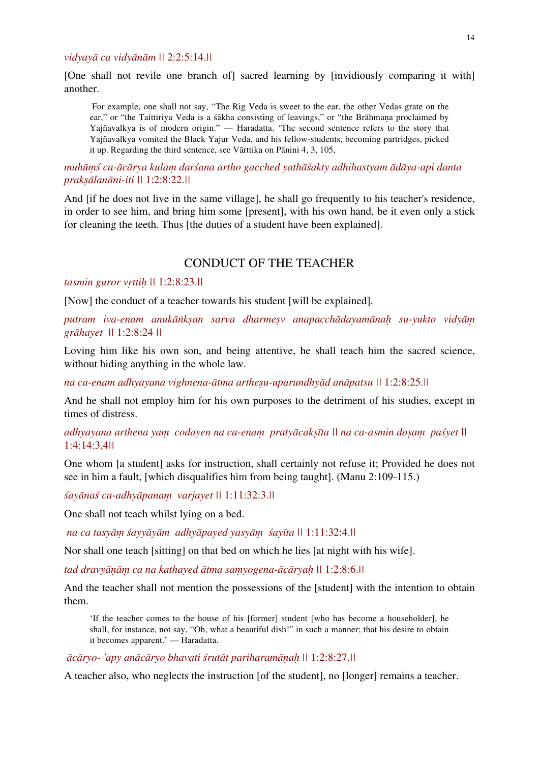## *vidyayā ca vidyānām ||* 2:2:5:14.*||*

[One shall not revile one branch of] sacred learning by [invidiously comparing it with] another.

 For example, one shall not say, "The Rig Veda is sweet to the ear, the other Vedas grate on the ear," or "the Taittiriya Veda is a śākha consisting of leavings," or "the Brāhmana proclaimed by Yajñavalkya is of modern origin." — Haradatta. 'The second sentence refers to the story that Yajñavalkya vomited the Black Yajur Veda, and his fellow-students, becoming partridges, picked it up. Regarding the third sentence, see Vārttika on Pānini 4, 3, 105,

*muhūṃś ca-ācārya kulaṃ darśana artho gacched yathāśakty adhihastyam ādāya-api danta prakṣālanāni-iti ||* 1:2:8:22.*||*

And [if he does not live in the same village], he shall go frequently to his teacher's residence, in order to see him, and bring him some [present], with his own hand, be it even only a stick for cleaning the teeth. Thus [the duties of a student have been explained].

# CONDUCT OF THE TEACHER

#### *tasmin guror vṛttiḥ ||* 1:2:8:23.*||*

[Now] the conduct of a teacher towards his student [will be explained].

*putram iva-enam anukāṅkṣan sarva dharmeṣv anapacchādayamānaḥ su-yukto vidyāṃ grāhayet ||* 1:2:8:24 *||* 

Loving him like his own son, and being attentive, he shall teach him the sacred science, without hiding anything in the whole law.

*na ca-enam adhyayana vighnena-ātma artheṣu-uparundhyād anāpatsu ||* 1:2:8:25.*||* 

And he shall not employ him for his own purposes to the detriment of his studies, except in times of distress.

*adhyayana arthena yaṃ codayen na ca-enaṃ pratyācakṣīta || na ca-asmin doṣaṃ paśyet ||*  1:4:14:3,4*||* 

One whom [a student] asks for instruction, shall certainly not refuse it; Provided he does not see in him a fault, [which disqualifies him from being taught]. (Manu 2:109-115.)

*śayānaś ca-adhyāpanaṃ varjayet ||* 1:11:32:3.*||* 

One shall not teach whilst lying on a bed.

 *na ca tasyāṃ śayyāyām adhyāpayed yasyāṃ śayīta ||* 1:11:32:4.*||* 

Nor shall one teach [sitting] on that bed on which he lies [at night with his wife].

*tad dravyāṇāṃ ca na kathayed ātma saṃyogena-ācāryaḥ ||* 1:2:8:6.*||* 

And the teacher shall not mention the possessions of the [student] with the intention to obtain them.

'If the teacher comes to the house of his [former] student [who has become a householder], he shall, for instance, not say, "Oh, what a beautiful dish!" in such a manner; that his desire to obtain it becomes apparent.' — Haradatta.

*ācāryo- 'apy anācāryo bhavati śrutāt pariharamāṇaḥ ||* 1:2:8:27.*||*

A teacher also, who neglects the instruction [of the student], no [longer] remains a teacher.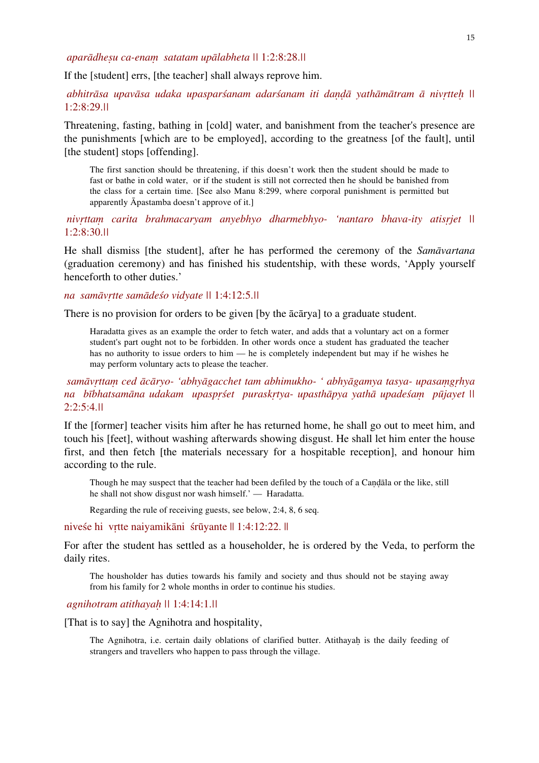*aparādheṣu ca-enaṃ satatam upālabheta ||* 1:2:8:28.*||*

If the [student] errs, [the teacher] shall always reprove him.

abhitrāsa upavāsa udaka upasparśanam adarśanam iti dandā yathāmātram ā nivrtteh || 1:2:8:29.*||* 

Threatening, fasting, bathing in [cold] water, and banishment from the teacher's presence are the punishments [which are to be employed], according to the greatness [of the fault], until [the student] stops [offending].

The first sanction should be threatening, if this doesn't work then the student should be made to fast or bathe in cold water, or if the student is still not corrected then he should be banished from the class for a certain time. [See also Manu 8:299, where corporal punishment is permitted but apparently Āpastamba doesn't approve of it.]

 *nivṛttaṃ carita brahmacaryam anyebhyo dharmebhyo- 'nantaro bhava-ity atisṛjet ||*  1:2:8:30.*||*

He shall dismiss [the student], after he has performed the ceremony of the *Samāvartana* (graduation ceremony) and has finished his studentship, with these words, 'Apply yourself henceforth to other duties.'

*na samāvṛtte samādeśo vidyate ||* 1:4:12:5.*||* 

There is no provision for orders to be given [by the ācārya] to a graduate student.

Haradatta gives as an example the order to fetch water, and adds that a voluntary act on a former student's part ought not to be forbidden. In other words once a student has graduated the teacher has no authority to issue orders to him — he is completely independent but may if he wishes he may perform voluntary acts to please the teacher.

 *samāvṛttaṃ ced ācāryo- 'abhyāgacchet tam abhimukho- ' abhyāgamya tasya- upasaṃgṛhya na bībhatsamāna udakam upaspṛśet puraskṛtya- upasthāpya yathā upadeśaṃ pūjayet ||*  2:2:5:4.*||*

If the [former] teacher visits him after he has returned home, he shall go out to meet him, and touch his [feet], without washing afterwards showing disgust. He shall let him enter the house first, and then fetch [the materials necessary for a hospitable reception], and honour him according to the rule.

Though he may suspect that the teacher had been defiled by the touch of a Candala or the like, still he shall not show disgust nor wash himself.' — Haradatta.

Regarding the rule of receiving guests, see below, 2:4, 8, 6 seq.

niveśe hi vṛtte naiyamikāni śrūyante || 1:4:12:22. ||

For after the student has settled as a householder, he is ordered by the Veda, to perform the daily rites.

The housholder has duties towards his family and society and thus should not be staying away from his family for 2 whole months in order to continue his studies.

 *agnihotram atithayaḥ ||* 1:4:14:1.*||*

[That is to say] the Agnihotra and hospitality,

The Agnihotra, i.e. certain daily oblations of clarified butter. Atithayah is the daily feeding of strangers and travellers who happen to pass through the village.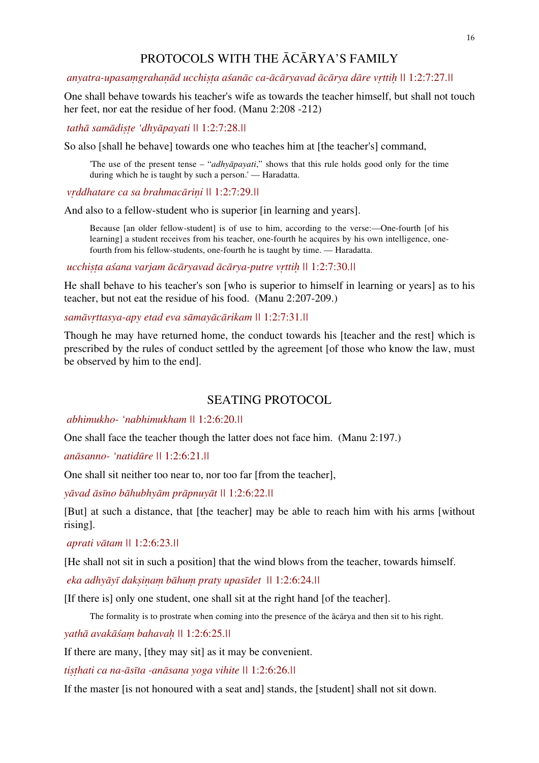# PROTOCOLS WITH THE ĀCĀRYA'S FAMILY

## anyatra-upasamgrahanād ucchista asanāc ca-ācāryavad ācārya dāre vrttih \\til 1:2:7:27.\\til

One shall behave towards his teacher's wife as towards the teacher himself, but shall not touch her feet, nor eat the residue of her food. (Manu 2:208 -212)

 *tathā samādiṣṭe 'dhyāpayati ||* 1:2:7:28.*||*

So also [shall he behave] towards one who teaches him at [the teacher's] command,

'The use of the present tense – "*adhyāpayati*," shows that this rule holds good only for the time during which he is taught by such a person.' — Haradatta.

 *vṛddhatare ca sa brahmacāriṇi ||* 1:2:7:29.*||* 

And also to a fellow-student who is superior [in learning and years].

Because [an older fellow-student] is of use to him, according to the verse:—One-fourth [of his learning] a student receives from his teacher, one-fourth he acquires by his own intelligence, onefourth from his fellow-students, one-fourth he is taught by time. — Haradatta.

 *ucchiṣṭa aśana varjam ācāryavad ācārya-putre vṛttiḥ ||* 1:2:7:30.*||* 

He shall behave to his teacher's son [who is superior to himself in learning or years] as to his teacher, but not eat the residue of his food. (Manu 2:207-209.)

#### *samāvṛttasya-apy etad eva sāmayācārikam ||* 1:2:7:31.*||*

Though he may have returned home, the conduct towards his [teacher and the rest] which is prescribed by the rules of conduct settled by the agreement [of those who know the law, must be observed by him to the end].

## SEATING PROTOCOL

 *abhimukho- 'nabhimukham ||* 1:2:6:20.*||* 

One shall face the teacher though the latter does not face him. (Manu 2:197.)

*anāsanno- 'natidūre ||* 1:2:6:21.*||*

One shall sit neither too near to, nor too far [from the teacher],

*yāvad āsīno bāhubhyām prāpnuyāt ||* 1:2:6:22.*||* 

[But] at such a distance, that [the teacher] may be able to reach him with his arms [without rising].

 *aprati vātam ||* 1:2:6:23.*||*

[He shall not sit in such a position] that the wind blows from the teacher, towards himself.

 *eka adhyāyī dakṣiṇaṃ bāhuṃ praty upasīdet ||* 1:2:6:24.*||* 

[If there is] only one student, one shall sit at the right hand [of the teacher].

The formality is to prostrate when coming into the presence of the ācārya and then sit to his right.

*yathā avakāśaṃ bahavaḥ ||* 1:2:6:25.*||*

If there are many, [they may sit] as it may be convenient.

*tiṣṭhati ca na-āsīta -anāsana yoga vihite ||* 1:2:6:26.*||* 

If the master [is not honoured with a seat and] stands, the [student] shall not sit down.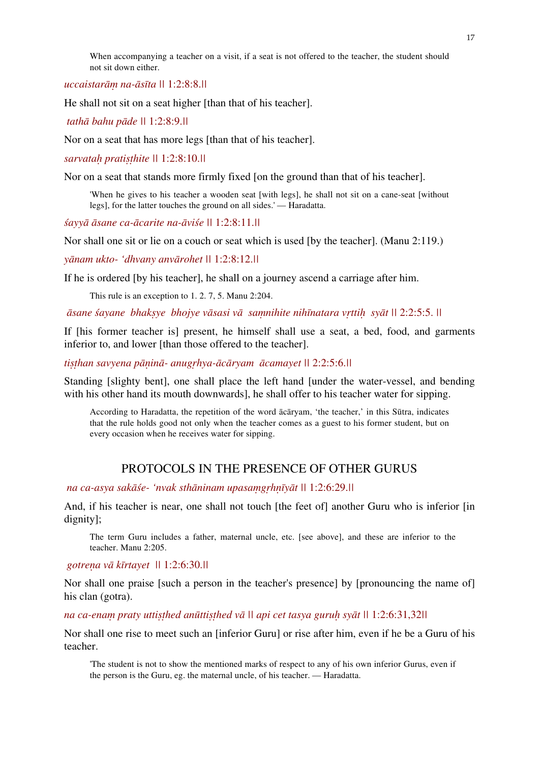When accompanying a teacher on a visit, if a seat is not offered to the teacher, the student should not sit down either.

*uccaistarāṃ na-āsīta ||* 1:2:8:8.*||*

He shall not sit on a seat higher [than that of his teacher].

 *tathā bahu pāde ||* 1:2:8:9.*||* 

Nor on a seat that has more legs [than that of his teacher].

*sarvataḥ pratiṣṭhite ||* 1:2:8:10.*||*

Nor on a seat that stands more firmly fixed [on the ground than that of his teacher].

'When he gives to his teacher a wooden seat [with legs], he shall not sit on a cane-seat [without legs], for the latter touches the ground on all sides.' — Haradatta.

*śayyā āsane ca-ācarite na-āviśe ||* 1:2:8:11.*||* 

Nor shall one sit or lie on a couch or seat which is used [by the teacher]. (Manu 2:119.)

*yānam ukto- 'dhvany anvārohet ||* 1:2:8:12.*||* 

If he is ordered [by his teacher], he shall on a journey ascend a carriage after him.

This rule is an exception to 1. 2. 7, 5. Manu 2:204.

āsane śavane bhaksye bhoive vāsasi vā samnihite nihīnatara vrttih svāt || 2:2:5:5. ||

If [his former teacher is] present, he himself shall use a seat, a bed, food, and garments inferior to, and lower [than those offered to the teacher].

*tiṣṭhan savyena pāṇinā- anugṛhya-ācāryam ācamayet ||* 2:2:5:6.*||* 

Standing [slighty bent], one shall place the left hand [under the water-vessel, and bending with his other hand its mouth downwards], he shall offer to his teacher water for sipping.

According to Haradatta, the repetition of the word ācāryam, 'the teacher,' in this Sūtra, indicates that the rule holds good not only when the teacher comes as a guest to his former student, but on every occasion when he receives water for sipping.

## PROTOCOLS IN THE PRESENCE OF OTHER GURUS

 *na ca-asya sakāśe- 'nvak sthāninam upasaṃgṛhṇīyāt ||* 1:2:6:29.*||* 

And, if his teacher is near, one shall not touch [the feet of] another Guru who is inferior [in dignity];

The term Guru includes a father, maternal uncle, etc. [see above], and these are inferior to the teacher. Manu 2:205.

 *gotreṇa vā kīrtayet ||* 1:2:6:30.*||* 

Nor shall one praise [such a person in the teacher's presence] by [pronouncing the name of] his clan (gotra).

*na ca-enaṃ praty uttiṣṭhed anūttiṣṭhed vā || api cet tasya guruḥ syāt ||* 1:2:6:31,32*||*

Nor shall one rise to meet such an [inferior Guru] or rise after him, even if he be a Guru of his teacher.

'The student is not to show the mentioned marks of respect to any of his own inferior Gurus, even if the person is the Guru, eg. the maternal uncle, of his teacher. — Haradatta.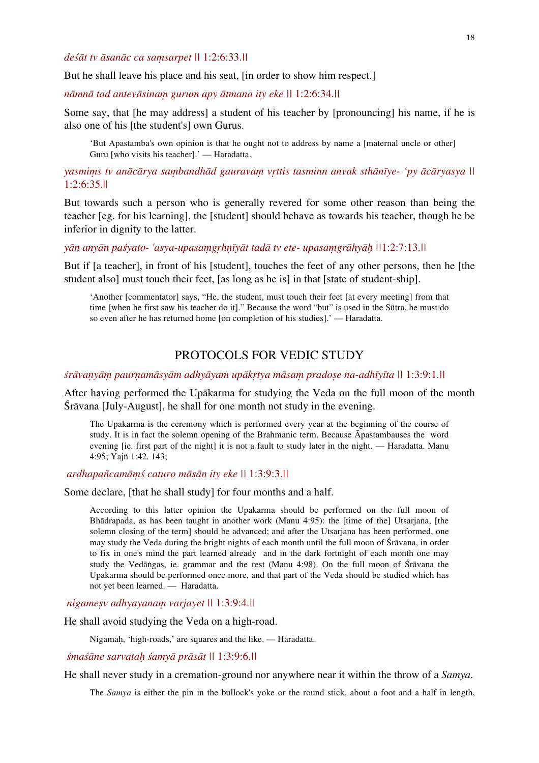*deśāt tv āsanāc ca saṃsarpet ||* 1:2:6:33.*||* 

But he shall leave his place and his seat, [in order to show him respect.]

*nāmnā tad antevāsinaṃ gurum apy ātmana ity eke ||* 1:2:6:34.*||* 

Some say, that [he may address] a student of his teacher by [pronouncing] his name, if he is also one of his [the student's] own Gurus.

'But Apastamba's own opinion is that he ought not to address by name a [maternal uncle or other] Guru [who visits his teacher].' — Haradatta.

yasmims tv anācārya sambandhād gauravam vrttis tasminn anvak sthānīye- 'py ācāryasya || 1:2:6:35.||

But towards such a person who is generally revered for some other reason than being the teacher [eg. for his learning], the [student] should behave as towards his teacher, though he be inferior in dignity to the latter.

yān anyān paśyato- 'asya-upasamgrhnīyāt tadā tv ete- upasamgrāhyāh ||1:2:7:13.||

But if [a teacher], in front of his [student], touches the feet of any other persons, then he [the student also] must touch their feet, [as long as he is] in that [state of student-ship].

'Another [commentator] says, "He, the student, must touch their feet [at every meeting] from that time [when he first saw his teacher do it]." Because the word "but" is used in the Sūtra, he must do so even after he has returned home [on completion of his studies].' — Haradatta.

# PROTOCOLS FOR VEDIC STUDY

śrāvanyām paurnamāsyām adhyāyam upākrtya māsam pradose na-adhīyīta || 1:3:9:1.||

After having performed the Upākarma for studying the Veda on the full moon of the month Śrāvana [July-August], he shall for one month not study in the evening.

The Upakarma is the ceremony which is performed every year at the beginning of the course of study. It is in fact the solemn opening of the Brahmanic term. Because Āpastambauses the word evening *lie.* first part of the night it is not a fault to study later in the night. — Haradatta. Manu 4:95; Yajñ 1:42. 143;

 *ardhapañcamāṃś caturo māsān ity eke ||* 1:3:9:3.*||*

Some declare, [that he shall study] for four months and a half.

According to this latter opinion the Upakarma should be performed on the full moon of Bhādrapada, as has been taught in another work (Manu 4:95): the [time of the] Utsarjana, [the solemn closing of the term] should be advanced; and after the Utsarjana has been performed, one may study the Veda during the bright nights of each month until the full moon of Śrāvana, in order to fix in one's mind the part learned already and in the dark fortnight of each month one may study the Vedāṅgas, ie. grammar and the rest (Manu 4:98). On the full moon of Śrāvana the Upakarma should be performed once more, and that part of the Veda should be studied which has not yet been learned. — Haradatta.

 *nigameṣv adhyayanaṃ varjayet ||* 1:3:9:4.*||*

He shall avoid studying the Veda on a high-road.

Nigamaḥ, 'high-roads,' are squares and the like. — Haradatta.

*śmaśāne sarvataḥ śamyā prāsāt ||* 1:3:9:6.*||* 

He shall never study in a cremation-ground nor anywhere near it within the throw of a *Samya*.

The *Samya* is either the pin in the bullock's yoke or the round stick, about a foot and a half in length,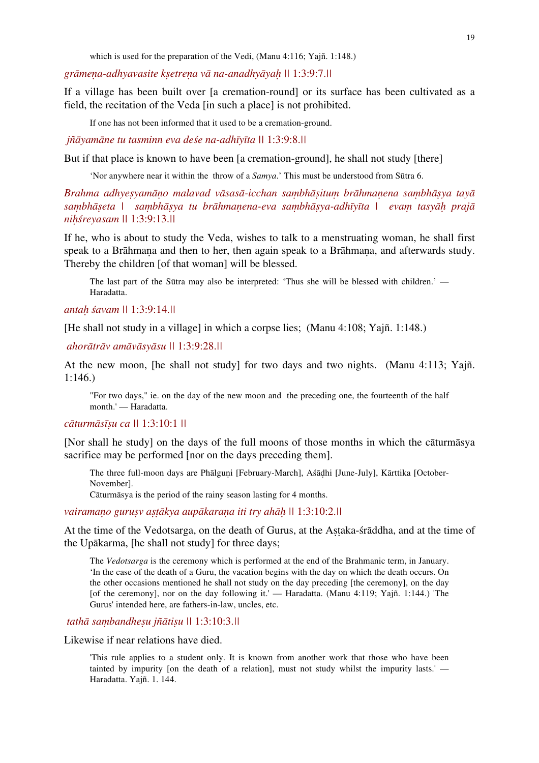which is used for the preparation of the Vedi, (Manu 4:116; Yaiñ. 1:148.)

*grāmeṇa-adhyavasite kṣetreṇa vā na-anadhyāyaḥ ||* 1:3:9:7.*||* 

If a village has been built over [a cremation-round] or its surface has been cultivated as a field, the recitation of the Veda [in such a place] is not prohibited.

If one has not been informed that it used to be a cremation-ground.

 *jñāyamāne tu tasminn eva deśe na-adhīyīta ||* 1:3:9:8.*||* 

But if that place is known to have been [a cremation-ground], he shall not study [there]

'Nor anywhere near it within the throw of a *Samya*.' This must be understood from Sūtra 6.

Brahma adhyesyamāno malavad vāsasā-icchan sambhāsitum brāhmanena sambhāsya tayā sambhāseta | sambhāsya tu brāhmanena-eva sambhāsya-adhīyīta | evam tasyāh prajā *niḥśreyasam ||* 1:3:9:13.*||* 

If he, who is about to study the Veda, wishes to talk to a menstruating woman, he shall first speak to a Brāhmana and then to her, then again speak to a Brāhmana, and afterwards study. Thereby the children [of that woman] will be blessed.

The last part of the Sūtra may also be interpreted: 'Thus she will be blessed with children.' — Haradatta.

*antaḥ śavam ||* 1:3:9:14.*||*

[He shall not study in a village] in which a corpse lies; (Manu 4:108; Yajñ. 1:148.)

 *ahorātrāv amāvāsyāsu ||* 1:3:9:28.*||* 

At the new moon, [he shall not study] for two days and two nights. (Manu 4:113; Yajñ. 1:146.)

"For two days," ie. on the day of the new moon and the preceding one, the fourteenth of the half month.' — Haradatta.

#### *cāturmāsīṣu ca ||* 1:3:10:1 *||*

[Nor shall he study] on the days of the full moons of those months in which the cāturmāsya sacrifice may be performed [nor on the days preceding them].

The three full-moon days are Phālguni [February-March], Aśādhi [June-July], Kārttika [October-November].

Cāturmāsya is the period of the rainy season lasting for 4 months.

*vairamaṇo guruṣv aṣṭākya aupākaraṇa iti try ahāḥ ||* 1:3:10:2.*||* 

At the time of the Vedotsarga, on the death of Gurus, at the Astaka-straddha, and at the time of the Upākarma, [he shall not study] for three days;

The *Vedotsarga* is the ceremony which is performed at the end of the Brahmanic term, in January. 'In the case of the death of a Guru, the vacation begins with the day on which the death occurs. On the other occasions mentioned he shall not study on the day preceding [the ceremony], on the day [of the ceremony], nor on the day following it.' — Haradatta. (Manu 4:119; Yajñ. 1:144.) 'The Gurus' intended here, are fathers-in-law, uncles, etc.

 *tathā saṃbandheṣu jñātiṣu ||* 1:3:10:3.*||*

Likewise if near relations have died.

'This rule applies to a student only. It is known from another work that those who have been tainted by impurity [on the death of a relation], must not study whilst the impurity lasts.' — Haradatta. Yajñ. 1. 144.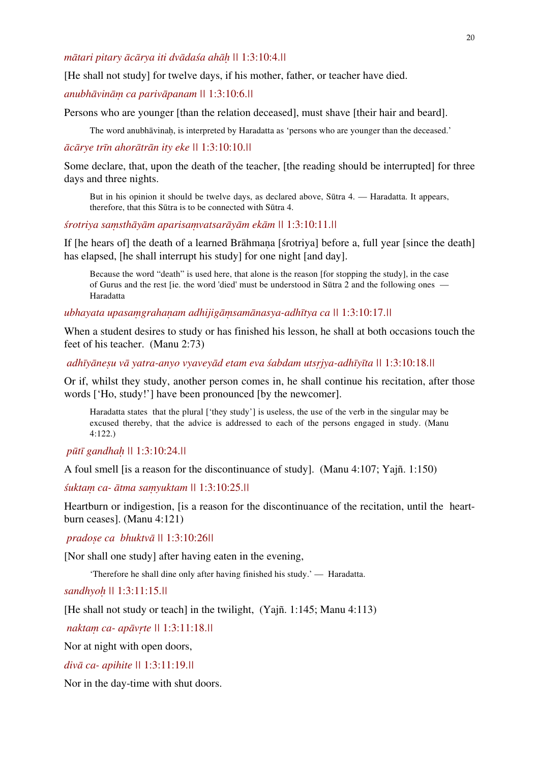## *mātari pitary ācārya iti dvādaśa ahāḥ ||* 1:3:10:4.*||*

[He shall not study] for twelve days, if his mother, father, or teacher have died.

#### *anubhāvināṃ ca parivāpanam ||* 1:3:10:6.*||*

Persons who are younger [than the relation deceased], must shave [their hair and beard].

The word anubhāvinah, is interpreted by Haradatta as 'persons who are younger than the deceased.'

#### *ācārye trīn ahorātrān ity eke ||* 1:3:10:10.*||*

Some declare, that, upon the death of the teacher, [the reading should be interrupted] for three days and three nights.

But in his opinion it should be twelve days, as declared above, Sūtra 4. — Haradatta. It appears, therefore, that this Sūtra is to be connected with Sūtra 4.

#### *śrotriya saṃsthāyām aparisaṃvatsarāyām ekām ||* 1:3:10:11.*||*

If [he hears of] the death of a learned Brāhmana [strotriya] before a, full year [since the death] has elapsed, [he shall interrupt his study] for one night [and day].

Because the word "death" is used here, that alone is the reason [for stopping the study], in the case of Gurus and the rest [ie. the word 'died' must be understood in Sūtra 2 and the following ones — Haradatta

#### *ubhayata upasaṃgrahaṇam adhijigāṃsamānasya-adhītya ca ||* 1:3:10:17.*||*

When a student desires to study or has finished his lesson, he shall at both occasions touch the feet of his teacher. (Manu 2:73)

 *adhīyāneṣu vā yatra-anyo vyaveyād etam eva śabdam utsṛjya-adhīyīta ||* 1:3:10:18.*||* 

Or if, whilst they study, another person comes in, he shall continue his recitation, after those words ['Ho, study!'] have been pronounced [by the newcomer].

Haradatta states that the plural ['they study'] is useless, the use of the verb in the singular may be excused thereby, that the advice is addressed to each of the persons engaged in study. (Manu 4:122.)

 *pūtī gandhaḥ ||* 1:3:10:24.*||*

A foul smell [is a reason for the discontinuance of study]. (Manu 4:107; Yajñ. 1:150)

*śuktaṃ ca- ātma saṃyuktam ||* 1:3:10:25.*||* 

Heartburn or indigestion, [is a reason for the discontinuance of the recitation, until the heartburn ceases]. (Manu 4:121)

 *pradoṣe ca bhuktvā ||* 1:3:10:26*||* 

[Nor shall one study] after having eaten in the evening,

'Therefore he shall dine only after having finished his study.' — Haradatta.

*sandhyoḥ ||* 1:3:11:15.*||*

[He shall not study or teach] in the twilight, (Yajñ. 1:145; Manu 4:113)

 *naktaṃ ca- apāvṛte ||* 1:3:11:18.*||*

Nor at night with open doors,

*divā ca- apihite ||* 1:3:11:19.*||*

Nor in the day-time with shut doors.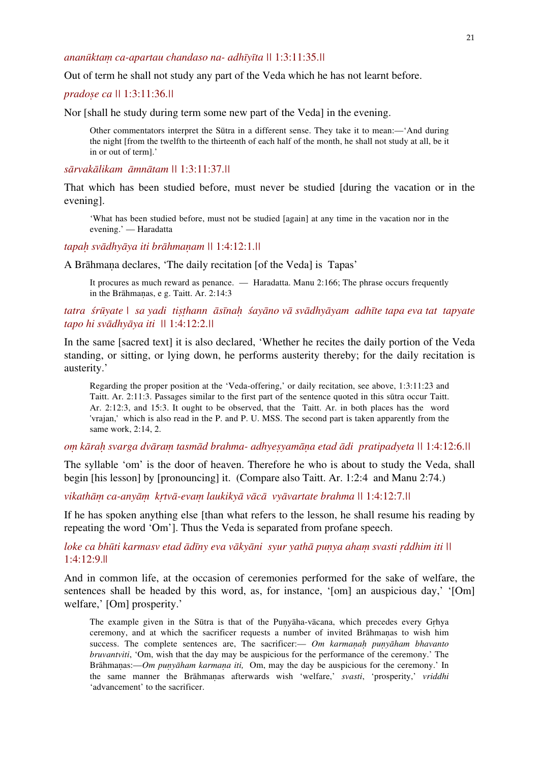## *ananūktaṃ ca-apartau chandaso na- adhīyīta ||* 1:3:11:35.*||*

Out of term he shall not study any part of the Veda which he has not learnt before.

*pradoṣe ca ||* 1:3:11:36.*||*

Nor [shall he study during term some new part of the Veda] in the evening.

Other commentators interpret the Sūtra in a different sense. They take it to mean:—'And during the night [from the twelfth to the thirteenth of each half of the month, he shall not study at all, be it in or out of term].'

*sārvakālikam āmnātam ||* 1:3:11:37.*||* 

That which has been studied before, must never be studied [during the vacation or in the evening].

'What has been studied before, must not be studied [again] at any time in the vacation nor in the evening.' — Haradatta

*tapaḥ svādhyāya iti brāhmaṇam ||* 1:4:12:1.*||* 

A Brāhmaṇa declares, 'The daily recitation [of the Veda] is Tapas'

It procures as much reward as penance. — Haradatta. Manu 2:166; The phrase occurs frequently in the Brāhmaṇas, e g. Taitt. Ar. 2:14:3

## tatra śrūyate | sa yadi tisthann āsīnah śayāno vā svādhyāyam adhīte tapa eva tat tapyate *tapo hi svādhyāya iti ||* 1:4:12:2.*||*

In the same [sacred text] it is also declared, 'Whether he recites the daily portion of the Veda standing, or sitting, or lying down, he performs austerity thereby; for the daily recitation is austerity.'

Regarding the proper position at the 'Veda-offering,' or daily recitation, see above, 1:3:11:23 and Taitt. Ar. 2:11:3. Passages similar to the first part of the sentence quoted in this sūtra occur Taitt. Ar. 2:12:3, and 15:3. It ought to be observed, that the Taitt. Ar. in both places has the word 'vrajan,' which is also read in the P. and P. U. MSS. The second part is taken apparently from the same work, 2:14, 2.

om kārah svarga dvāram tasmād brahma- adhyesyamāna etad ādi pratipadyeta || 1:4:12:6.||

The syllable 'om' is the door of heaven. Therefore he who is about to study the Veda, shall begin [his lesson] by [pronouncing] it. (Compare also Taitt. Ar. 1:2:4 and Manu 2:74.)

*vikathāṃ ca-anyāṃ kṛtvā-evaṃ laukikyā vācā vyāvartate brahma ||* 1:4:12:7.*||* 

If he has spoken anything else [than what refers to the lesson, he shall resume his reading by repeating the word 'Om']. Thus the Veda is separated from profane speech.

*loke ca bhūti karmasv etad ādīny eva vākyāni syur yathā puṇya ahaṃ svasti ṛddhim iti ||*  1:4:12:9.||

And in common life, at the occasion of ceremonies performed for the sake of welfare, the sentences shall be headed by this word, as, for instance, '[om] an auspicious day,' '[Om] welfare,' [Om] prosperity.'

The example given in the Sūtra is that of the Puṇyāha-vācana, which precedes every Gṛhya ceremony, and at which the sacrificer requests a number of invited Brāhmaṇas to wish him success. The complete sentences are, The sacrificer:— *Om karmanah punyāham bhavanto bruvantviti*, 'Om, wish that the day may be auspicious for the performance of the ceremony.' The Brāhmaṇas:—*Om puṇyāham karmaṇa iti,* Om, may the day be auspicious for the ceremony.' In the same manner the Brāhmaṇas afterwards wish 'welfare,' *svasti*, 'prosperity,' *vriddhi* 'advancement' to the sacrificer.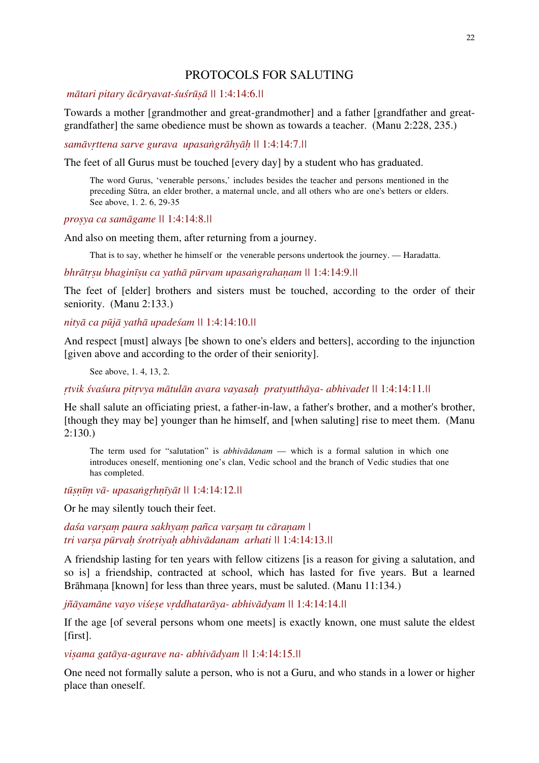# PROTOCOLS FOR SALUTING

## *mātari pitary ācāryavat-śuśrūṣā ||* 1:4:14:6.*||*

Towards a mother [grandmother and great-grandmother] and a father [grandfather and greatgrandfather] the same obedience must be shown as towards a teacher. (Manu 2:228, 235.)

*samāvṛttena sarve gurava upasaṅgrāhyāḥ ||* 1:4:14:7.*||* 

The feet of all Gurus must be touched [every day] by a student who has graduated.

The word Gurus, 'venerable persons,' includes besides the teacher and persons mentioned in the preceding Sūtra, an elder brother, a maternal uncle, and all others who are one's betters or elders. See above, 1. 2. 6, 29-35

*proṣya ca samāgame ||* 1:4:14:8.*||* 

And also on meeting them, after returning from a journey.

That is to say, whether he himself or the venerable persons undertook the journey. — Haradatta.

*bhrātṛṣu bhaginīṣu ca yathā pūrvam upasaṅgrahaṇam ||* 1:4:14:9.*||*

The feet of [elder] brothers and sisters must be touched, according to the order of their seniority. (Manu 2:133.)

*nityā ca pūjā yathā upadeśam ||* 1:4:14:10.*||*

And respect [must] always [be shown to one's elders and betters], according to the injunction [given above and according to the order of their seniority].

See above, 1. 4, 13, 2.

*ṛtvik śvaśura pitṛvya mātulān avara vayasaḥ pratyutthāya- abhivadet ||* 1:4:14:11.*||* 

He shall salute an officiating priest, a father-in-law, a father's brother, and a mother's brother, [though they may be] younger than he himself, and [when saluting] rise to meet them. (Manu  $2:130.$ 

The term used for "salutation" is *abhivādanam* — which is a formal salution in which one introduces oneself, mentioning one's clan, Vedic school and the branch of Vedic studies that one has completed.

*tūṣṇīṃ vā- upasaṅgṛhṇīyāt ||* 1:4:14:12.*||*

Or he may silently touch their feet.

*daśa varṣaṃ paura sakhyaṃ pañca varṣaṃ tu cāraṇam | tri varṣa pūrvaḥ śrotriyaḥ abhivādanam arhati ||* 1:4:14:13.*||* 

A friendship lasting for ten years with fellow citizens [is a reason for giving a salutation, and so is] a friendship, contracted at school, which has lasted for five years. But a learned Brāhmana [known] for less than three years, must be saluted. (Manu 11:134.)

*jñāyamāne vayo viśeṣe vṛddhatarāya- abhivādyam ||* 1:4:14:14.*||* 

If the age [of several persons whom one meets] is exactly known, one must salute the eldest [first].

*viṣama gatāya-agurave na- abhivādyam ||* 1:4:14:15.*||*

One need not formally salute a person, who is not a Guru, and who stands in a lower or higher place than oneself.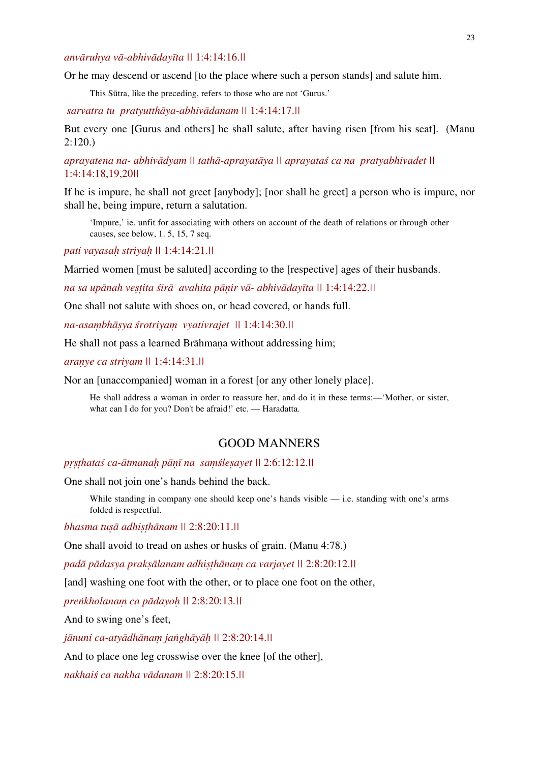#### *anvāruhya vā-abhivādayīta ||* 1:4:14:16.*||*

Or he may descend or ascend [to the place where such a person stands] and salute him.

This Sūtra, like the preceding, refers to those who are not 'Gurus.'

 *sarvatra tu pratyutthāya-abhivādanam ||* 1:4:14:17.*||* 

But every one [Gurus and others] he shall salute, after having risen [from his seat]. (Manu 2:120.)

*aprayatena na- abhivādyam || tathā-aprayatāya || aprayataś ca na pratyabhivadet ||*  1:4:14:18,19,20*||*

If he is impure, he shall not greet [anybody]; [nor shall he greet] a person who is impure, nor shall he, being impure, return a salutation.

'Impure,' ie. unfit for associating with others on account of the death of relations or through other causes, see below, 1. 5, 15, 7 seq.

*pati vayasaḥ striyaḥ ||* 1:4:14:21.*||*

Married women [must be saluted] according to the [respective] ages of their husbands.

*na sa upānah veṣṭita śirā avahita pāṇir vā- abhivādayīta ||* 1:4:14:22.*||* 

One shall not salute with shoes on, or head covered, or hands full.

*na-asaṃbhāṣya śrotriyaṃ vyativrajet ||* 1:4:14:30.*||* 

He shall not pass a learned Brāhmana without addressing him;

*araṇye ca striyam ||* 1:4:14:31.*||*

Nor an [unaccompanied] woman in a forest [or any other lonely place].

He shall address a woman in order to reassure her, and do it in these terms:—'Mother, or sister, what can I do for you? Don't be afraid!' etc. — Haradatta.

# GOOD MANNERS

*pṛṣṭhataś ca-ātmanaḥ pāṇī na saṃśleṣayet ||* 2:6:12:12.*||* 

One shall not join one's hands behind the back.

While standing in company one should keep one's hands visible — i.e. standing with one's arms folded is respectful.

*bhasma tuṣā adhiṣṭhānam ||* 2:8:20:11.*||* 

One shall avoid to tread on ashes or husks of grain. (Manu 4:78.)

*padā pādasya prakṣālanam adhiṣṭhānaṃ ca varjayet ||* 2:8:20:12.*||* 

[and] washing one foot with the other, or to place one foot on the other,

*preṅkholanaṃ ca pādayoḥ ||* 2:8:20:13*.||* 

And to swing one's feet,

*jānuni ca-atyādhānaṃ jaṅghāyāḥ ||* 2:8:20:14.*||* 

And to place one leg crosswise over the knee [of the other],

*nakhaiś ca nakha vādanam ||* 2:8:20:15.*||*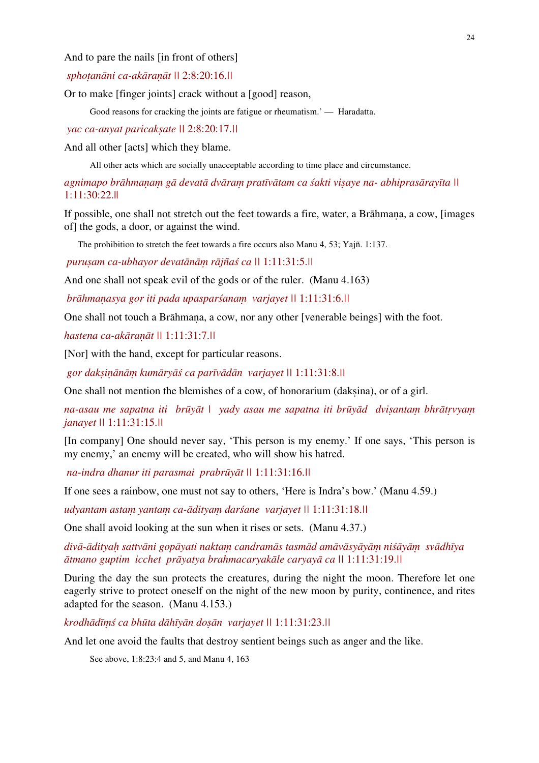And to pare the nails [in front of others]

 *sphoṭanāni ca-akāraṇāt ||* 2:8:20:16.*||* 

Or to make [finger joints] crack without a [good] reason,

Good reasons for cracking the joints are fatigue or rheumatism.' — Haradatta.

 *yac ca-anyat paricakṣate ||* 2:8:20:17.*||* 

And all other [acts] which they blame.

All other acts which are socially unacceptable according to time place and circumstance.

agnimapo brāhmanam gā devatā dvāram pratīvātam ca śakti visaye na- abhiprasārayīta || 1:11:30:22.||

If possible, one shall not stretch out the feet towards a fire, water, a Brāhmana, a cow, [images] of] the gods, a door, or against the wind.

The prohibition to stretch the feet towards a fire occurs also Manu 4, 53; Yajñ. 1:137.

 *puruṣam ca-ubhayor devatānāṃ rājñaś ca ||* 1:11:31:5.*||* 

And one shall not speak evil of the gods or of the ruler. (Manu 4.163)

 *brāhmaṇasya gor iti pada upasparśanaṃ varjayet ||* 1:11:31:6.*||*

One shall not touch a Brāhmana, a cow, nor any other [venerable beings] with the foot.

*hastena ca-akāraṇāt ||* 1:11:31:7.*||*

[Nor] with the hand, except for particular reasons.

 *gor dakṣiṇānāṃ kumāryāś ca parīvādān varjayet ||* 1:11:31:8.*||* 

One shall not mention the blemishes of a cow, of honorarium (dakṣina), or of a girl.

*na-asau me sapatna iti brūyāt | yady asau me sapatna iti brūyād dviṣantaṃ bhrātṛvyaṃ janayet ||* 1:11:31:15.*||*

[In company] One should never say, 'This person is my enemy.' If one says, 'This person is my enemy,' an enemy will be created, who will show his hatred.

 *na-indra dhanur iti parasmai prabrūyāt ||* 1:11:31:16.*||* 

If one sees a rainbow, one must not say to others, 'Here is Indra's bow.' (Manu 4.59.)

*udyantam astaṃ yantaṃ ca-ādityaṃ darśane varjayet ||* 1:11:31:18.*||* 

One shall avoid looking at the sun when it rises or sets. (Manu 4.37.)

divā-ādityah sattvāni gopāyati naktam candramās tasmād amāvāsyāyām niśāyām svādhīya *ātmano guptim icchet prāyatya brahmacaryakāle caryayā ca ||* 1:11:31:19.*||* 

During the day the sun protects the creatures, during the night the moon. Therefore let one eagerly strive to protect oneself on the night of the new moon by purity, continence, and rites adapted for the season. (Manu 4.153.)

*krodhādīṃś ca bhūta dāhīyān doṣān varjayet ||* 1:11:31:23.*||* 

And let one avoid the faults that destroy sentient beings such as anger and the like.

See above, 1:8:23:4 and 5, and Manu 4, 163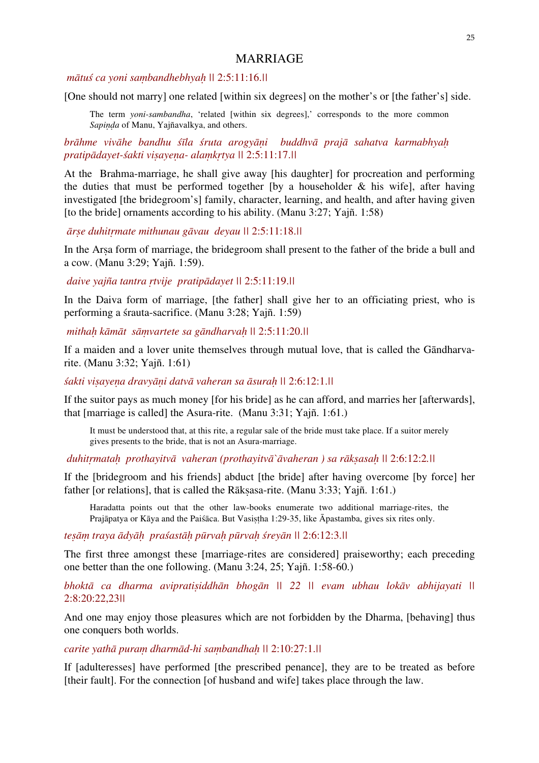# MARRIAGE

## *mātuś ca yoni saṃbandhebhyaḥ ||* 2:5:11:16.*||*

[One should not marry] one related [within six degrees] on the mother's or [the father's] side.

The term *yoni-sambandha*, 'related [within six degrees],' corresponds to the more common *Sapiṇḍa* of Manu, Yajñavalkya, and others.

*brāhme vivāhe bandhu śīla śruta arogyāṇi buddhvā prajā sahatva karmabhyaḥ pratipādayet-śakti viṣayeṇa- alaṃkṛtya ||* 2:5:11:17.*||*

At the Brahma-marriage, he shall give away [his daughter] for procreation and performing the duties that must be performed together  $[by a]$  householder  $\&$  his wifel, after having investigated [the bridegroom's] family, character, learning, and health, and after having given [to the bride] ornaments according to his ability. (Manu 3:27; Yajñ. 1:58)

*ārṣe duhitṛmate mithunau gāvau deyau ||* 2:5:11:18.*||*

In the Arṣa form of marriage, the bridegroom shall present to the father of the bride a bull and a cow. (Manu 3:29; Yajñ. 1:59).

 *daive yajña tantra ṛtvije pratipādayet ||* 2:5:11:19.*||*

In the Daiva form of marriage, [the father] shall give her to an officiating priest, who is performing a śrauta-sacrifice. (Manu 3:28; Yajñ. 1:59)

 *mithaḥ kāmāt sāṃvartete sa gāndharvaḥ ||* 2:5:11:20.*||*

If a maiden and a lover unite themselves through mutual love, that is called the Gāndharvarite. (Manu 3:32; Yajñ. 1:61)

*śakti viṣayeṇa dravyāṇi datvā vaheran sa āsuraḥ ||* 2:6:12:1.*||*

If the suitor pays as much money [for his bride] as he can afford, and marries her [afterwards], that [marriage is called] the Asura-rite. (Manu 3:31; Yajñ. 1:61.)

It must be understood that, at this rite, a regular sale of the bride must take place. If a suitor merely gives presents to the bride, that is not an Asura-marriage.

 *duhitṛmataḥ prothayitvā vaheran (prothayitvā`āvaheran ) sa rākṣasaḥ ||* 2:6:12:2*.||* 

If the [bridegroom and his friends] abduct [the bride] after having overcome [by force] her father [or relations], that is called the Rāksasa-rite. (Manu 3:33; Yajñ. 1:61.)

Haradatta points out that the other law-books enumerate two additional marriage-rites, the Prajāpatya or Kāya and the Paiśāca. But Vasiṣṭha 1:29-35, like Āpastamba, gives six rites only.

tesām traya ādyāh praśastāh pūrvah pūrvah śreyān || 2:6:12:3.||

The first three amongst these [marriage-rites are considered] praiseworthy; each preceding one better than the one following. (Manu 3:24, 25; Yajñ. 1:58-60.)

*bhoktā ca dharma avipratiṣiddhān bhogān || 22 || evam ubhau lokāv abhijayati ||*  2:8:20:22,23*||* 

And one may enjoy those pleasures which are not forbidden by the Dharma, [behaving] thus one conquers both worlds.

*carite yathā puraṃ dharmād-hi saṃbandhaḥ ||* 2:10:27:1.*||* 

If [adulteresses] have performed [the prescribed penance], they are to be treated as before [their fault]. For the connection [of husband and wife] takes place through the law.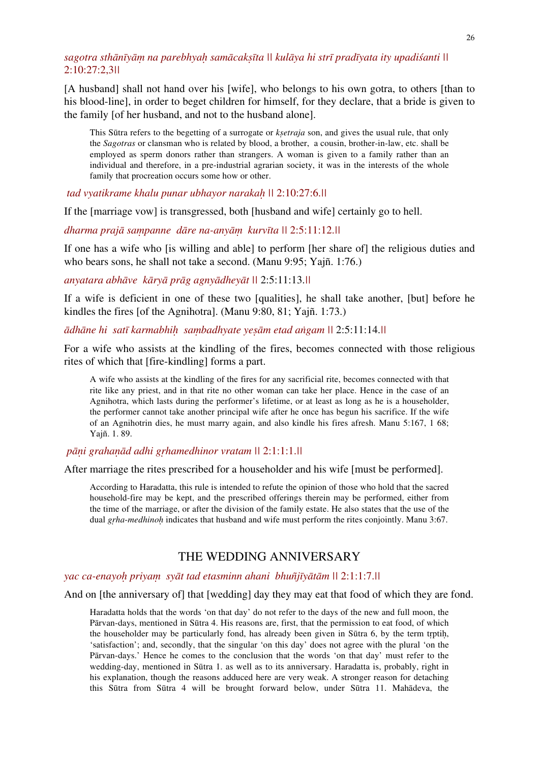# sagotra sthānīyām na parebhyah samācaksīta || kulāya hi strī pradīyata ity upadiśanti || 2:10:27:2,3*||*

[A husband] shall not hand over his [wife], who belongs to his own gotra, to others [than to his blood-line], in order to beget children for himself, for they declare, that a bride is given to the family [of her husband, and not to the husband alone].

This Sūtra refers to the begetting of a surrogate or *kṣetraja* son, and gives the usual rule, that only the *Sagotras* or clansman who is related by blood, a brother, a cousin, brother-in-law, etc. shall be employed as sperm donors rather than strangers. A woman is given to a family rather than an individual and therefore, in a pre-industrial agrarian society, it was in the interests of the whole family that procreation occurs some how or other.

 *tad vyatikrame khalu punar ubhayor narakaḥ ||* 2:10:27:6.*||*

If the [marriage vow] is transgressed, both [husband and wife] certainly go to hell.

*dharma prajā saṃpanne dāre na-anyāṃ kurvīta ||* 2:5:11:12.*||* 

If one has a wife who [is willing and able] to perform [her share of] the religious duties and who bears sons, he shall not take a second. (Manu 9:95; Yajñ. 1:76.)

*anyatara abhāve kāryā prāg agnyādheyāt ||* 2:5:11:13.*||* 

If a wife is deficient in one of these two [qualities], he shall take another, [but] before he kindles the fires [of the Agnihotra]. (Manu 9:80, 81; Yajñ. 1:73.)

*ādhāne hi satī karmabhiḥ saṃbadhyate yeṣām etad aṅgam ||* 2:5:11:14.*||*

For a wife who assists at the kindling of the fires, becomes connected with those religious rites of which that [fire-kindling] forms a part.

A wife who assists at the kindling of the fires for any sacrificial rite, becomes connected with that rite like any priest, and in that rite no other woman can take her place. Hence in the case of an Agnihotra, which lasts during the performer's lifetime, or at least as long as he is a householder, the performer cannot take another principal wife after he once has begun his sacrifice. If the wife of an Agnihotrin dies, he must marry again, and also kindle his fires afresh. Manu 5:167, 1 68; Yajñ. 1. 89.

 *pāṇi grahaṇād adhi gṛhamedhinor vratam ||* 2:1:1:1.*||*

After marriage the rites prescribed for a householder and his wife [must be performed].

According to Haradatta, this rule is intended to refute the opinion of those who hold that the sacred household-fire may be kept, and the prescribed offerings therein may be performed, either from the time of the marriage, or after the division of the family estate. He also states that the use of the dual *gṛha*-*medhinoḥ* indicates that husband and wife must perform the rites conjointly. Manu 3:67.

# THE WEDDING ANNIVERSARY

#### *yac ca-enayoḥ priyaṃ syāt tad etasminn ahani bhuñjīyātām ||* 2:1:1:7.*||*

And on [the anniversary of] that [wedding] day they may eat that food of which they are fond.

Haradatta holds that the words 'on that day' do not refer to the days of the new and full moon, the Pārvan-days, mentioned in Sūtra 4. His reasons are, first, that the permission to eat food, of which the householder may be particularly fond, has already been given in Sūtra 6, by the term tṛptiḥ, 'satisfaction'; and, secondly, that the singular 'on this day' does not agree with the plural 'on the Pārvan-days.' Hence he comes to the conclusion that the words 'on that day' must refer to the wedding-day, mentioned in Sūtra 1. as well as to its anniversary. Haradatta is, probably, right in his explanation, though the reasons adduced here are very weak. A stronger reason for detaching this Sūtra from Sūtra 4 will be brought forward below, under Sūtra 11. Mahādeva, the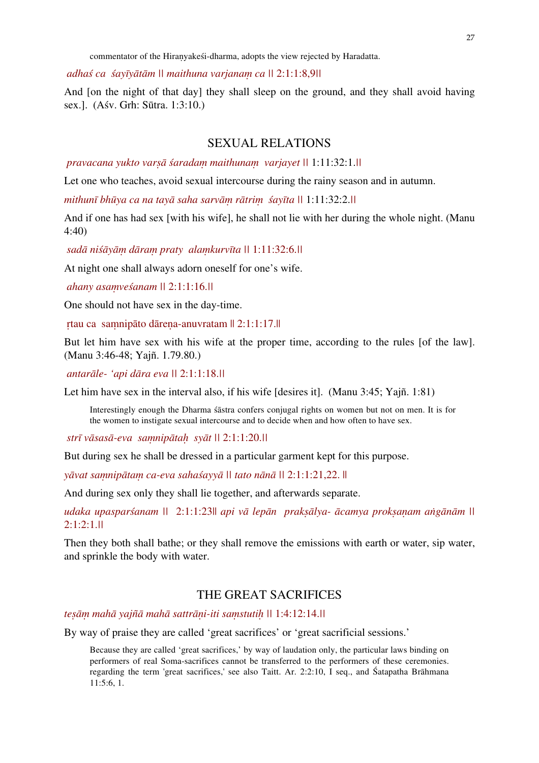commentator of the Hiraṇyakeśi-dharma, adopts the view rejected by Haradatta.

 *adhaś ca śayīyātām || maithuna varjanaṃ ca ||* 2:1:1:8,9*||*

And [on the night of that day] they shall sleep on the ground, and they shall avoid having sex.]. (Aśv. Grh: Sūtra. 1:3:10.)

# SEXUAL RELATIONS

 *pravacana yukto varṣā śaradaṃ maithunaṃ varjayet ||* 1:11:32:1.*||* 

Let one who teaches, avoid sexual intercourse during the rainy season and in autumn.

*mithunī bhūya ca na tayā saha sarvāṃ rātriṃ śayīta ||* 1:11:32:2.*||*

And if one has had sex [with his wife], he shall not lie with her during the whole night. (Manu 4:40)

 *sadā niśāyāṃ dāraṃ praty alaṃkurvīta ||* 1:11:32:6.*||* 

At night one shall always adorn oneself for one's wife.

 *ahany asaṃveśanam ||* 2:1:1:16.*||*

One should not have sex in the day-time.

ṛtau ca saṃnipāto dāreṇa-anuvratam || 2:1:1:17.||

But let him have sex with his wife at the proper time, according to the rules [of the law]. (Manu 3:46-48; Yajñ. 1.79.80.)

 *antarāle- 'api dāra eva ||* 2:1:1:18.*||*

Let him have sex in the interval also, if his wife [desires it]. (Manu 3:45; Yajñ. 1:81)

Interestingly enough the Dharma śāstra confers conjugal rights on women but not on men. It is for the women to instigate sexual intercourse and to decide when and how often to have sex.

 *strī vāsasā-eva saṃnipātaḥ syāt ||* 2:1:1:20.*||*

But during sex he shall be dressed in a particular garment kept for this purpose.

*yāvat saṃnipātaṃ ca-eva sahaśayyā || tato nānā ||* 2:1:1:21,22. ||

And during sex only they shall lie together, and afterwards separate.

udaka upasparśanam || 2:1:1:23|| api vā lepān praksālya- ācamya proksanam angānām || 2:1:2:1.*||* 

Then they both shall bathe; or they shall remove the emissions with earth or water, sip water, and sprinkle the body with water.

# THE GREAT SACRIFICES

*teṣāṃ mahā yajñā mahā sattrāṇi-iti saṃstutiḥ ||* 1:4:12:14.*||* 

By way of praise they are called 'great sacrifices' or 'great sacrificial sessions.'

Because they are called 'great sacrifices,' by way of laudation only, the particular laws binding on performers of real Soma-sacrifices cannot be transferred to the performers of these ceremonies. regarding the term 'great sacrifices,' see also Taitt. Ar. 2:2:10, I seq., and Śatapatha Brāhmana 11:5:6, 1.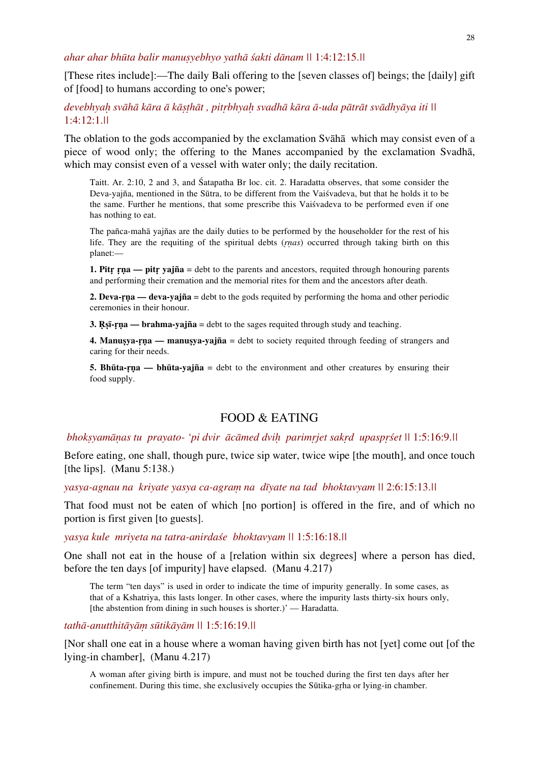*ahar ahar bhūta balir manuṣyebhyo yathā śakti dānam ||* 1:4:12:15.*||* 

[These rites include]:—The daily Bali offering to the [seven classes of] beings; the [daily] gift of [food] to humans according to one's power;

# devebhyah svāhā kāra ā kāsthāt, pitrbhyah svadhā kāra ā-uda pātrāt svādhyāya iti || 1:4:12:1.*||*

The oblation to the gods accompanied by the exclamation Svāhā which may consist even of a piece of wood only; the offering to the Manes accompanied by the exclamation Svadhā, which may consist even of a vessel with water only; the daily recitation.

Taitt. Ar. 2:10, 2 and 3, and Śatapatha Br loc. cit. 2. Haradatta observes, that some consider the Deva-yajña, mentioned in the Sūtra, to be different from the Vaiśvadeva, but that he holds it to be the same. Further he mentions, that some prescribe this Vaiśvadeva to be performed even if one has nothing to eat.

The pañca-mahā yajñas are the daily duties to be performed by the householder for the rest of his life. They are the requiting of the spiritual debts (*ṛṇas*) occurred through taking birth on this planet:—

**1. Pitr rna — pitr vajña** = debt to the parents and ancestors, requited through honouring parents and performing their cremation and the memorial rites for them and the ancestors after death.

**2. Deva-ṛṇa — deva-yajña** = debt to the gods requited by performing the homa and other periodic ceremonies in their honour.

**3. Ṛṣī-ṛṇa — brahma-yajña** = debt to the sages requited through study and teaching.

**4. Manuṣya-ṛṇa — manuṣya-yajña** = debt to society requited through feeding of strangers and caring for their needs.

**5. Bhūta-ṛṇa — bhūta-yajña** = debt to the environment and other creatures by ensuring their food supply.

## FOOD & EATING

#### *bhokṣyamāṇas tu prayato- 'pi dvir ācāmed dviḥ parimṛjet sakṛd upaspṛśet ||* 1:5:16:9.*||*

Before eating, one shall, though pure, twice sip water, twice wipe [the mouth], and once touch [the lips]. (Manu 5:138.)

*yasya-agnau na kriyate yasya ca-agraṃ na dīyate na tad bhoktavyam ||* 2:6:15:13.*||*

That food must not be eaten of which [no portion] is offered in the fire, and of which no portion is first given [to guests].

*yasya kule mriyeta na tatra-anirdaśe bhoktavyam ||* 1:5:16:18.*||*

One shall not eat in the house of a [relation within six degrees] where a person has died, before the ten days [of impurity] have elapsed. (Manu 4.217)

The term "ten days" is used in order to indicate the time of impurity generally. In some cases, as that of a Kshatriya, this lasts longer. In other cases, where the impurity lasts thirty-six hours only, [the abstention from dining in such houses is shorter.]' — Haradatta.

*tathā-anutthitāyāṃ sūtikāyām ||* 1:5:16:19.*||*

[Nor shall one eat in a house where a woman having given birth has not [yet] come out [of the lying-in chamber], (Manu 4.217)

A woman after giving birth is impure, and must not be touched during the first ten days after her confinement. During this time, she exclusively occupies the Sūtika-gṛha or lying-in chamber.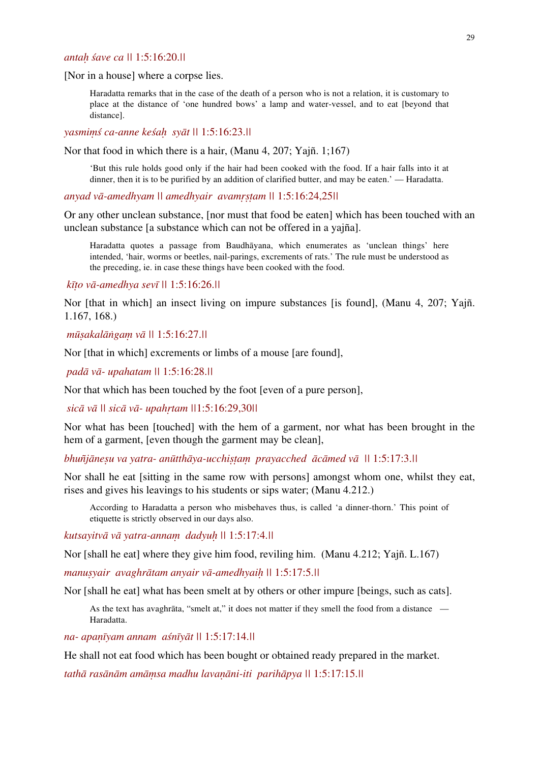## *antaḥ śave ca ||* 1:5:16:20.*||*

[Nor in a house] where a corpse lies.

Haradatta remarks that in the case of the death of a person who is not a relation, it is customary to place at the distance of 'one hundred bows' a lamp and water-vessel, and to eat [beyond that distance].

*yasmiṃś ca-anne keśaḥ syāt ||* 1:5:16:23.*||*

Nor that food in which there is a hair, (Manu 4, 207; Yajñ. 1;167)

'But this rule holds good only if the hair had been cooked with the food. If a hair falls into it at dinner, then it is to be purified by an addition of clarified butter, and may be eaten.' — Haradatta.

*anyad vā-amedhyam || amedhyair avamṛṣṭam ||* 1:5:16:24,25*||* 

Or any other unclean substance, [nor must that food be eaten] which has been touched with an unclean substance [a substance which can not be offered in a yajña].

Haradatta quotes a passage from Baudhāyana, which enumerates as 'unclean things' here intended, 'hair, worms or beetles, nail-parings, excrements of rats.' The rule must be understood as the preceding, ie. in case these things have been cooked with the food.

 *kīṭo vā-amedhya sevī ||* 1:5:16:26.*||* 

Nor [that in which] an insect living on impure substances [is found], (Manu 4, 207; Yajñ. 1.167, 168.)

 *mūṣakalāṅgaṃ vā ||* 1:5:16:27.*||*

Nor [that in which] excrements or limbs of a mouse [are found],

 *padā vā- upahatam ||* 1:5:16:28.*||*

Nor that which has been touched by the foot [even of a pure person],

 *sicā vā || sicā vā- upahṛtam ||*1:5:16:29,30*||*

Nor what has been [touched] with the hem of a garment, nor what has been brought in the hem of a garment, [even though the garment may be clean],

*bhuñjāneṣu va yatra- anūtthāya-ucchiṣṭaṃ prayacched ācāmed vā ||* 1:5:17:3.*||* 

Nor shall he eat [sitting in the same row with persons] amongst whom one, whilst they eat, rises and gives his leavings to his students or sips water; (Manu 4.212.)

According to Haradatta a person who misbehaves thus, is called 'a dinner-thorn.' This point of etiquette is strictly observed in our days also.

*kutsayitvā vā yatra-annaṃ dadyuḥ ||* 1:5:17:4.*||* 

Nor [shall he eat] where they give him food, reviling him. (Manu 4.212; Yajñ. L.167)

*manuṣyair avaghrātam anyair vā-amedhyaiḥ ||* 1:5:17:5.*||* 

Nor [shall he eat] what has been smelt at by others or other impure [beings, such as cats].

As the text has avaghrāta, "smelt at," it does not matter if they smell the food from a distance — Haradatta.

*na- apaṇīyam annam aśnīyāt ||* 1:5:17:14.*||* 

He shall not eat food which has been bought or obtained ready prepared in the market.

*tathā rasānām amāṃsa madhu lavaṇāni-iti parihāpya ||* 1:5:17:15.*||*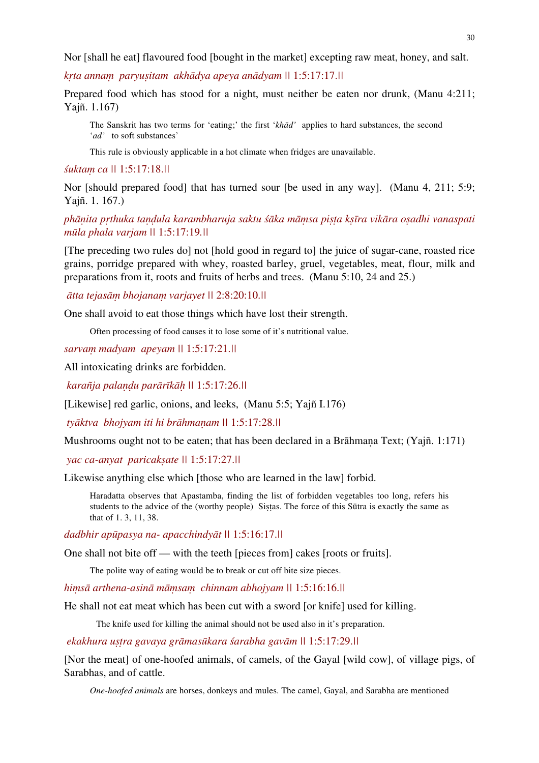Nor [shall he eat] flavoured food [bought in the market] excepting raw meat, honey, and salt.

*kṛta annaṃ paryuṣitam akhādya apeya anādyam ||* 1:5:17:17.*||*

Prepared food which has stood for a night, must neither be eaten nor drunk, (Manu 4:211; Yajñ. 1.167)

The Sanskrit has two terms for 'eating;' the first '*khād'* applies to hard substances, the second '*ad'* to soft substances'

This rule is obviously applicable in a hot climate when fridges are unavailable.

*śuktaṃ ca ||* 1:5:17:18.*||*

Nor [should prepared food] that has turned sour [be used in any way]. (Manu 4, 211; 5:9; Yajñ. 1. 167.)

*phāṇita pṛthuka taṇḍula karambharuja saktu śāka māṃsa piṣṭa kṣīra vikāra oṣadhi vanaspati mūla phala varjam ||* 1:5:17:19*.||*

[The preceding two rules do] not [hold good in regard to] the juice of sugar-cane, roasted rice grains, porridge prepared with whey, roasted barley, gruel, vegetables, meat, flour, milk and preparations from it, roots and fruits of herbs and trees. (Manu 5:10, 24 and 25.)

*ātta tejasāṃ bhojanaṃ varjayet ||* 2:8:20:10.*||* 

One shall avoid to eat those things which have lost their strength.

Often processing of food causes it to lose some of it's nutritional value.

*sarvaṃ madyam apeyam ||* 1:5:17:21.*||*

All intoxicating drinks are forbidden.

 *karañja palaṇḍu parārīkāḥ ||* 1:5:17:26.*||* 

[Likewise] red garlic, onions, and leeks, (Manu 5:5; Yajñ I.176)

 *tyāktva bhojyam iti hi brāhmaṇam ||* 1:5:17:28.*||* 

Mushrooms ought not to be eaten; that has been declared in a Brāhmana Text; (Yajñ. 1:171)

 *yac ca-anyat paricakṣate ||* 1:5:17:27.*||*

Likewise anything else which [those who are learned in the law] forbid.

Haradatta observes that Apastamba, finding the list of forbidden vegetables too long, refers his students to the advice of the (worthy people) Sistas. The force of this Sūtra is exactly the same as that of 1. 3, 11, 38.

*dadbhir apūpasya na- apacchindyāt ||* 1:5:16:17.*||*

One shall not bite off — with the teeth [pieces from] cakes [roots or fruits].

The polite way of eating would be to break or cut off bite size pieces.

*hiṃsā arthena-asinā māṃsaṃ chinnam abhojyam ||* 1:5:16:16.*||* 

He shall not eat meat which has been cut with a sword [or knife] used for killing.

The knife used for killing the animal should not be used also in it's preparation.

 *ekakhura uṣṭra gavaya grāmasūkara śarabha gavām ||* 1:5:17:29.*||* 

[Nor the meat] of one-hoofed animals, of camels, of the Gayal [wild cow], of village pigs, of Sarabhas, and of cattle.

*One-hoofed animals* are horses, donkeys and mules. The camel, Gayal, and Sarabha are mentioned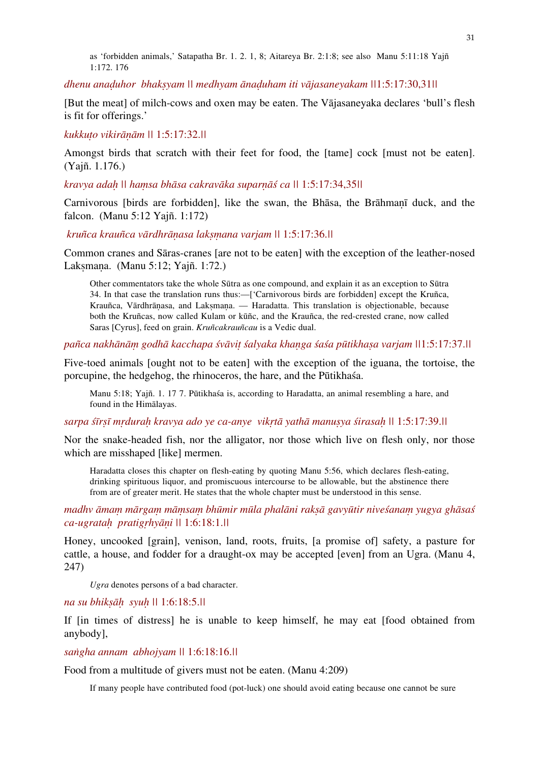as 'forbidden animals,' Satapatha Br. 1. 2. 1, 8; Aitareya Br. 2:1:8; see also Manu 5:11:18 Yajñ 1:172. 176

*dhenu anaḍuhor bhakṣyam || medhyam ānaḍuham iti vājasaneyakam ||*1:5:17:30,31*||*

[But the meat] of milch-cows and oxen may be eaten. The Vājasaneyaka declares 'bull's flesh is fit for offerings.'

*kukkuṭo vikirāṇām ||* 1:5:17:32.*||*

Amongst birds that scratch with their feet for food, the [tame] cock [must not be eaten]. (Yajñ. 1.176.)

*kravya adaḥ || haṃsa bhāsa cakravāka suparṇāś ca ||* 1:5:17:34,35*||*

Carnivorous [birds are forbidden], like the swan, the Bhāsa, the Brāhmaṇī duck, and the falcon. (Manu 5:12 Yajñ. 1:172)

 *kruñca krauñca vārdhrāṇasa lakṣṃana varjam ||* 1:5:17:36.*||* 

Common cranes and Sāras-cranes [are not to be eaten] with the exception of the leather-nosed Lakṣmaṇa. (Manu 5:12; Yajñ. 1:72.)

Other commentators take the whole Sūtra as one compound, and explain it as an exception to Sūtra 34. In that case the translation runs thus:—['Carnivorous birds are forbidden] except the Kruñca, Krauñca, Vārdhrānasa, and Laksmana. — Haradatta. This translation is objectionable, because both the Kruñcas, now called Kulam or kūñc, and the Krauñca, the red-crested crane, now called Saras [Cyrus], feed on grain. *Kruñcakrauñcau* is a Vedic dual.

pañca nakhānām godhā kacchapa śvāvit śalyaka khanga śaśa pūtikhasa varjam \\1:5:17:37.\\]

Five-toed animals [ought not to be eaten] with the exception of the iguana, the tortoise, the porcupine, the hedgehog, the rhinoceros, the hare, and the Pūtikhaśa.

Manu 5:18; Yajñ. 1. 17 7. Pūtikhaśa is, according to Haradatta, an animal resembling a hare, and found in the Himālayas.

sarpa strst mrdurah kravya ado ye ca-anye vikrtā yathā manusya strasah || 1:5:17:39.||

Nor the snake-headed fish, nor the alligator, nor those which live on flesh only, nor those which are misshaped [like] mermen.

Haradatta closes this chapter on flesh-eating by quoting Manu 5:56, which declares flesh-eating, drinking spirituous liquor, and promiscuous intercourse to be allowable, but the abstinence there from are of greater merit. He states that the whole chapter must be understood in this sense.

madhy āmam mārgam māmsam bhūmir mūla phalāni raksā gavyūtir niveśanam yugya ghāsaś *ca-ugrataḥ pratigṛhyāṇi ||* 1:6:18:1.*||* 

Honey, uncooked [grain], venison, land, roots, fruits, [a promise of] safety, a pasture for cattle, a house, and fodder for a draught-ox may be accepted [even] from an Ugra. (Manu 4, 247)

*Ugra* denotes persons of a bad character.

*na su bhikṣāḥ syuḥ ||* 1:6:18:5.*||*

If [in times of distress] he is unable to keep himself, he may eat [food obtained from anybody],

*saṅgha annam abhojyam ||* 1:6:18:16.*||*

Food from a multitude of givers must not be eaten. (Manu 4:209)

If many people have contributed food (pot-luck) one should avoid eating because one cannot be sure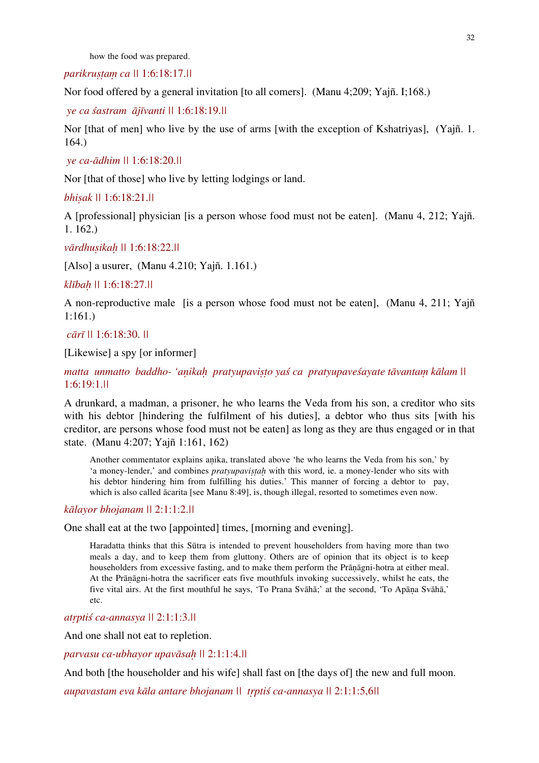how the food was prepared.

*parikruṣṭaṃ ca ||* 1:6:18:17.*||*

Nor food offered by a general invitation [to all comers]. (Manu 4;209; Yajñ. I;168.)

 *ye ca śastram ājīvanti ||* 1:6:18:19.*||*

Nor [that of men] who live by the use of arms [with the exception of Kshatriyas], (Yajñ. 1. 164.)

```
 ye ca-ādhim || 1:6:18:20.||
```
Nor [that of those] who live by letting lodgings or land.

*bhiṣak ||* 1:6:18:21.*||*

A [professional] physician [is a person whose food must not be eaten]. (Manu 4, 212; Yajñ. 1. 162.)

*vārdhuṣikaḥ ||* 1:6:18:22.*||*

[Also] a usurer, (Manu 4.210; Yajñ. 1.161.)

*klībaḥ ||* 1:6:18:27.*||*

A non-reproductive male [is a person whose food must not be eaten], (Manu 4, 211; Yajñ 1:161.)

 *cārī ||* 1:6:18:30. *||*

[Likewise] a spy [or informer]

*matta unmatto baddho- 'aṇikaḥ pratyupaviṣṭo yaś ca pratyupaveśayate tāvantaṃ kālam ||*  1:6:19:1.*||* 

A drunkard, a madman, a prisoner, he who learns the Veda from his son, a creditor who sits with his debtor [hindering the fulfilment of his duties], a debtor who thus sits [with his creditor, are persons whose food must not be eaten] as long as they are thus engaged or in that state. (Manu 4:207; Yajñ 1:161, 162)

Another commentator explains aṇika, translated above 'he who learns the Veda from his son,' by 'a money-lender,' and combines *pratyupavistah* with this word, ie. a money-lender who sits with his debtor hindering him from fulfilling his duties.' This manner of forcing a debtor to pay, which is also called ācarita [see Manu 8:49], is, though illegal, resorted to sometimes even now.

## *kālayor bhojanam ||* 2:1:1:2.*||*

One shall eat at the two [appointed] times, [morning and evening].

Haradatta thinks that this Sūtra is intended to prevent householders from having more than two meals a day, and to keep them from gluttony. Others are of opinion that its object is to keep householders from excessive fasting, and to make them perform the Prāṇāgni-hotra at either meal. At the Prāṇāgni-hotra the sacrificer eats five mouthfuls invoking successively, whilst he eats, the five vital airs. At the first mouthful he says, 'To Prana Svāhā;' at the second, 'To Apāṇa Svāhā,' etc.

*atṛptiś ca-annasya ||* 2:1:1:3.*||*

And one shall not eat to repletion.

*parvasu ca-ubhayor upavāsaḥ ||* 2:1:1:4.*||* 

And both [the householder and his wife] shall fast on [the days of] the new and full moon.

*aupavastam eva kāla antare bhojanam || tṛptiś ca-annasya ||* 2:1:1:5,6*||*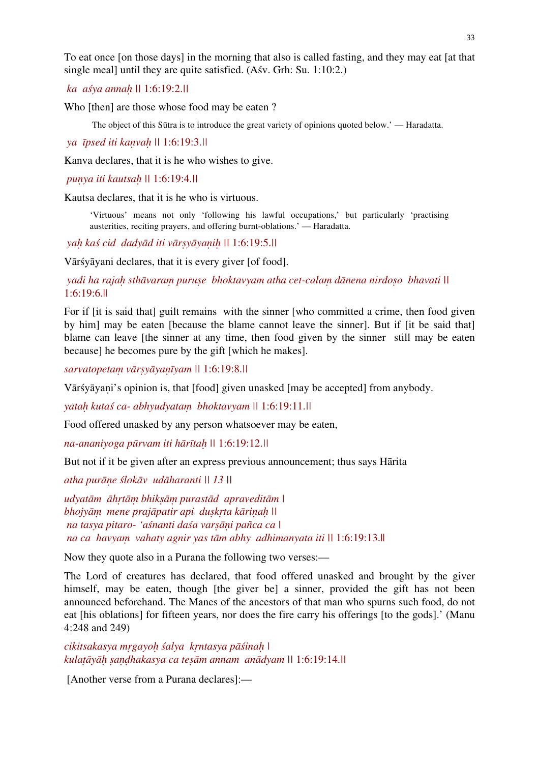To eat once [on those days] in the morning that also is called fasting, and they may eat [at that single meal] until they are quite satisfied. (Aśv. Grh: Su. 1:10:2.)

 *ka aśya annaḥ ||* 1:6:19:2.*||*

Who [then] are those whose food may be eaten ?

The object of this Sūtra is to introduce the great variety of opinions quoted below.' — Haradatta.

 *ya īpsed iti kaṇvaḥ ||* 1:6:19:3.*||* 

Kanva declares, that it is he who wishes to give.

 *puṇya iti kautsaḥ ||* 1:6:19:4.*||*

Kautsa declares, that it is he who is virtuous.

'Virtuous' means not only 'following his lawful occupations,' but particularly 'practising austerities, reciting prayers, and offering burnt-oblations.' — Haradatta.

 *yaḥ kaś cid dadyād iti vārṣyāyaṇiḥ ||* 1:6:19:5.*||* 

Vārśyāyani declares, that it is every giver [of food].

 *yadi ha rajaḥ sthāvaraṃ puruṣe bhoktavyam atha cet-calaṃ dānena nirdoṣo bhavati ||*  1:6:19:6.||

For if [it is said that] guilt remains with the sinner [who committed a crime, then food given by him] may be eaten [because the blame cannot leave the sinner]. But if [it be said that] blame can leave [the sinner at any time, then food given by the sinner still may be eaten because] he becomes pure by the gift [which he makes].

*sarvatopetaṃ vārṣyāyaṇīyam ||* 1:6:19:8.*||*

Vārśyāyaṇi's opinion is, that [food] given unasked [may be accepted] from anybody.

*yataḥ kutaś ca- abhyudyataṃ bhoktavyam ||* 1:6:19:11.*||*

Food offered unasked by any person whatsoever may be eaten,

*na-ananiyoga pūrvam iti hārītaḥ ||* 1:6:19:12.*||*

But not if it be given after an express previous announcement; thus says Hārita

*atha purāṇe ślokāv udāharanti || 13 ||* 

*udyatām āhṛtāṃ bhikṣāṃ purastād apraveditām | bhojyāṃ mene prajāpatir api duṣkṛta kāriṇaḥ || na tasya pitaro- 'aśnanti daśa varṣāṇi pañca ca | na ca havyaṃ vahaty agnir yas tām abhy adhimanyata iti ||* 1:6:19:13.||

Now they quote also in a Purana the following two verses:—

The Lord of creatures has declared, that food offered unasked and brought by the giver himself, may be eaten, though [the giver be] a sinner, provided the gift has not been announced beforehand. The Manes of the ancestors of that man who spurns such food, do not eat [his oblations] for fifteen years, nor does the fire carry his offerings [to the gods].' (Manu 4:248 and 249)

*cikitsakasya mṛgayoḥ śalya kṛntasya pāśinaḥ | kulaṭāyāḥ ṣaṇḍhakasya ca teṣām annam anādyam ||* 1:6:19:14.*||*

[Another verse from a Purana declares]:—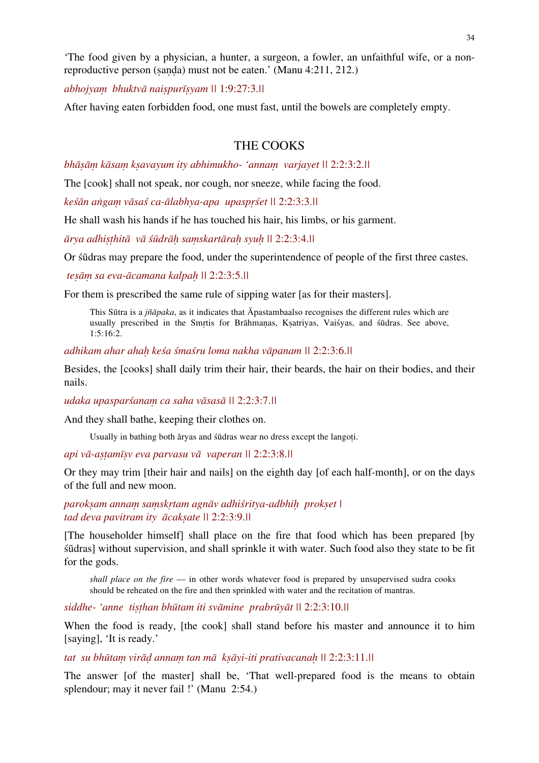'The food given by a physician, a hunter, a surgeon, a fowler, an unfaithful wife, or a nonreproductive person (ṣaṇḍa) must not be eaten.' (Manu 4:211, 212.)

*abhojyaṃ bhuktvā naiṣpurīṣyam ||* 1:9:27:3.*||* 

After having eaten forbidden food, one must fast, until the bowels are completely empty.

# THE COOKS

*bhāṣāṃ kāsaṃ kṣavayum ity abhimukho- 'annaṃ varjayet ||* 2:2:3:2.*||* 

The [cook] shall not speak, nor cough, nor sneeze, while facing the food.

*keśān aṅgaṃ vāsaś ca-ālabhya-apa upaspṛśet ||* 2:2:3:3.*||*

He shall wash his hands if he has touched his hair, his limbs, or his garment.

*ārya adhiṣṭhitā vā śūdrāḥ saṃskartāraḥ syuḥ ||* 2:2:3:4.*||*

Or śūdras may prepare the food, under the superintendence of people of the first three castes.

 *teṣāṃ sa eva-ācamana kalpaḥ ||* 2:2:3:5.*||*

For them is prescribed the same rule of sipping water [as for their masters].

This Sūtra is a *jñāpaka*, as it indicates that Āpastambaalso recognises the different rules which are usually prescribed in the Smṛtis for Brāhmaṇas, Kṣatriyas, Vaiśyas, and śūdras. See above, 1:5:16:2.

*adhikam ahar ahaḥ keśa śmaśru loma nakha vāpanam ||* 2:2:3:6.*||* 

Besides, the [cooks] shall daily trim their hair, their beards, the hair on their bodies, and their nails.

*udaka upasparśanaṃ ca saha vāsasā ||* 2:2:3:7.*||*

And they shall bathe, keeping their clothes on.

Usually in bathing both āryas and śūdras wear no dress except the langoṭi.

*api vā-aṣṭamīṣv eva parvasu vā vaperan ||* 2:2:3:8.*||* 

Or they may trim [their hair and nails] on the eighth day [of each half-month], or on the days of the full and new moon.

*parokṣam annaṃ saṃskṛtam agnāv adhiśritya-adbhiḥ prokṣet | tad deva pavitram ity ācakṣate ||* 2:2:3:9.*||*

[The householder himself] shall place on the fire that food which has been prepared [by śūdras] without supervision, and shall sprinkle it with water. Such food also they state to be fit for the gods.

*shall place on the fire* — in other words whatever food is prepared by unsupervised sudra cooks should be reheated on the fire and then sprinkled with water and the recitation of mantras.

*siddhe- 'anne tiṣṭhan bhūtam iti svāmine prabrūyāt ||* 2:2:3:10.*||* 

When the food is ready, [the cook] shall stand before his master and announce it to him [saying], 'It is ready.'

*tat su bhūtaṃ virāḍ annaṃ tan mā kṣāyi-iti prativacanaḥ ||* 2:2:3:11.*||*

The answer [of the master] shall be, 'That well-prepared food is the means to obtain splendour; may it never fail !' (Manu 2:54.)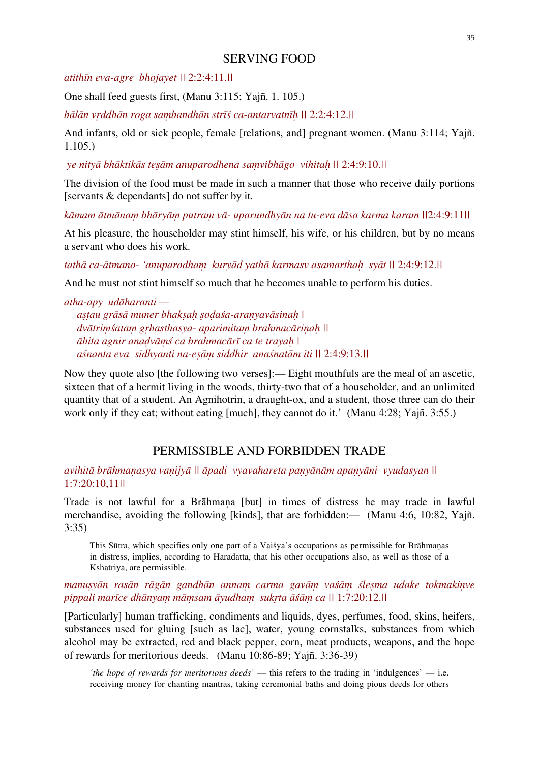# SERVING FOOD

*atithīn eva-agre bhojayet ||* 2:2:4:11.*||* 

One shall feed guests first, (Manu 3:115; Yajñ. 1. 105.)

*bālān vṛddhān roga saṃbandhān strīś ca-antarvatnīḥ ||* 2:2:4:12.*||* 

And infants, old or sick people, female [relations, and] pregnant women. (Manu 3:114; Yajñ. 1.105.)

 *ye nityā bhāktikās teṣām anuparodhena saṃvibhāgo vihitaḥ ||* 2:4:9:10.*||* 

The division of the food must be made in such a manner that those who receive daily portions [servants & dependants] do not suffer by it.

kāmam ātmānam bhāryām putram vā- uparundhyān na tu-eva dāsa karma karam \\[2:4:9:11\]

At his pleasure, the householder may stint himself, his wife, or his children, but by no means a servant who does his work.

*tathā ca-ātmano- 'anuparodhaṃ kuryād yathā karmasv asamarthaḥ syāt ||* 2:4:9:12.*||* 

And he must not stint himself so much that he becomes unable to perform his duties.

*atha-apy udāharanti aṣṭau grāsā muner bhakṣaḥ ṣoḍaśa-araṇyavāsinaḥ | dvātriṃśataṃ gṛhasthasya- aparimitaṃ brahmacāriṇaḥ || āhita agnir anaḍvāṃś ca brahmacārī ca te trayaḥ | aśnanta eva sidhyanti na-eṣāṃ siddhir anaśnatām iti ||* 2:4:9:13.*||* 

Now they quote also [the following two verses]:— Eight mouthfuls are the meal of an ascetic, sixteen that of a hermit living in the woods, thirty-two that of a householder, and an unlimited quantity that of a student. An Agnihotrin, a draught-ox, and a student, those three can do their work only if they eat; without eating [much], they cannot do it.' (Manu 4:28; Yajñ. 3:55.)

# PERMISSIBLE AND FORBIDDEN TRADE

avihitā brāhmanasya vanijyā || āpadi vyavahareta panyānām apanyāni vyudasyan || 1:7:20:10,11*||*

Trade is not lawful for a Brāhmana [but] in times of distress he may trade in lawful merchandise, avoiding the following [kinds], that are forbidden:— (Manu 4:6, 10:82, Yajñ. 3:35)

This Sūtra, which specifies only one part of a Vaiśya's occupations as permissible for Brāhmaṇas in distress, implies, according to Haradatta, that his other occupations also, as well as those of a Kshatriya, are permissible.

# manusyān rasān rāgān gandhān annam carma gavām vaśām ślesma udake tokmakinve *pippali marīce dhānyaṃ māṃsam āyudhaṃ sukṛta āśāṃ ca ||* 1:7:20:12.*||*

[Particularly] human trafficking, condiments and liquids, dyes, perfumes, food, skins, heifers, substances used for gluing [such as lac], water, young cornstalks, substances from which alcohol may be extracted, red and black pepper, corn, meat products, weapons, and the hope of rewards for meritorious deeds. (Manu 10:86-89; Yajñ. 3:36-39)

*'the hope of rewards for meritorious deeds'* — this refers to the trading in 'indulgences' — i.e. receiving money for chanting mantras, taking ceremonial baths and doing pious deeds for others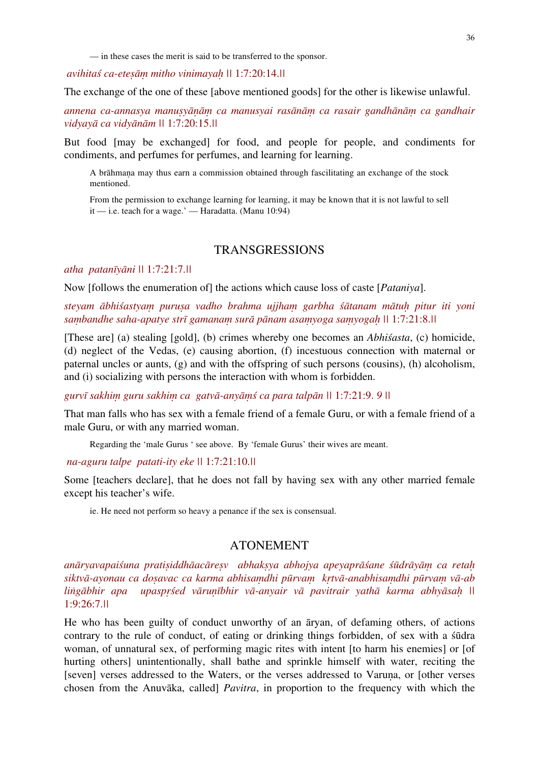— in these cases the merit is said to be transferred to the sponsor.

 *avihitaś ca-eteṣāṃ mitho vinimayaḥ ||* 1:7:20:14.*||*

The exchange of the one of these [above mentioned goods] for the other is likewise unlawful.

*annena ca-annasya manuṣyāṇāṃ ca manusyai rasānāṃ ca rasair gandhānāṃ ca gandhair vidyayā ca vidyānām ||* 1:7:20:15.*||*

But food [may be exchanged] for food, and people for people, and condiments for condiments, and perfumes for perfumes, and learning for learning.

A brāhmaṇa may thus earn a commission obtained through fascilitating an exchange of the stock mentioned.

From the permission to exchange learning for learning, it may be known that it is not lawful to sell  $it$  — i.e. teach for a wage.' — Haradatta. (Manu 10:94)

## TRANSGRESSIONS

*atha patanīyāni ||* 1:7:21:7.*||*

Now [follows the enumeration of] the actions which cause loss of caste [*Pataniya*].

*steyam ābhiśastyaṃ puruṣa vadho brahma ujjhaṃ garbha śātanam mātuḥ pitur iti yoni saṃbandhe saha-apatye strī gamanaṃ surā pānam asaṃyoga saṃyogaḥ ||* 1:7:21:8.*||* 

[These are] (a) stealing [gold], (b) crimes whereby one becomes an *Abhiśasta*, (c) homicide, (d) neglect of the Vedas, (e) causing abortion, (f) incestuous connection with maternal or paternal uncles or aunts, (g) and with the offspring of such persons (cousins), (h) alcoholism, and (i) socializing with persons the interaction with whom is forbidden.

*gurvī sakhiṃ guru sakhiṃ ca gatvā-anyāṃś ca para talpān ||* 1:7:21:9. *9 ||*

That man falls who has sex with a female friend of a female Guru, or with a female friend of a male Guru, or with any married woman.

Regarding the 'male Gurus ' see above. By 'female Gurus' their wives are meant.

 *na-aguru talpe patati-ity eke ||* 1:7:21:10.*||* 

Some [teachers declare], that he does not fall by having sex with any other married female except his teacher's wife.

ie. He need not perform so heavy a penance if the sex is consensual.

# ATONEMENT

anāryavapaiśuna pratisiddhāacāresv abhaksya abhojya apeyaprāśane śūdrāyām ca retah siktvā-ayonau ca dosavac ca karma abhisamdhi pūrvam krtvā-anabhisamdhi pūrvam vā-ab lingābhir apa upasprśed vārunībhir vā-anyair vā pavitrair yathā karma abhyāsah || 1:9:26:7.*||*

He who has been guilty of conduct unworthy of an āryan, of defaming others, of actions contrary to the rule of conduct, of eating or drinking things forbidden, of sex with a śūdra woman, of unnatural sex, of performing magic rites with intent [to harm his enemies] or [of hurting others] unintentionally, shall bathe and sprinkle himself with water, reciting the [seven] verses addressed to the Waters, or the verses addressed to Varuna, or [other verses chosen from the Anuvāka, called] *Pavitra*, in proportion to the frequency with which the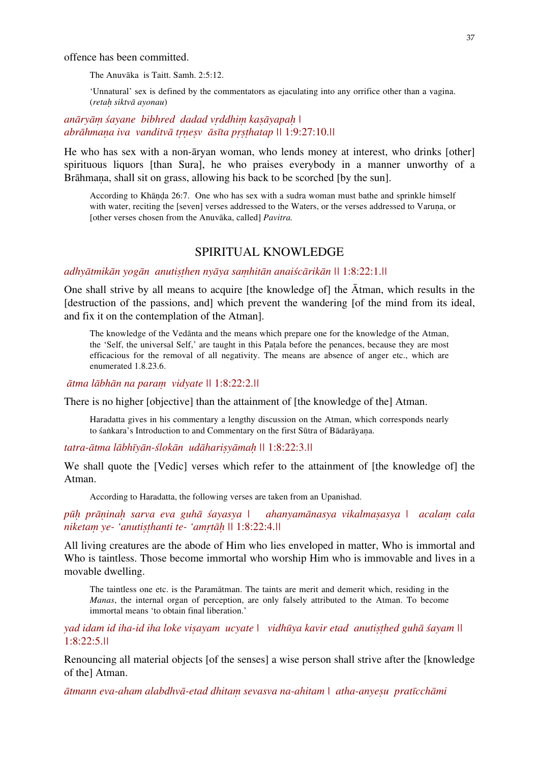offence has been committed.

The Anuvāka is Taitt. Samh. 2:5:12.

'Unnatural' sex is defined by the commentators as ejaculating into any orrifice other than a vagina. (*retaḥ siktvā ayonau*)

*anāryāṃ śayane bibhred dadad vṛddhiṃ kaṣāyapaḥ | abrāhmaṇa iva vanditvā tṛṇeṣv āsīta pṛṣṭhatap ||* 1:9:27:10.*||*

He who has sex with a non-āryan woman, who lends money at interest, who drinks [other] spirituous liquors [than Sura], he who praises everybody in a manner unworthy of a Brāhmana, shall sit on grass, allowing his back to be scorched [by the sun].

According to Khāṇḍa 26:7. One who has sex with a sudra woman must bathe and sprinkle himself with water, reciting the [seven] verses addressed to the Waters, or the verses addressed to Varuna, or [other verses chosen from the Anuvāka, called] *Pavitra.*

# SPIRITUAL KNOWLEDGE

#### adhyātmikān yogān anutisthen nyāya samhitān anaiścārikān || 1:8:22:1.||

One shall strive by all means to acquire [the knowledge of] the Ātman, which results in the [destruction of the passions, and] which prevent the wandering [of the mind from its ideal, and fix it on the contemplation of the Atman].

The knowledge of the Vedānta and the means which prepare one for the knowledge of the Atman, the 'Self, the universal Self,' are taught in this Paṭala before the penances, because they are most efficacious for the removal of all negativity. The means are absence of anger etc., which are enumerated 1.8.23.6.

*ātma lābhān na paraṃ vidyate ||* 1:8:22:2.*||*

There is no higher [objective] than the attainment of [the knowledge of the] Atman.

Haradatta gives in his commentary a lengthy discussion on the Atman, which corresponds nearly to śaṅkara's Introduction to and Commentary on the first Sūtra of Bādarāyana.

*tatra-ātma lābhīyān-ślokān udāhariṣyāmaḥ ||* 1:8:22:3.*||* 

We shall quote the [Vedic] verses which refer to the attainment of [the knowledge of] the Atman.

According to Haradatta, the following verses are taken from an Upanishad.

*pūḥ prāṇinaḥ sarva eva guhā śayasya | ahanyamānasya vikalmaṣasya | acalaṃ cala niketaṃ ye- 'anutiṣṭhanti te- 'amṛtāḥ ||* 1:8:22:4.*||* 

All living creatures are the abode of Him who lies enveloped in matter, Who is immortal and Who is taintless. Those become immortal who worship Him who is immovable and lives in a movable dwelling.

The taintless one etc. is the Paramātman. The taints are merit and demerit which, residing in the *Manas*, the internal organ of perception, are only falsely attributed to the Atman. To become immortal means 'to obtain final liberation.'

*yad idam id iha-id iha loke viṣayam ucyate | vidhūya kavir etad anutiṣṭhed guhā śayam ||* 1:8:22:5.*||*

Renouncing all material objects [of the senses] a wise person shall strive after the [knowledge of the] Atman.

*ātmann eva-aham alabdhvā-etad dhitaṃ sevasva na-ahitam | atha-anyeṣu pratīcchāmi*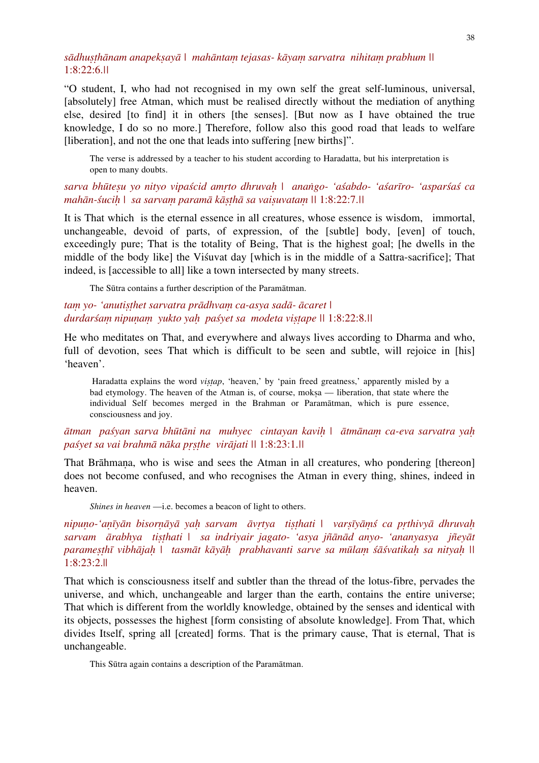# sādhusthānam anapeksavā | mahāntam tejasas- kāyam sarvatra nihitam prabhum || 1:8:22:6.*||*

"O student, I, who had not recognised in my own self the great self-luminous, universal, [absolutely] free Atman, which must be realised directly without the mediation of anything else, desired [to find] it in others [the senses]. [But now as I have obtained the true knowledge, I do so no more.] Therefore, follow also this good road that leads to welfare [liberation], and not the one that leads into suffering [new births]".

The verse is addressed by a teacher to his student according to Haradatta, but his interpretation is open to many doubts.

# sarva bhūtesu yo nityo vipaścid amrto dhruvah | anango- 'aśabdo- 'aśarīro- 'asparśaś ca *mahān-śuciḥ | sa sarvaṃ paramā kāṣṭhā sa vaiṣuvataṃ ||* 1:8:22:7.*||*

It is That which is the eternal essence in all creatures, whose essence is wisdom, immortal, unchangeable, devoid of parts, of expression, of the [subtle] body, [even] of touch, exceedingly pure; That is the totality of Being, That is the highest goal; [he dwells in the middle of the body like] the Viśuvat day [which is in the middle of a Sattra-sacrifice]; That indeed, is [accessible to all] like a town intersected by many streets.

The Sūtra contains a further description of the Paramātman.

# *taṃ yo- 'anutiṣṭhet sarvatra prādhvaṃ ca-asya sadā- ācaret | durdarśaṃ nipuṇaṃ yukto yaḥ paśyet sa modeta viṣṭape ||* 1:8:22:8.*||*

He who meditates on That, and everywhere and always lives according to Dharma and who, full of devotion, sees That which is difficult to be seen and subtle, will rejoice in [his] 'heaven'.

Haradatta explains the word *vistap*, 'heaven,' by 'pain freed greatness,' apparently misled by a bad etymology. The heaven of the Atman is, of course, moksa — liberation, that state where the individual Self becomes merged in the Brahman or Paramātman, which is pure essence, consciousness and joy.

# *ātman paśyan sarva bhūtāni na muhyec cintayan kaviḥ | ātmānaṃ ca-eva sarvatra yaḥ paśyet sa vai brahmā nāka pṛṣṭhe virājati ||* 1:8:23:1.*||*

That Brāhmaṇa, who is wise and sees the Atman in all creatures, who pondering [thereon] does not become confused, and who recognises the Atman in every thing, shines, indeed in heaven.

*Shines in heaven* —i.e. becomes a beacon of light to others.

nipuno-'anīyān bisornāyā yah sarvam āvrtya tisthati | varsīyāmś ca prthivyā dhruvah *sarvam ārabhya tiṣṭhati | sa indriyair jagato- 'asya jñānād anyo- 'ananyasya jñeyāt*  paramesthī vibhājah | tasmāt kāyāh prabhavanti sarve sa mūlam śāśvatikah sa nityah || 1:8:23:2.||

That which is consciousness itself and subtler than the thread of the lotus-fibre, pervades the universe, and which, unchangeable and larger than the earth, contains the entire universe; That which is different from the worldly knowledge, obtained by the senses and identical with its objects, possesses the highest [form consisting of absolute knowledge]. From That, which divides Itself, spring all [created] forms. That is the primary cause, That is eternal, That is unchangeable.

This Sūtra again contains a description of the Paramātman.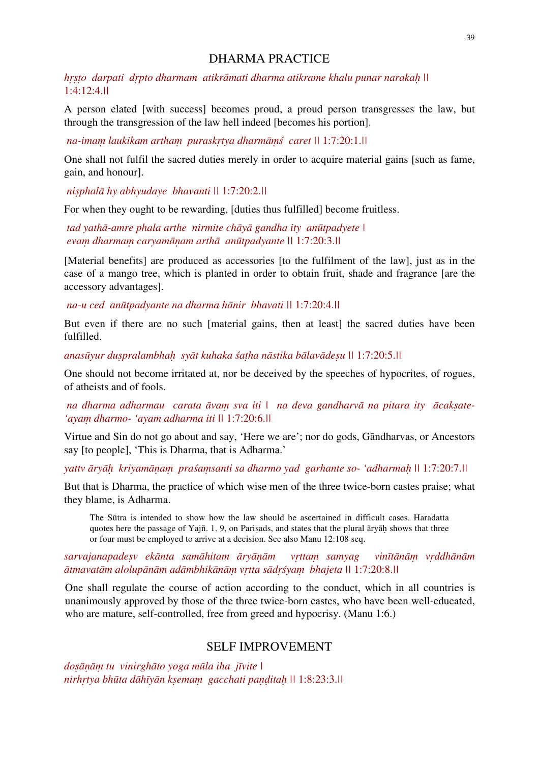# DHARMA PRACTICE

*hṛṣṭo darpati dṛpto dharmam atikrāmati dharma atikrame khalu punar narakaḥ ||*  1:4:12:4.*||* 

A person elated [with success] becomes proud, a proud person transgresses the law, but through the transgression of the law hell indeed [becomes his portion].

 *na-imaṃ laukikam arthaṃ puraskṛtya dharmāṃś caret ||* 1:7:20:1.*||* 

One shall not fulfil the sacred duties merely in order to acquire material gains [such as fame, gain, and honour].

 *niṣphalā hy abhyudaye bhavanti ||* 1:7:20:2.*||*

For when they ought to be rewarding, [duties thus fulfilled] become fruitless.

 *tad yathā-amre phala arthe nirmite chāyā gandha ity anūtpadyete | evaṃ dharmaṃ caryamāṇam arthā anūtpadyante ||* 1:7:20:3.*||* 

[Material benefits] are produced as accessories [to the fulfilment of the law], just as in the case of a mango tree, which is planted in order to obtain fruit, shade and fragrance [are the accessory advantages].

 *na-u ced anūtpadyante na dharma hānir bhavati ||* 1:7:20:4.*||* 

But even if there are no such [material gains, then at least] the sacred duties have been fulfilled.

anasūvur duspralambhah svāt kuhaka śatha nāstika bālavādesu \\ 1:7:20:5.\\

One should not become irritated at, nor be deceived by the speeches of hypocrites, of rogues, of atheists and of fools.

 *na dharma adharmau carata āvaṃ sva iti | na deva gandharvā na pitara ity ācakṣate- 'ayaṃ dharmo- 'ayam adharma iti ||* 1:7:20:6.*||*

Virtue and Sin do not go about and say, 'Here we are'; nor do gods, Gāndharvas, or Ancestors say [to people], 'This is Dharma, that is Adharma.'

*yattv āryāḥ kriyamāṇaṃ praśaṃsanti sa dharmo yad garhante so- 'adharmaḥ ||* 1:7:20:7.*||*

But that is Dharma, the practice of which wise men of the three twice-born castes praise; what they blame, is Adharma.

The Sūtra is intended to show how the law should be ascertained in difficult cases. Haradatta quotes here the passage of Yajñ. 1. 9, on Pariṣads, and states that the plural āryāḥ shows that three or four must be employed to arrive at a decision. See also Manu 12:108 seq.

sarvajanapadesv ekānta samāhitam āryāņām vrttam samyag vinītānām vrddhānām ātmavatām alolupānām adāmbhikānām vrtta sādrśyam bhajeta || 1:7:20:8.||

One shall regulate the course of action according to the conduct, which in all countries is unanimously approved by those of the three twice-born castes, who have been well-educated, who are mature, self-controlled, free from greed and hypocrisy. (Manu 1:6.)

# SELF IMPROVEMENT

*doṣāṇāṃ tu vinirghāto yoga mūla iha jīvite | nirhṛtya bhūta dāhīyān kṣemaṃ gacchati paṇḍitaḥ ||* 1:8:23:3.*||*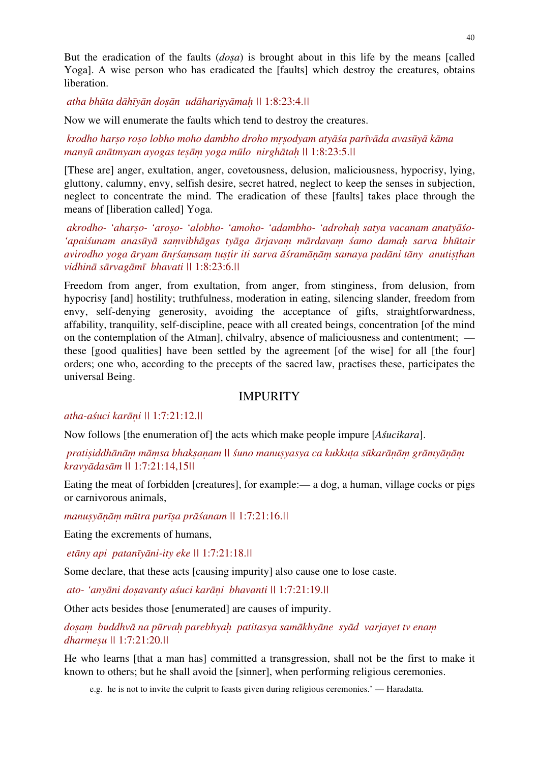But the eradication of the faults (*doṣa*) is brought about in this life by the means [called Yoga]. A wise person who has eradicated the [faults] which destroy the creatures, obtains liberation.

 *atha bhūta dāhīyān doṣān udāhariṣyāmaḥ ||* 1:8:23:4.*||* 

Now we will enumerate the faults which tend to destroy the creatures.

 *krodho harṣo roṣo lobho moho dambho droho mṛṣodyam atyāśa parīvāda avasūyā kāma manyū anātmyam ayogas teṣāṃ yoga mūlo nirghātaḥ ||* 1:8:23:5.*||* 

[These are] anger, exultation, anger, covetousness, delusion, maliciousness, hypocrisy, lying, gluttony, calumny, envy, selfish desire, secret hatred, neglect to keep the senses in subjection, neglect to concentrate the mind. The eradication of these [faults] takes place through the means of [liberation called] Yoga.

 *akrodho- 'aharṣo- 'aroṣo- 'alobho- 'amoho- 'adambho- 'adrohaḥ satya vacanam anatyāśo-* 'apaiśunam anasūyā samvibhāgas tyāga ārjavam mārdavam śamo damah sarva bhūtair avirodho yoga āryam ānrśamsam tustir iti sarva āśramānām samaya padāni tāny anutisthan *vidhinā sārvagāmī bhavati ||* 1:8:23:6.*||* 

Freedom from anger, from exultation, from anger, from stinginess, from delusion, from hypocrisy [and] hostility; truthfulness, moderation in eating, silencing slander, freedom from envy, self-denying generosity, avoiding the acceptance of gifts, straightforwardness, affability, tranquility, self-discipline, peace with all created beings, concentration [of the mind on the contemplation of the Atman], chilvalry, absence of maliciousness and contentment; these [good qualities] have been settled by the agreement [of the wise] for all [the four] orders; one who, according to the precepts of the sacred law, practises these, participates the universal Being.

# **IMPURITY**

## *atha-aśuci karāṇi ||* 1:7:21:12.*||*

Now follows [the enumeration of] the acts which make people impure [*Aśucikara*].

pratisiddhānām māmsa bhaksanam \\\ suno manusyasya ca kukkuta sūkarānām grāmyānām *kravyādasām ||* 1:7:21:14,15*||* 

Eating the meat of forbidden [creatures], for example:— a dog, a human, village cocks or pigs or carnivorous animals,

*manuṣyāṇāṃ mūtra purīṣa prāśanam ||* 1:7:21:16.*||*

Eating the excrements of humans,

 *etāny api patanīyāni-ity eke ||* 1:7:21:18.*||*

Some declare, that these acts [causing impurity] also cause one to lose caste.

 *ato- 'anyāni doṣavanty aśuci karāṇi bhavanti ||* 1:7:21:19.*||* 

Other acts besides those [enumerated] are causes of impurity.

*doṣaṃ buddhvā na pūrvaḥ parebhyaḥ patitasya samākhyāne syād varjayet tv enaṃ dharmeṣu ||* 1:7:21:20.*||*

He who learns [that a man has] committed a transgression, shall not be the first to make it known to others; but he shall avoid the [sinner], when performing religious ceremonies.

e.g. he is not to invite the culprit to feasts given during religious ceremonies.' — Haradatta.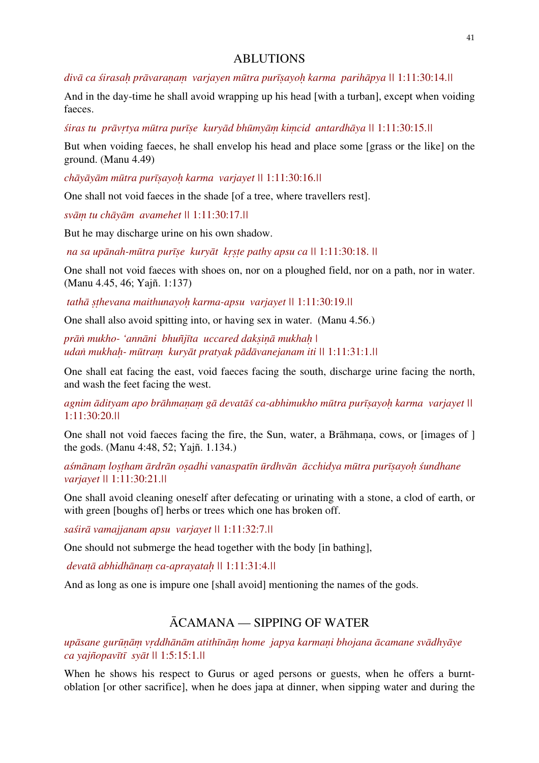# ABLUTIONS

divā ca śirasah prāvaraņam varjayen mūtra purīsayoh karma parihāpya || 1:11:30:14.||

And in the day-time he shall avoid wrapping up his head [with a turban], except when voiding faeces.

siras tu prāvrtya mūtra purīse kuryād bhūmyām kimcid antardhāya || 1:11:30:15.||

But when voiding faeces, he shall envelop his head and place some [grass or the like] on the ground. (Manu 4.49)

*chāyāyām mūtra purīṣayoḥ karma varjayet ||* 1:11:30:16.*||* 

One shall not void faeces in the shade [of a tree, where travellers rest].

*svāṃ tu chāyām avamehet ||* 1:11:30:17.*||*

But he may discharge urine on his own shadow.

 *na sa upānah-mūtra purīṣe kuryāt kṛṣṭe pathy apsu ca ||* 1:11:30:18. *||* 

One shall not void faeces with shoes on, nor on a ploughed field, nor on a path, nor in water. (Manu 4.45, 46; Yajñ. 1:137)

 *tathā ṣṭhevana maithunayoḥ karma-apsu varjayet ||* 1:11:30:19.*||* 

One shall also avoid spitting into, or having sex in water. (Manu 4.56.)

*prāṅ mukho- 'annāni bhuñjīta uccared dakṣiṇā mukhaḥ | udaṅ mukhaḥ- mūtraṃ kuryāt pratyak pādāvanejanam iti ||* 1:11:31:1.*||* 

One shall eat facing the east, void faeces facing the south, discharge urine facing the north, and wash the feet facing the west.

*agnim ādityam apo brāhmaṇaṃ gā devatāś ca-abhimukho mūtra purīṣayoḥ karma varjayet ||*  1:11:30:20.*||* 

One shall not void faeces facing the fire, the Sun, water, a Brāhmana, cows, or [images of ] the gods. (Manu 4:48, 52; Yajñ. 1.134.)

aśmānam lostham ārdrān osadhi vanaspatīn ūrdhvān ācchidya mūtra purīsayoh śundhane *varjayet ||* 1:11:30:21.*||*

One shall avoid cleaning oneself after defecating or urinating with a stone, a clod of earth, or with green [boughs of] herbs or trees which one has broken off.

*saśirā vamajjanam apsu varjayet ||* 1:11:32:7.*||*

One should not submerge the head together with the body [in bathing],

*devatā abhidhānaṃ ca-aprayataḥ ||* 1:11:31:4.*||*

And as long as one is impure one [shall avoid] mentioning the names of the gods.

# ĀCAMANA — SIPPING OF WATER

upāsane gurūnām vrddhānām atithīnām home japya karmani bhojana ācamane svādhyāye *ca yajñopavītī syāt ||* 1:5:15:1.*||* 

When he shows his respect to Gurus or aged persons or guests, when he offers a burntoblation [or other sacrifice], when he does japa at dinner, when sipping water and during the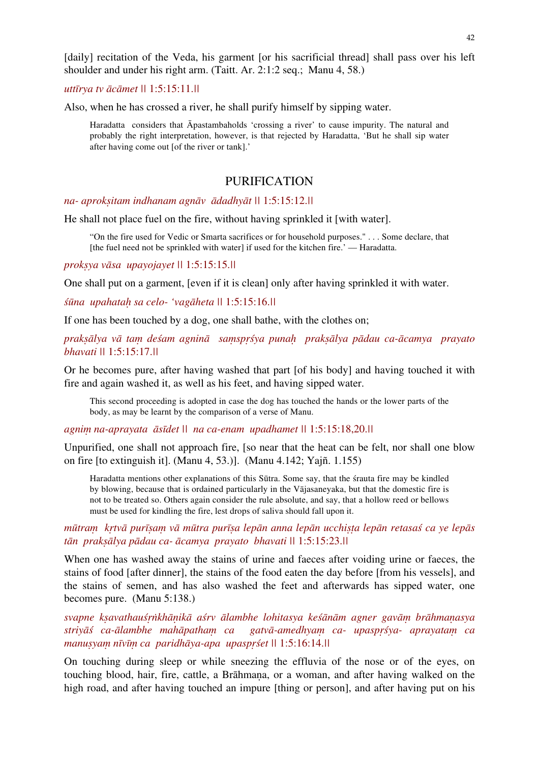[daily] recitation of the Veda, his garment [or his sacrificial thread] shall pass over his left shoulder and under his right arm. (Taitt. Ar. 2:1:2 seq.; Manu 4, 58.)

*uttīrya tv ācāmet ||* 1:5:15:11.*||*

Also, when he has crossed a river, he shall purify himself by sipping water.

Haradatta considers that Āpastambaholds 'crossing a river' to cause impurity. The natural and probably the right interpretation, however, is that rejected by Haradatta, 'But he shall sip water after having come out [of the river or tank].'

# PURIFICATION

*na- aprokṣitam indhanam agnāv ādadhyāt ||* 1:5:15:12.*||* 

He shall not place fuel on the fire, without having sprinkled it [with water].

"On the fire used for Vedic or Smarta sacrifices or for household purposes." . . . Some declare, that [the fuel need not be sprinkled with water] if used for the kitchen fire.' — Haradatta.

*prokṣya vāsa upayojayet ||* 1:5:15:15.*||*

One shall put on a garment, [even if it is clean] only after having sprinkled it with water.

*śūna upahataḥ sa celo- 'vagāheta ||* 1:5:15:16.*||* 

If one has been touched by a dog, one shall bathe, with the clothes on;

praksālya vā tam deśam agninā samsprśya punah praksālya pādau ca-ācamya prayato *bhavati ||* 1:5:15:17.*||*

Or he becomes pure, after having washed that part [of his body] and having touched it with fire and again washed it, as well as his feet, and having sipped water.

This second proceeding is adopted in case the dog has touched the hands or the lower parts of the body, as may be learnt by the comparison of a verse of Manu.

*agniṃ na-aprayata āsīdet || na ca-enam upadhamet ||* 1:5:15:18,20.*||* 

Unpurified, one shall not approach fire, [so near that the heat can be felt, nor shall one blow on fire [to extinguish it]. (Manu 4, 53.)]. (Manu 4.142; Yajñ. 1.155)

Haradatta mentions other explanations of this Sūtra. Some say, that the śrauta fire may be kindled by blowing, because that is ordained particularly in the Vājasaneyaka, but that the domestic fire is not to be treated so. Others again consider the rule absolute, and say, that a hollow reed or bellows must be used for kindling the fire, lest drops of saliva should fall upon it.

mūtram krtvā purīsam vā mūtra purīsa lepān anna lepān ucchista lepān retasaś ca ye lepās *tān prakṣālya pādau ca- ācamya prayato bhavati ||* 1:5:15:23.*||* 

When one has washed away the stains of urine and faeces after voiding urine or faeces, the stains of food [after dinner], the stains of the food eaten the day before [from his vessels], and the stains of semen, and has also washed the feet and afterwards has sipped water, one becomes pure. (Manu 5:138.)

svapne ksavathauśrnkhānikā aśrv ālambhe lohitasya keśānām agner gavām brāhmanasya *striyāś ca-ālambhe mahāpathaṃ ca gatvā-amedhyaṃ ca- upaspṛśya- aprayataṃ ca manuṣyaṃ nīvīṃ ca paridhāya-apa upaspṛśet ||* 1:5:16:14.*||*

On touching during sleep or while sneezing the effluvia of the nose or of the eyes, on touching blood, hair, fire, cattle, a Brāhmana, or a woman, and after having walked on the high road, and after having touched an impure [thing or person], and after having put on his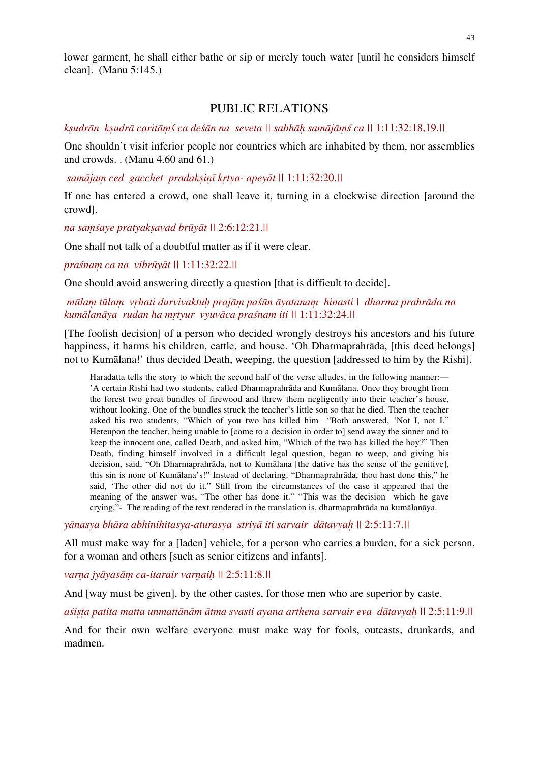lower garment, he shall either bathe or sip or merely touch water [until he considers himself clean]. (Manu 5:145.)

# PUBLIC RELATIONS

ksudrān ksudrā caritāms ca desān na seveta || sabhāh samājāms ca || 1:11:32:18,19.||

One shouldn't visit inferior people nor countries which are inhabited by them, nor assemblies and crowds. . (Manu 4.60 and 61.)

 *samājaṃ ced gacchet pradakṣiṇī kṛtya- apeyāt ||* 1:11:32:20.*||* 

If one has entered a crowd, one shall leave it, turning in a clockwise direction [around the crowd].

*na saṃśaye pratyakṣavad brūyāt ||* 2:6:12:21.*||* 

One shall not talk of a doubtful matter as if it were clear.

*praśnaṃ ca na vibrūyāt ||* 1:11:32:22.*||*

One should avoid answering directly a question [that is difficult to decide].

# mūlam tūlam vrhati durvivaktuh prajām paśūn āyatanam hinasti | dharma prahrāda na *kumālanāya rudan ha mṛtyur vyuvāca praśnam iti ||* 1:11:32:24.*||*

[The foolish decision] of a person who decided wrongly destroys his ancestors and his future happiness, it harms his children, cattle, and house. 'Oh Dharmaprahrāda, [this deed belongs] not to Kumālana!' thus decided Death, weeping, the question [addressed to him by the Rishi].

Haradatta tells the story to which the second half of the verse alludes, in the following manner:— 'A certain Rishi had two students, called Dharmaprahrāda and Kumālana. Once they brought from the forest two great bundles of firewood and threw them negligently into their teacher's house, without looking. One of the bundles struck the teacher's little son so that he died. Then the teacher asked his two students, "Which of you two has killed him "Both answered, 'Not I, not I." Hereupon the teacher, being unable to [come to a decision in order to] send away the sinner and to keep the innocent one, called Death, and asked him, "Which of the two has killed the boy?" Then Death, finding himself involved in a difficult legal question, began to weep, and giving his decision, said, "Oh Dharmaprahrāda, not to Kumālana [the dative has the sense of the genitive], this sin is none of Kumālana's!" Instead of declaring. "Dharmaprahrāda, thou hast done this," he said, 'The other did not do it." Still from the circumstances of the case it appeared that the meaning of the answer was, "The other has done it." "This was the decision which he gave crying,"- The reading of the text rendered in the translation is, dharmaprahrāda na kumālanāya.

*yānasya bhāra abhinihitasya-aturasya striyā iti sarvair dātavyaḥ ||* 2:5:11:7.*||* 

All must make way for a [laden] vehicle, for a person who carries a burden, for a sick person, for a woman and others [such as senior citizens and infants].

*varṇa jyāyasāṃ ca-itarair varṇaiḥ ||* 2:5:11:8.*||* 

And [way must be given], by the other castes, for those men who are superior by caste.

*aśiṣṭa patita matta unmattānām ātma svasti ayana arthena sarvair eva dātavyaḥ ||* 2:5:11:9.*||* 

And for their own welfare everyone must make way for fools, outcasts, drunkards, and madmen.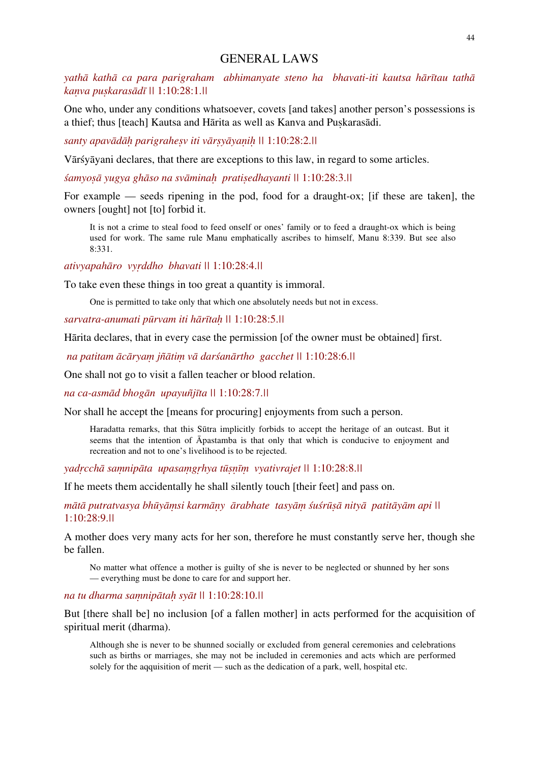## GENERAL LAWS

*yathā kathā ca para parigraham abhimanyate steno ha bhavati-iti kautsa hārītau tathā kaṇva puṣkarasādī ||* 1:10:28:1.*||* 

One who, under any conditions whatsoever, covets [and takes] another person's possessions is a thief; thus [teach] Kautsa and Hārita as well as Kanva and Puskarasādi.

*santy apavādāḥ parigraheṣv iti vārṣyāyaṇiḥ ||* 1:10:28:2.*||* 

Vārśyāyani declares, that there are exceptions to this law, in regard to some articles.

*śamyoṣā yugya ghāso na svāminaḥ pratiṣedhayanti ||* 1:10:28:3.*||* 

For example — seeds ripening in the pod, food for a draught-ox; [if these are taken], the owners [ought] not [to] forbid it.

It is not a crime to steal food to feed onself or ones' family or to feed a draught-ox which is being used for work. The same rule Manu emphatically ascribes to himself, Manu 8:339. But see also 8:331.

*ativyapahāro vyṛddho bhavati ||* 1:10:28:4.*||*

To take even these things in too great a quantity is immoral.

One is permitted to take only that which one absolutely needs but not in excess.

*sarvatra-anumati pūrvam iti hārītaḥ ||* 1:10:28:5.*||*

Hārita declares, that in every case the permission [of the owner must be obtained] first.

 *na patitam ācāryaṃ jñātiṃ vā darśanārtho gacchet ||* 1:10:28:6.*||* 

One shall not go to visit a fallen teacher or blood relation.

*na ca-asmād bhogān upayuñjīta ||* 1:10:28:7.*||*

Nor shall he accept the [means for procuring] enjoyments from such a person.

Haradatta remarks, that this Sūtra implicitly forbids to accept the heritage of an outcast. But it seems that the intention of Āpastamba is that only that which is conducive to enjoyment and recreation and not to one's livelihood is to be rejected.

*yadṛcchā saṃnipāta upasaṃgṛhya tūṣṇīṃ vyativrajet ||* 1:10:28:8.*||*

If he meets them accidentally he shall silently touch [their feet] and pass on.

mātā putratvasya bhūyāmsi karmāņy ārabhate tasyām śuśrūsā nityā patitāyām api || 1:10:28:9.*||*

A mother does very many acts for her son, therefore he must constantly serve her, though she be fallen.

No matter what offence a mother is guilty of she is never to be neglected or shunned by her sons — everything must be done to care for and support her.

*na tu dharma saṃnipātaḥ syāt ||* 1:10:28:10.*||*

But [there shall be] no inclusion [of a fallen mother] in acts performed for the acquisition of spiritual merit (dharma).

Although she is never to be shunned socially or excluded from general ceremonies and celebrations such as births or marriages, she may not be included in ceremonies and acts which are performed solely for the aqquisition of merit — such as the dedication of a park, well, hospital etc.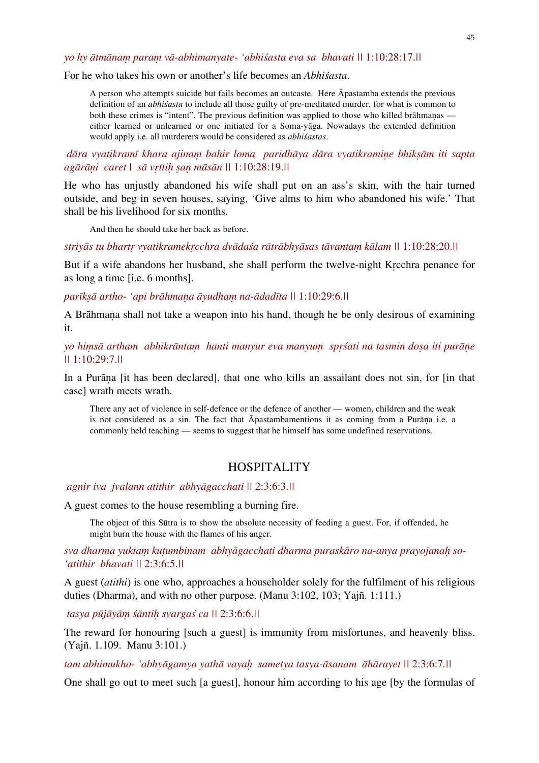*yo hy ātmānaṃ paraṃ vā-abhimanyate- 'abhiśasta eva sa bhavati ||* 1:10:28:17.*||* 

For he who takes his own or another's life becomes an *Abhiśasta*.

A person who attempts suicide but fails becomes an outcaste. Here Āpastamba extends the previous definition of an *abhiśasta* to include all those guilty of pre-meditated murder, for what is common to both these crimes is "intent". The previous definition was applied to those who killed brāhmanas either learned or unlearned or one initiated for a Soma-yāga. Nowadays the extended definition would apply i.e. all murderers would be considered as *abhiśastas*.

 *dāra vyatikramī khara ajinaṃ bahir loma paridhāya dāra vyatikramiṇe bhikṣām iti sapta agārāṇi caret | sā vṛttiḥ ṣaṇ māsān ||* 1:10:28:19.*||* 

He who has unjustly abandoned his wife shall put on an ass's skin, with the hair turned outside, and beg in seven houses, saying, 'Give alms to him who abandoned his wife.' That shall be his livelihood for six months.

And then he should take her back as before.

striyās tu bhartr vyatikramekrcchra dvādaśa rātrābhyāsas tāvantam kālam || 1:10:28:20.||

But if a wife abandons her husband, she shall perform the twelve-night Kṛcchra penance for as long a time [i.e. 6 months].

*parīkṣā artho- 'api brāhmaṇa āyudhaṃ na-ādadīta ||* 1:10:29:6.*||*

A Brāhmaṇa shall not take a weapon into his hand, though he be only desirous of examining it.

*yo hiṃsā artham abhikrāntaṃ hanti manyur eva manyuṃ spṛśati na tasmin doṣa iti purāṇe ||* 1:10:29:7.*||* 

In a Purāṇa [it has been declared], that one who kills an assailant does not sin, for [in that case] wrath meets wrath.

There any act of violence in self-defence or the defence of another — women, children and the weak is not considered as a sin. The fact that Āpastambamentions it as coming from a Purāṇa i.e. a commonly held teaching — seems to suggest that he himself has some undefined reservations.

## **HOSPITALITY**

 *agnir iva jvalann atithir abhyāgacchati ||* 2:3:6:3.*||* 

A guest comes to the house resembling a burning fire.

The object of this Sūtra is to show the absolute necessity of feeding a guest. For, if offended, he might burn the house with the flames of his anger.

*sva dharma yuktaṃ kuṭumbinam abhyāgacchati dharma puraskāro na-anya prayojanaḥ so- 'atithir bhavati ||* 2:3:6:5.*||* 

A guest (*atithi*) is one who, approaches a householder solely for the fulfilment of his religious duties (Dharma), and with no other purpose. (Manu 3:102, 103; Yajñ. 1:111.)

 *tasya pūjāyāṃ śāntiḥ svargaś ca ||* 2:3:6:6.*||* 

The reward for honouring [such a guest] is immunity from misfortunes, and heavenly bliss. (Yajñ. 1.109. Manu 3:101.)

*tam abhimukho- 'abhyāgamya yathā vayaḥ sametya tasya-āsanam āhārayet ||* 2:3:6:7*.||* 

One shall go out to meet such [a guest], honour him according to his age [by the formulas of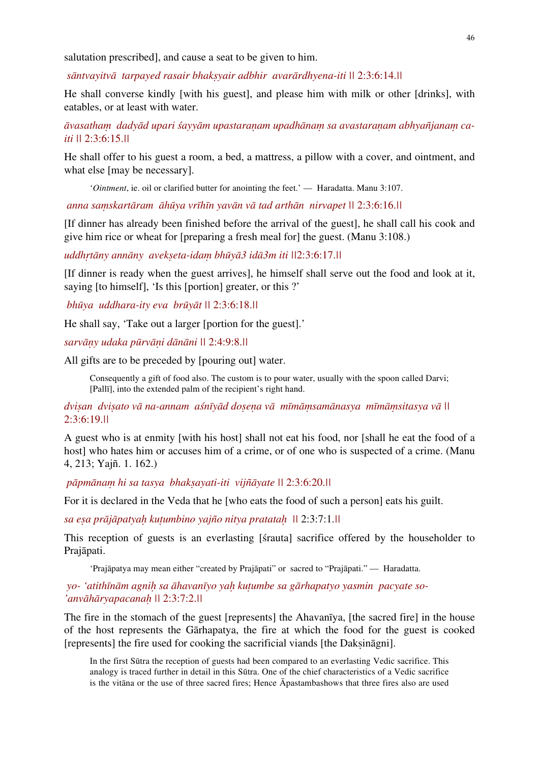salutation prescribed], and cause a seat to be given to him.

 *sāntvayitvā tarpayed rasair bhakṣyair adbhir avarārdhyena-iti ||* 2:3:6:14.*||* 

He shall converse kindly [with his guest], and please him with milk or other [drinks], with eatables, or at least with water.

*āvasathaṃ dadyād upari śayyām upastaraṇam upadhānaṃ sa avastaraṇam abhyañjanaṃ caiti ||* 2:3:6:15.*||*

He shall offer to his guest a room, a bed, a mattress, a pillow with a cover, and ointment, and what else [may be necessary].

'*Ointment*, ie. oil or clarified butter for anointing the feet.' — Haradatta. Manu 3:107.

 *anna saṃskartāram āhūya vrīhīn yavān vā tad arthān nirvapet ||* 2:3:6:16.*||* 

[If dinner has already been finished before the arrival of the guest], he shall call his cook and give him rice or wheat for [preparing a fresh meal for] the guest. (Manu 3:108.)

*uddhṛtāny annāny avekṣeta-idaṃ bhūyā3 idā3m iti ||*2:3:6:17.*||* 

[If dinner is ready when the guest arrives], he himself shall serve out the food and look at it, saying [to himself], 'Is this [portion] greater, or this ?'

 *bhūya uddhara-ity eva brūyāt ||* 2:3:6:18.*||* 

He shall say, 'Take out a larger [portion for the guest].'

*sarvāṇy udaka pūrvāṇi dānāni ||* 2:4:9:8.*||*

All gifts are to be preceded by [pouring out] water.

Consequently a gift of food also. The custom is to pour water, usually with the spoon called Darvi; [Pallī], into the extended palm of the recipient's right hand.

dvisan dvisato vā na-annam asnīyād dosena vā mīmāmsamānasya mīmāmsitasya vā II 2:3:6:19.*||*

A guest who is at enmity [with his host] shall not eat his food, nor [shall he eat the food of a host] who hates him or accuses him of a crime, or of one who is suspected of a crime. (Manu 4, 213; Yajñ. 1. 162.)

 *pāpmānaṃ hi sa tasya bhakṣayati-iti vijñāyate ||* 2:3:6:20.*||* 

For it is declared in the Veda that he who eats the food of such a person leats his guilt.

*sa eṣa prājāpatyaḥ kuṭumbino yajño nitya pratataḥ ||* 2:3:7:1.*||* 

This reception of guests is an everlasting [śrauta] sacrifice offered by the householder to Prajāpati.

'Prajāpatya may mean either "created by Prajāpati" or sacred to "Prajāpati." — Haradatta.

 *yo- 'atithīnām agniḥ sa āhavanīyo yaḥ kuṭumbe sa gārhapatyo yasmin pacyate so- 'anvāhāryapacanaḥ ||* 2:3:7:2.*||*

The fire in the stomach of the guest [represents] the Ahavanīya, [the sacred fire] in the house of the host represents the Gārhapatya, the fire at which the food for the guest is cooked [represents] the fire used for cooking the sacrificial viands [the Daksināgni].

In the first Sūtra the reception of guests had been compared to an everlasting Vedic sacrifice. This analogy is traced further in detail in this Sūtra. One of the chief characteristics of a Vedic sacrifice is the vitāna or the use of three sacred fires; Hence Āpastambashows that three fires also are used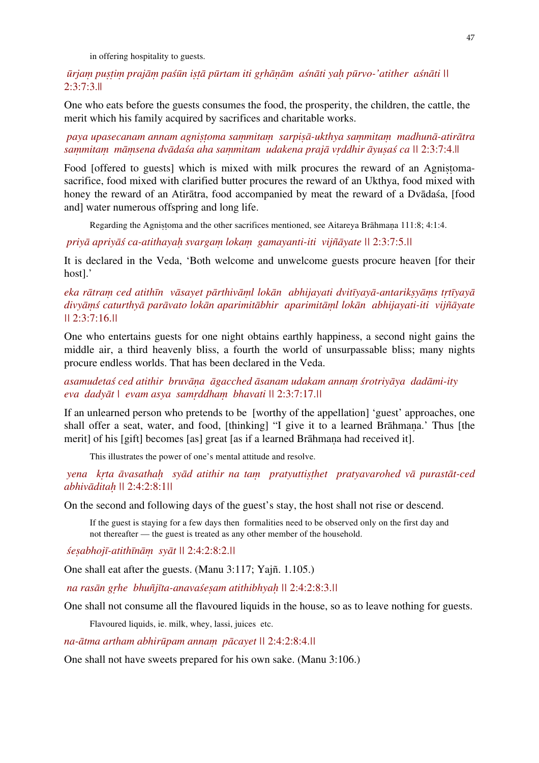in offering hospitality to guests.

ūrjam pustim prajām paśūn istā pūrtam iti grhānām aśnāti yah pūrvo-'atither aśnāti || 2:3:7:3.||

One who eats before the guests consumes the food, the prosperity, the children, the cattle, the merit which his family acquired by sacrifices and charitable works.

 *paya upasecanam annam agniṣṭoma saṃmitaṃ sarpiṣā-ukthya saṃmitaṃ madhunā-atirātra*  sammitam māmsena dvādaša aha sammitam udakena prajā vrddhir āvusaš ca || 2:3:7:4.||

Food [offered to guests] which is mixed with milk procures the reward of an Agnistomasacrifice, food mixed with clarified butter procures the reward of an Ukthya, food mixed with honey the reward of an Atiratra, food accompanied by meat the reward of a Dvadasa, [food and] water numerous offspring and long life.

Regarding the Agnistoma and the other sacrifices mentioned, see Aitareya Brāhmana 111:8; 4:1:4.

 *priyā apriyāś ca-atithayaḥ svargaṃ lokaṃ gamayanti-iti vijñāyate ||* 2:3:7:5.*||* 

It is declared in the Veda, 'Both welcome and unwelcome guests procure heaven [for their host].'

# eka rātram ced atithīn vāsayet pārthivāml lokān abhijayati dvitīyayā-antariksyāms trtīyayā *divyāṃś caturthyā parāvato lokān aparimitābhir aparimitāṃl lokān abhijayati-iti vijñāyate ||* 2:3:7:16.*||*

One who entertains guests for one night obtains earthly happiness, a second night gains the middle air, a third heavenly bliss, a fourth the world of unsurpassable bliss; many nights procure endless worlds. That has been declared in the Veda.

*asamudetaś ced atithir bruvāṇa āgacched āsanam udakam annaṃ śrotriyāya dadāmi-ity eva dadyāt | evam asya samṛddhaṃ bhavati ||* 2:3:7:17.*||* 

If an unlearned person who pretends to be [worthy of the appellation] 'guest' approaches, one shall offer a seat, water, and food, [thinking] "I give it to a learned Brāhmana.' Thus [the merit] of his [gift] becomes [as] great [as if a learned Brāhmaṇa had received it].

This illustrates the power of one's mental attitude and resolve.

 *yena kṛta āvasathaḥ syād atithir na taṃ pratyuttiṣṭhet pratyavarohed vā purastāt-ced abhivāditaḥ ||* 2:4:2:8:1*||* 

On the second and following days of the guest's stay, the host shall not rise or descend.

If the guest is staying for a few days then formalities need to be observed only on the first day and not thereafter — the guest is treated as any other member of the household.

*śeṣabhojī-atithīnāṃ syāt ||* 2:4:2:8:2.*||* 

One shall eat after the guests. (Manu 3:117; Yajñ. 1.105.)

 *na rasān gṛhe bhuñjīta-anavaśeṣam atithibhyaḥ ||* 2:4:2:8:3.*||* 

One shall not consume all the flavoured liquids in the house, so as to leave nothing for guests.

Flavoured liquids, ie. milk, whey, lassi, juices etc.

*na-ātma artham abhirūpam annaṃ pācayet ||* 2:4:2:8:4.*||*

One shall not have sweets prepared for his own sake. (Manu 3:106.)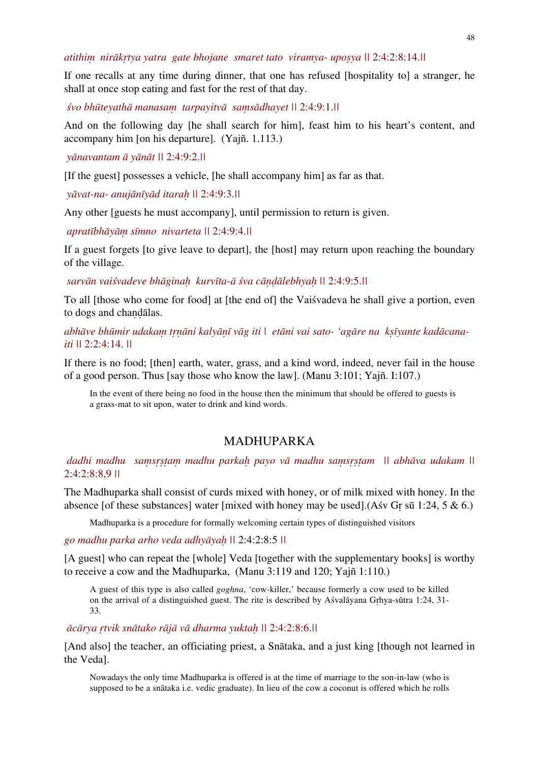*atithiṃ nirākṛtya yatra gate bhojane smaret tato viramya- upoṣya ||* 2:4:2:8:14.*||*

If one recalls at any time during dinner, that one has refused [hospitality to] a stranger, he shall at once stop eating and fast for the rest of that day.

*śvo bhūteyathā manasaṃ tarpayitvā saṃsādhayet ||* 2:4:9:1.*||*

And on the following day [he shall search for him], feast him to his heart's content, and accompany him [on his departure]. (Yajñ. 1.113.)

 *yānavantam ā yānāt ||* 2:4:9:2.*||*

[If the guest] possesses a vehicle, [he shall accompany him] as far as that.

 *yāvat-na- anujānīyād itaraḥ ||* 2:4:9:3.*||* 

Any other [guests he must accompany], until permission to return is given.

 *apratībhāyāṃ sīmno nivarteta ||* 2:4:9:4.*||*

If a guest forgets [to give leave to depart], the [host] may return upon reaching the boundary of the village.

 *sarvān vaiśvadeve bhāginaḥ kurvīta-ā śva cāṇḍālebhyaḥ ||* 2:4:9:5.*||*

To all [those who come for food] at [the end of] the Vaiśvadeva he shall give a portion, even to dogs and chaṇḍālas.

abhāve bhūmir udakam trnāni kalyānī vāg iti | etāni vai sato- 'agāre na ksīyante kadācana*iti ||* 2:2:4:14. *||*

If there is no food; [then] earth, water, grass, and a kind word, indeed, never fail in the house of a good person. Thus [say those who know the law]. (Manu 3:101; Yajñ. I:107.)

In the event of there being no food in the house then the minimum that should be offered to guests is a grass-mat to sit upon, water to drink and kind words.

# MADHUPARKA

 *dadhi madhu saṃsṛṣṭaṃ madhu parkaḥ payo vā madhu saṃsṛṣṭam || abhāva udakam ||*  2:4:2:8:8,9 *||* 

The Madhuparka shall consist of curds mixed with honey, or of milk mixed with honey. In the absence [of these substances] water [mixed with honey may be used].(As  $\sigma$  Gr sū 1:24, 5 & 6.)

Madhuparka is a procedure for formally welcoming certain types of distinguished visitors

## *go madhu parka arho veda adhyāyaḥ ||* 2:4:2:8:5 *||*

[A guest] who can repeat the [whole] Veda [together with the supplementary books] is worthy to receive a cow and the Madhuparka, (Manu 3:119 and 120; Yajñ 1:110.)

A guest of this type is also called *goghna*, 'cow-killer,' because formerly a cow used to be killed on the arrival of a distinguished guest. The rite is described by Aśvalāyana Gṛhya-sūtra 1:24, 31- 33.

*ācārya ṛtvik snātako rājā vā dharma yuktaḥ ||* 2:4:2:8:6.*||* 

[And also] the teacher, an officiating priest, a Snātaka, and a just king [though not learned in the Veda].

Nowadays the only time Madhuparka is offered is at the time of marriage to the son-in-law (who is supposed to be a snātaka i.e. vedic graduate). In lieu of the cow a coconut is offered which he rolls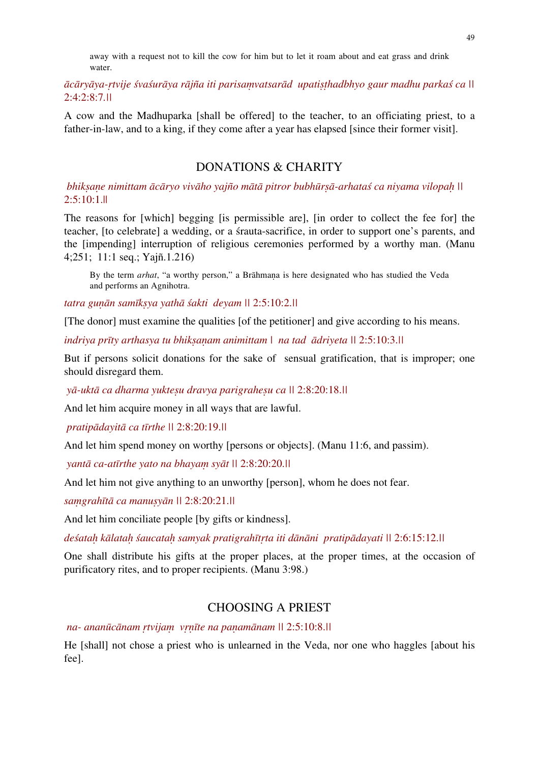away with a request not to kill the cow for him but to let it roam about and eat grass and drink water.

ācāryāya-rtvije śvaśurāya rājña iti parisamvatsarād upatisthadbhyo gaur madhu parkaś ca || 2:4:2:8:7*.||* 

A cow and the Madhuparka [shall be offered] to the teacher, to an officiating priest, to a father-in-law, and to a king, if they come after a year has elapsed [since their former visit].

# DONATIONS & CHARITY

bhiksane nimittam ācāryo vivāho yajño mātā pitror bubhūrsā-arhataś ca niyama vilopah ||  $2:5:10:1$ .||

The reasons for [which] begging [is permissible are], [in order to collect the fee for] the teacher, [to celebrate] a wedding, or a śrauta-sacrifice, in order to support one's parents, and the [impending] interruption of religious ceremonies performed by a worthy man. (Manu 4;251; 11:1 seq.; Yajñ.1.216)

By the term *arhat*, "a worthy person," a Brāhmaṇa is here designated who has studied the Veda and performs an Agnihotra.

*tatra guṇān samīkṣya yathā śakti deyam ||* 2:5:10:2.*||*

[The donor] must examine the qualities [of the petitioner] and give according to his means.

*indriya prīty arthasya tu bhikṣaṇam animittam | na tad ādriyeta ||* 2:5:10:3.*||* 

But if persons solicit donations for the sake of sensual gratification, that is improper; one should disregard them.

 *yā-uktā ca dharma yukteṣu dravya parigraheṣu ca ||* 2:8:20:18.*||* 

And let him acquire money in all ways that are lawful.

 *pratipādayitā ca tīrthe ||* 2:8:20:19.*||* 

And let him spend money on worthy [persons or objects]. (Manu 11:6, and passim).

 *yantā ca-atīrthe yato na bhayaṃ syāt ||* 2:8:20:20.*||* 

And let him not give anything to an unworthy [person], whom he does not fear.

*saṃgrahītā ca manuṣyān ||* 2:8:20:21.*||* 

And let him conciliate people [by gifts or kindness].

deśatah kālatah śaucatah samyak pratigrahītrta iti dānāni pratipādayati || 2:6:15:12.||

One shall distribute his gifts at the proper places, at the proper times, at the occasion of purificatory rites, and to proper recipients. (Manu 3:98.)

## CHOOSING A PRIEST

 *na- ananūcānam ṛtvijaṃ vṛṇīte na paṇamānam ||* 2:5:10:8.*||*

He [shall] not chose a priest who is unlearned in the Veda, nor one who haggles [about his fee].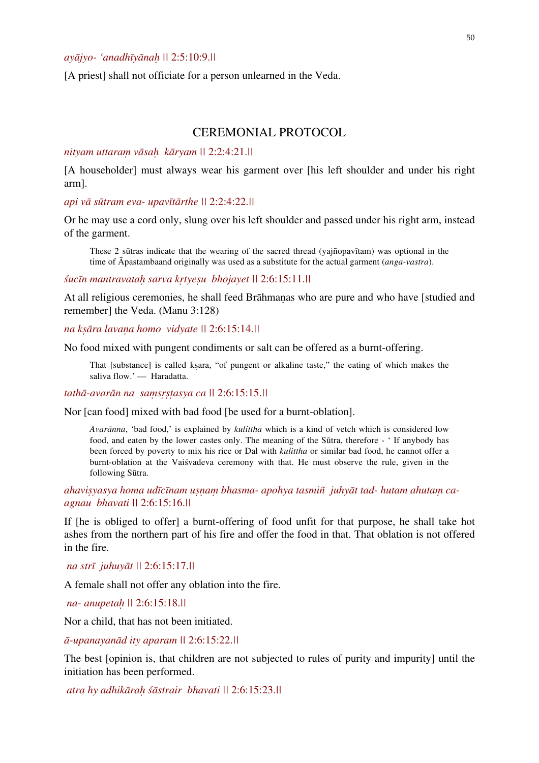[A priest] shall not officiate for a person unlearned in the Veda.

# CEREMONIAL PROTOCOL

#### *nityam uttaraṃ vāsaḥ kāryam ||* 2:2:4:21.*||*

[A householder] must always wear his garment over [his left shoulder and under his right arm].

*api vā sūtram eva- upavītārthe ||* 2:2:4:22.*||*

Or he may use a cord only, slung over his left shoulder and passed under his right arm, instead of the garment.

These 2 sūtras indicate that the wearing of the sacred thread (yajñopavītam) was optional in the time of Āpastambaand originally was used as a substitute for the actual garment (*anga-vastra*).

*śucīn mantravataḥ sarva kṛtyeṣu bhojayet ||* 2:6:15:11.*||* 

At all religious ceremonies, he shall feed Brāhmaṇas who are pure and who have [studied and remember] the Veda. (Manu 3:128)

*na kṣāra lavaṇa homo vidyate ||* 2:6:15:14.*||*

No food mixed with pungent condiments or salt can be offered as a burnt-offering.

That [substance] is called kṣara, "of pungent or alkaline taste," the eating of which makes the saliva flow.' — Haradatta.

*tathā-avarān na saṃsṛṣṭasya ca ||* 2:6:15:15.*||*

Nor [can food] mixed with bad food [be used for a burnt-oblation].

*Avarānna*, 'bad food,' is explained by *kulittha* which is a kind of vetch which is considered low food, and eaten by the lower castes only. The meaning of the Sūtra, therefore - ' If anybody has been forced by poverty to mix his rice or Dal with *kulittha* or similar bad food, he cannot offer a burnt-oblation at the Vaiśvadeva ceremony with that. He must observe the rule, given in the following Sūtra.

*ahaviṣyasya homa udīcīnam uṣṇaṃ bhasma- apohya tasmiñ juhyāt tad- hutam ahutaṃ caagnau bhavati ||* 2:6:15:16.*||*

If [he is obliged to offer] a burnt-offering of food unfit for that purpose, he shall take hot ashes from the northern part of his fire and offer the food in that. That oblation is not offered in the fire.

 *na strī juhuyāt ||* 2:6:15:17.*||*

A female shall not offer any oblation into the fire.

 *na- anupetaḥ ||* 2:6:15:18.*||*

Nor a child, that has not been initiated.

*ā-upanayanād ity aparam ||* 2:6:15:22.*||*

The best [opinion is, that children are not subjected to rules of purity and impurity] until the initiation has been performed.

 *atra hy adhikāraḥ śāstrair bhavati ||* 2:6:15:23.*||*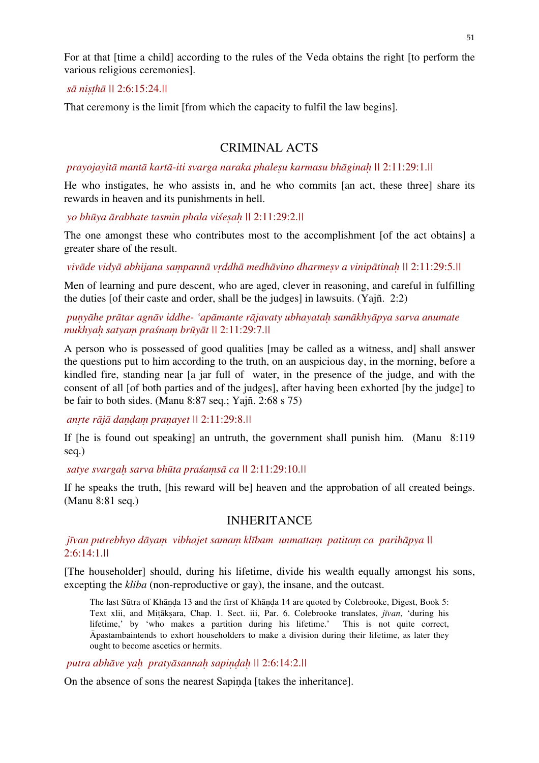For at that [time a child] according to the rules of the Veda obtains the right [to perform the various religious ceremonies].

## *sā niṣṭhā ||* 2:6:15:24.*||*

That ceremony is the limit [from which the capacity to fulfil the law begins].

# CRIMINAL ACTS

 *prayojayitā mantā kartā-iti svarga naraka phaleṣu karmasu bhāginaḥ ||* 2:11:29:1.*||* 

He who instigates, he who assists in, and he who commits [an act, these three] share its rewards in heaven and its punishments in hell.

 *yo bhūya ārabhate tasmin phala viśeṣaḥ ||* 2:11:29:2.*||* 

The one amongst these who contributes most to the accomplishment [of the act obtains] a greater share of the result.

vivāde vidyā abhijana sampannā vrddhā medhāvino dharmesv a vinipātinah || 2:11:29:5.||

Men of learning and pure descent, who are aged, clever in reasoning, and careful in fulfilling the duties [of their caste and order, shall be the judges] in lawsuits. (Yajñ. 2:2)

# *puṇyāhe prātar agnāv iddhe- 'apāmante rājavaty ubhayataḥ samākhyāpya sarva anumate mukhyaḥ satyaṃ praśnaṃ brūyāt ||* 2:11:29:7.*||*

A person who is possessed of good qualities [may be called as a witness, and] shall answer the questions put to him according to the truth, on an auspicious day, in the morning, before a kindled fire, standing near [a jar full of water, in the presence of the judge, and with the consent of all [of both parties and of the judges], after having been exhorted [by the judge] to be fair to both sides. (Manu 8:87 seq.; Yajñ. 2:68 s 75)

 *anṛte rājā daṇḍaṃ praṇayet ||* 2:11:29:8.*||* 

If [he is found out speaking] an untruth, the government shall punish him. (Manu 8:119 seq.)

 *satye svargaḥ sarva bhūta praśaṃsā ca ||* 2:11:29:10.*||* 

If he speaks the truth, [his reward will be] heaven and the approbation of all created beings. (Manu 8:81 seq.)

# INHERITANCE

 *jīvan putrebhyo dāyaṃ vibhajet samaṃ klībam unmattaṃ patitaṃ ca parihāpya ||*  2:6:14:1.*||* 

[The householder] should, during his lifetime, divide his wealth equally amongst his sons, excepting the *kliba* (non-reproductive or gay), the insane, and the outcast.

The last Sūtra of Khāṇḍa 13 and the first of Khāṇḍa 14 are quoted by Colebrooke, Digest, Book 5: Text xlii, and Miṭākṣara, Chap. 1. Sect. iii, Par. 6. Colebrooke translates, *jīvan*, 'during his lifetime,' by 'who makes a partition during his lifetime.' This is not quite correct, Āpastambaintends to exhort householders to make a division during their lifetime, as later they ought to become ascetics or hermits.

 *putra abhāve yaḥ pratyāsannaḥ sapiṇḍaḥ ||* 2:6:14:2.*||* 

On the absence of sons the nearest Sapiṇḍa [takes the inheritance].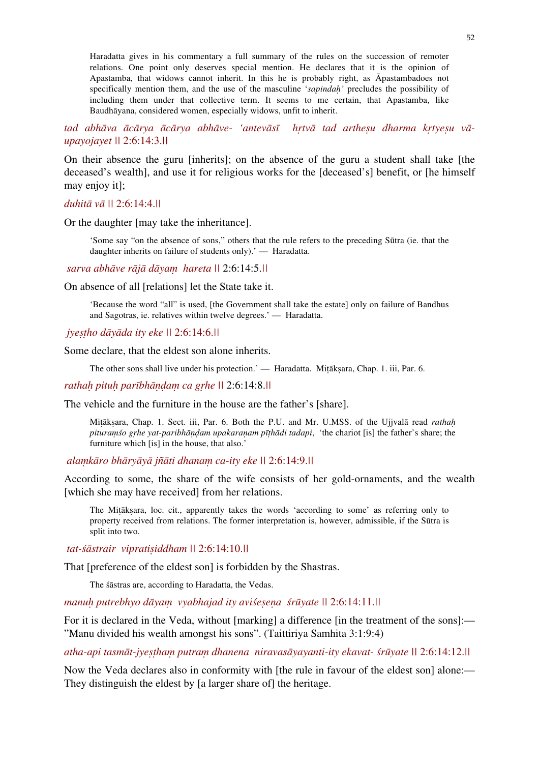Haradatta gives in his commentary a full summary of the rules on the succession of remoter relations. One point only deserves special mention. He declares that it is the opinion of Apastamba, that widows cannot inherit. In this he is probably right, as Āpastambadoes not specifically mention them, and the use of the masculine '*sapindaḥ'* precludes the possibility of including them under that collective term. It seems to me certain, that Apastamba, like Baudhāyana, considered women, especially widows, unfit to inherit.

tad abhāva ācārya ācārya abhāve- 'antevāsī hrtvā tad arthesu dharma krtyesu vā*upayojayet ||* 2:6:14:3.*||* 

On their absence the guru [inherits]; on the absence of the guru a student shall take [the deceased's wealth], and use it for religious works for the [deceased's] benefit, or [he himself may enjoy it];

## *duhitā vā ||* 2:6:14:4.*||*

Or the daughter [may take the inheritance].

'Some say "on the absence of sons," others that the rule refers to the preceding Sūtra (ie. that the daughter inherits on failure of students only).' — Haradatta.

 *sarva abhāve rājā dāyaṃ hareta ||* 2:6:14:5.*||*

On absence of all [relations] let the State take it.

'Because the word "all" is used, [the Government shall take the estate] only on failure of Bandhus and Sagotras, ie. relatives within twelve degrees.' — Haradatta.

 *jyeṣṭho dāyāda ity eke ||* 2:6:14:6.*||*

Some declare, that the eldest son alone inherits.

The other sons shall live under his protection.' — Haradatta. Miṭākṣara, Chap. 1. iii, Par. 6.

*rathaḥ pituḥ parībhāṇḍaṃ ca gṛhe ||* 2:6:14:8.*||*

The vehicle and the furniture in the house are the father's [share].

Miṭākṣara, Chap. 1. Sect. iii, Par. 6. Both the P.U. and Mr. U.MSS. of the Ujjvalā read *rathaḥ pituraṃśo gṛhe yat-paribhāṇḍam upakaraṇam pīṭhādi tadapi*, 'the chariot [is] the father's share; the furniture which [is] in the house, that also.'

 *alaṃkāro bhāryāyā jñāti dhanaṃ ca-ity eke ||* 2:6:14:9.*||* 

According to some, the share of the wife consists of her gold-ornaments, and the wealth [which she may have received] from her relations.

The Miṭākṣara, loc. cit., apparently takes the words 'according to some' as referring only to property received from relations. The former interpretation is, however, admissible, if the Sūtra is split into two.

 *tat-śāstrair vipratiṣiddham ||* 2:6:14:10.*||*

That [preference of the eldest son] is forbidden by the Shastras.

The śāstras are, according to Haradatta, the Vedas.

*manuḥ putrebhyo dāyaṃ vyabhajad ity aviśeṣeṇa śrūyate ||* 2:6:14:11.*||* 

For it is declared in the Veda, without [marking] a difference [in the treatment of the sons]:— "Manu divided his wealth amongst his sons". (Taittiriya Samhita 3:1:9:4)

*atha-api tasmāt-jyeṣṭhaṃ putraṃ dhanena niravasāyayanti-ity ekavat- śrūyate ||* 2:6:14:12.*||* 

Now the Veda declares also in conformity with [the rule in favour of the eldest son] alone:— They distinguish the eldest by [a larger share of] the heritage.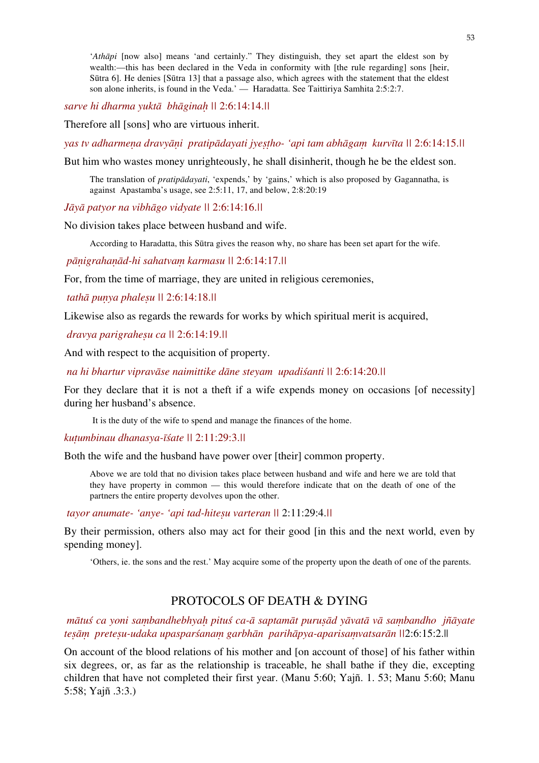'*Athāpi* [now also] means 'and certainly." They distinguish, they set apart the eldest son by wealth:—this has been declared in the Veda in conformity with [the rule regarding] sons [heir, Sūtra 6]. He denies [Sūtra 13] that a passage also, which agrees with the statement that the eldest son alone inherits, is found in the Veda.' — Haradatta. See Taittiriya Samhita 2:5:2:7.

*sarve hi dharma yuktā bhāginaḥ ||* 2:6:14:14.*||* 

Therefore all [sons] who are virtuous inherit.

*yas tv adharmeṇa dravyāṇi pratipādayati jyeṣṭho- 'api tam abhāgaṃ kurvīta ||* 2:6:14:15.*||* 

But him who wastes money unrighteously, he shall disinherit, though he be the eldest son.

The translation of *pratipādayati*, 'expends,' by 'gains,' which is also proposed by Gagannatha, is against Apastamba's usage, see 2:5:11, 17, and below, 2:8:20:19

*Jāyā patyor na vibhāgo vidyate ||* 2:6:14:16.*||*

No division takes place between husband and wife.

According to Haradatta, this Sūtra gives the reason why, no share has been set apart for the wife.

 *pāṇigrahaṇād-hi sahatvaṃ karmasu ||* 2:6:14:17.*||* 

For, from the time of marriage, they are united in religious ceremonies,

 *tathā puṇya phaleṣu ||* 2:6:14:18.*||*

Likewise also as regards the rewards for works by which spiritual merit is acquired,

 *dravya parigraheṣu ca ||* 2:6:14:19.*||*

And with respect to the acquisition of property.

 *na hi bhartur vipravāse naimittike dāne steyam upadiśanti ||* 2:6:14:20.*||* 

For they declare that it is not a theft if a wife expends money on occasions [of necessity] during her husband's absence.

It is the duty of the wife to spend and manage the finances of the home.

*kuṭumbinau dhanasya-īśate ||* 2:11:29:3.*||* 

Both the wife and the husband have power over [their] common property.

Above we are told that no division takes place between husband and wife and here we are told that they have property in common — this would therefore indicate that on the death of one of the partners the entire property devolves upon the other.

 *tayor anumate- 'anye- 'api tad-hiteṣu varteran ||* 2:11:29:4.*||* 

By their permission, others also may act for their good [in this and the next world, even by spending money].

'Others, ie. the sons and the rest.' May acquire some of the property upon the death of one of the parents.

# PROTOCOLS OF DEATH & DYING

mātuś ca voni sambandhebhvah pituś ca-ā saptamāt purusād vāvatā vā sambandho iñāvate *teṣāṃ preteṣu-udaka upasparśanaṃ garbhān parihāpya-aparisaṃvatsarān ||*2:6:15:2.||

On account of the blood relations of his mother and [on account of those] of his father within six degrees, or, as far as the relationship is traceable, he shall bathe if they die, excepting children that have not completed their first year. (Manu 5:60; Yajñ. 1. 53; Manu 5:60; Manu 5:58; Yajñ .3:3.)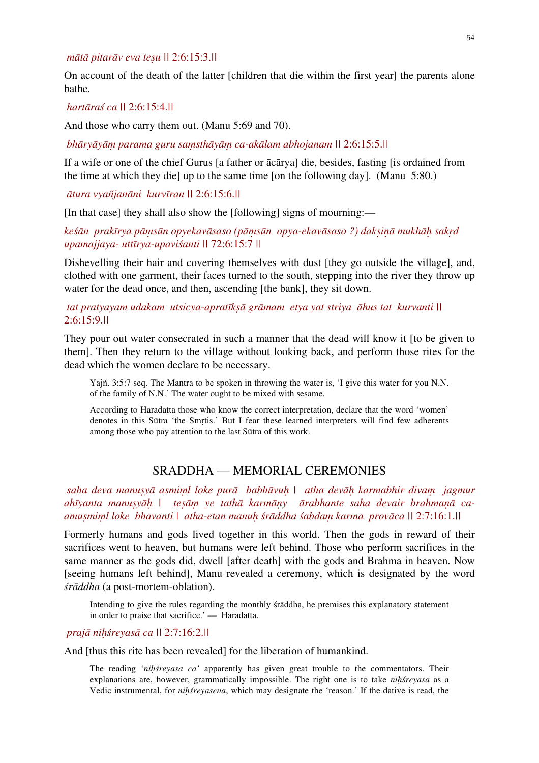## *mātā pitarāv eva teṣu ||* 2:6:15:3.*||*

On account of the death of the latter [children that die within the first year] the parents alone bathe.

## *hartāraś ca ||* 2:6:15:4.*||*

And those who carry them out. (Manu 5:69 and 70).

 *bhāryāyāṃ parama guru saṃsthāyāṃ ca-akālam abhojanam ||* 2:6:15:5.*||* 

If a wife or one of the chief Gurus [a father or ācārya] die, besides, fasting [is ordained from the time at which they die] up to the same time [on the following day]. (Manu 5:80.)

*ātura vyañjanāni kurvīran ||* 2:6:15:6.*||*

[In that case] they shall also show the [following] signs of mourning:—

keśān prakīrya pāmsūn opyekavāsaso (pāmsūn opya-ekavāsaso?) daksinā mukhāh sakrd *upamajjaya- uttīrya-upaviśanti ||* 72:6:15:7 *||* 

Dishevelling their hair and covering themselves with dust [they go outside the village], and, clothed with one garment, their faces turned to the south, stepping into the river they throw up water for the dead once, and then, ascending [the bank], they sit down.

# *tat pratyayam udakam utsicya-apratīkṣā grāmam etya yat striya āhus tat kurvanti ||*  2:6:15:9.*||*

They pour out water consecrated in such a manner that the dead will know it [to be given to them]. Then they return to the village without looking back, and perform those rites for the dead which the women declare to be necessary.

Yajñ. 3:5:7 seq. The Mantra to be spoken in throwing the water is, 'I give this water for you N.N. of the family of N.N.' The water ought to be mixed with sesame.

According to Haradatta those who know the correct interpretation, declare that the word 'women' denotes in this Sūtra 'the Smṛtis.' But I fear these learned interpreters will find few adherents among those who pay attention to the last Sūtra of this work.

# SRADDHA — MEMORIAL CEREMONIES

 *saha deva manuṣyā asmiṃl loke purā babhūvuḥ | atha devāḥ karmabhir divaṃ jagmur ahīyanta manuṣyāḥ | teṣāṃ ye tathā karmāṇy ārabhante saha devair brahmaṇā caamuṣmiṃl loke bhavanti | atha-etan manuḥ śrāddha śabdaṃ karma provāca ||* 2:7:16:1.*||* 

Formerly humans and gods lived together in this world. Then the gods in reward of their sacrifices went to heaven, but humans were left behind. Those who perform sacrifices in the same manner as the gods did, dwell [after death] with the gods and Brahma in heaven. Now [seeing humans left behind], Manu revealed a ceremony, which is designated by the word *śrāddha* (a post-mortem-oblation).

Intending to give the rules regarding the monthly śrāddha, he premises this explanatory statement in order to praise that sacrifice.' — Haradatta.

#### *prajā niḥśreyasā ca ||* 2:7:16:2.*||*

And [thus this rite has been revealed] for the liberation of humankind.

The reading '*niḥśreyasa ca'* apparently has given great trouble to the commentators. Their explanations are, however, grammatically impossible. The right one is to take *niḥśreyasa* as a Vedic instrumental, for *niḥśreyasena*, which may designate the 'reason.' If the dative is read, the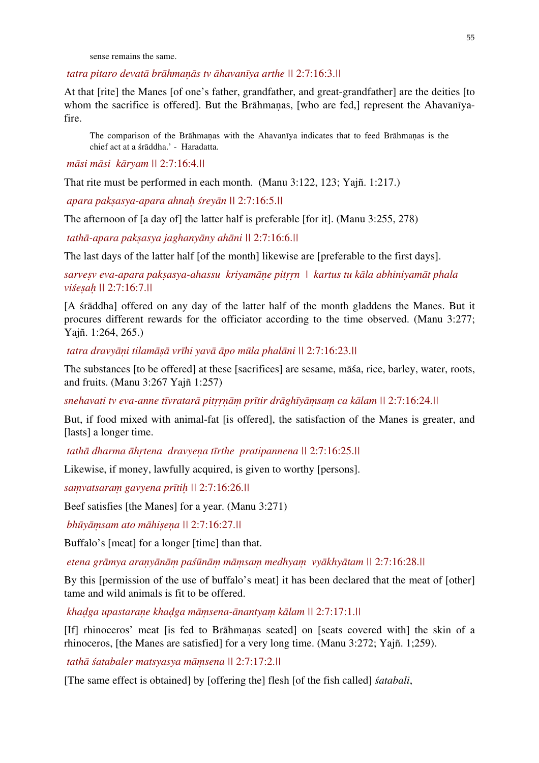sense remains the same.

 *tatra pitaro devatā brāhmaṇās tv āhavanīya arthe ||* 2:7:16:3.*||* 

At that [rite] the Manes [of one's father, grandfather, and great-grandfather] are the deities [to whom the sacrifice is offered]. But the Brāhmanas, [who are fed,] represent the Ahavanīyafire.

The comparison of the Brāhmaṇas with the Ahavanīya indicates that to feed Brāhmaṇas is the chief act at a śrāddha.' - Haradatta.

 *māsi māsi kāryam ||* 2:7:16:4.*||*

That rite must be performed in each month. (Manu 3:122, 123; Yajñ. 1:217.)

 *apara pakṣasya-apara ahnaḥ śreyān ||* 2:7:16:5.*||* 

The afternoon of [a day of] the latter half is preferable [for it]. (Manu 3:255, 278)

 *tathā-apara pakṣasya jaghanyāny ahāni ||* 2:7:16:6.*||* 

The last days of the latter half [of the month] likewise are [preferable to the first days].

*sarveṣv eva-apara pakṣasya-ahassu kriyamāṇe pitṛṛn | kartus tu kāla abhiniyamāt phala viśeṣaḥ ||* 2:7:16:7.*||* 

[A śrāddha] offered on any day of the latter half of the month gladdens the Manes. But it procures different rewards for the officiator according to the time observed. (Manu 3:277; Yajñ. 1:264, 265.)

*tatra dravyāṇi tilamāṣā vrīhi yavā āpo mūla phalāni ||* 2:7:16:23.*||* 

The substances [to be offered] at these [sacrifices] are sesame, māśa, rice, barley, water, roots, and fruits. (Manu 3:267 Yajñ 1:257)

snehavati tv eva-anne tīvratarā pitrrnām prītir drāghīyāmsam ca kālam || 2:7:16:24.||

But, if food mixed with animal-fat [is offered], the satisfaction of the Manes is greater, and [lasts] a longer time.

 *tathā dharma āhṛtena dravyeṇa tīrthe pratipannena ||* 2:7:16:25.*||* 

Likewise, if money, lawfully acquired, is given to worthy [persons].

*saṃvatsaraṃ gavyena prītiḥ ||* 2:7:16:26.*||*

Beef satisfies [the Manes] for a year. (Manu 3:271)

 *bhūyāṃsam ato māhiṣeṇa ||* 2:7:16:27.*||*

Buffalo's [meat] for a longer [time] than that.

etena grāmya araņyānām paśūnām māmsam medhyam vyākhyātam || 2:7:16:28.||

By this [permission of the use of buffalo's meat] it has been declared that the meat of [other] tame and wild animals is fit to be offered.

 *khaḍga upastaraṇe khaḍga māṃsena-ānantyaṃ kālam ||* 2:7:17:1.*||*

[If] rhinoceros' meat [is fed to Brāhmaṇas seated] on [seats covered with] the skin of a rhinoceros, [the Manes are satisfied] for a very long time. (Manu 3:272; Yajñ. 1;259).

 *tathā śatabaler matsyasya māṃsena ||* 2:7:17:2.*||*

[The same effect is obtained] by [offering the] flesh [of the fish called] *śatabali*,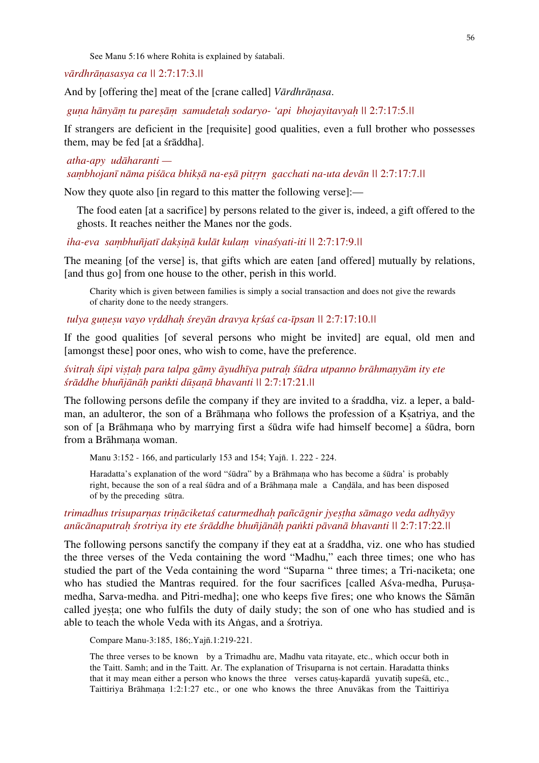See Manu 5:16 where Rohita is explained by śatabali.

#### *vārdhrāṇasasya ca ||* 2:7:17:3.*||*

And by [offering the] meat of the [crane called] *Vārdhrāṇasa*.

 *guṇa hānyāṃ tu pareṣāṃ samudetaḥ sodaryo- 'api bhojayitavyaḥ ||* 2:7:17:5.*||*

If strangers are deficient in the [requisite] good qualities, even a full brother who possesses them, may be fed [at a śrāddha].

 *atha-apy udāharanti saṃbhojanī nāma piśāca bhikṣā na-eṣā pitṛṛn gacchati na-uta devān ||* 2:7:17:7.*||*

Now they quote also [in regard to this matter the following verse]:—

The food eaten [at a sacrifice] by persons related to the giver is, indeed, a gift offered to the ghosts. It reaches neither the Manes nor the gods.

 *iha-eva saṃbhuñjatī dakṣiṇā kulāt kulaṃ vinaśyati-iti ||* 2:7:17:9.*||* 

The meaning [of the verse] is, that gifts which are eaten [and offered] mutually by relations, [and thus go] from one house to the other, perish in this world.

Charity which is given between families is simply a social transaction and does not give the rewards of charity done to the needy strangers.

## *tulya guṇeṣu vayo vṛddhaḥ śreyān dravya kṛśaś ca-īpsan ||* 2:7:17:10.*||*

If the good qualities [of several persons who might be invited] are equal, old men and [amongst these] poor ones, who wish to come, have the preference.

## śvitrah śipi vistah para talpa gāmy āyudhīya putrah śūdra utpanno brāhmanyām ity ete *śrāddhe bhuñjānāḥ paṅkti dūṣaṇā bhavanti ||* 2:7:17:21.*||*

The following persons defile the company if they are invited to a śraddha, viz. a leper, a baldman, an adulteror, the son of a Brāhmana who follows the profession of a Ksatriya, and the son of [a Brāhmana who by marrying first a śūdra wife had himself become] a śūdra, born from a Brāhmana woman.

Manu 3:152 - 166, and particularly 153 and 154; Yajñ. 1. 222 - 224.

Haradatta's explanation of the word "śūdra" by a Brāhmaṇa who has become a śūdra' is probably right, because the son of a real śūdra and of a Brāhmaṇa male a Caṇḍāla, and has been disposed of by the preceding sūtra.

# *trimadhus trisuparṇas triṇāciketaś caturmedhaḥ pañcāgnir jyeṣṭha sāmago veda adhyāyy*  anūcānaputrah śrotriya ity ete śrāddhe bhuñjānāh paṅkti pāvanā bhavanti || 2:7:17:22.||

The following persons sanctify the company if they eat at a śraddha, viz. one who has studied the three verses of the Veda containing the word "Madhu," each three times; one who has studied the part of the Veda containing the word "Suparna " three times; a Tri-naciketa; one who has studied the Mantras required. for the four sacrifices [called Asva-medha, Purusamedha, Sarva-medha. and Pitri-medha]; one who keeps five fires; one who knows the Sāmān called jyesta; one who fulfils the duty of daily study; the son of one who has studied and is able to teach the whole Veda with its Aṅgas, and a śrotriya.

Compare Manu-3:185, 186;.Yajñ.1:219-221.

The three verses to be known by a Trimadhu are, Madhu vata ritayate, etc., which occur both in the Taitt. Samh; and in the Taitt. Ar. The explanation of Trisuparna is not certain. Haradatta thinks that it may mean either a person who knows the three verses catus-kapardā yuvatih supesta, etc., Taittiriya Brāhmaṇa 1:2:1:27 etc., or one who knows the three Anuvākas from the Taittiriya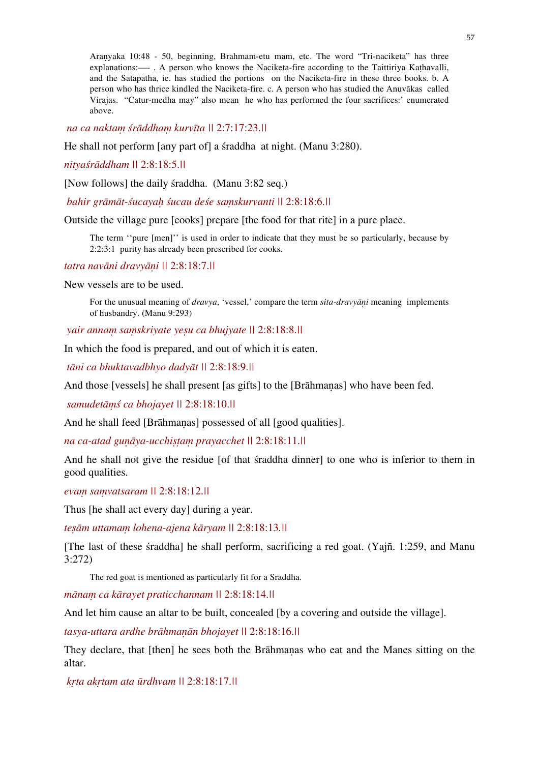Araṇyaka 10:48 - 50, beginning, Brahmam-etu mam, etc. The word "Tri-naciketa" has three explanations:—-. A person who knows the Naciketa-fire according to the Taittiriya Kathavalli, and the Satapatha, ie. has studied the portions on the Naciketa-fire in these three books. b. A person who has thrice kindled the Naciketa-fire. c. A person who has studied the Anuvākas called Virajas. "Catur-medha may" also mean he who has performed the four sacrifices:' enumerated above.

 *na ca naktaṃ śrāddhaṃ kurvīta ||* 2:7:17:23.*||*

He shall not perform [any part of] a śraddha at night. (Manu 3:280).

*nityaśrāddham ||* 2:8:18:5.*||*

[Now follows] the daily śraddha. (Manu 3:82 seq.)

 *bahir grāmāt-śucayaḥ śucau deśe saṃskurvanti ||* 2:8:18:6.*||*

Outside the village pure [cooks] prepare [the food for that rite] in a pure place.

The term ''pure [men]'' is used in order to indicate that they must be so particularly, because by 2:2:3:1 purity has already been prescribed for cooks.

*tatra navāni dravyāṇi ||* 2:8:18:7.*||*

New vessels are to be used.

For the unusual meaning of *dravya*, 'vessel,' compare the term *sita-dravyāṇi* meaning implements of husbandry. (Manu 9:293)

 *yair annaṃ saṃskriyate yeṣu ca bhujyate ||* 2:8:18:8.*||* 

In which the food is prepared, and out of which it is eaten.

 *tāni ca bhuktavadbhyo dadyāt ||* 2:8:18:9.*||*

And those [vessels] he shall present [as gifts] to the [Brāhmaṇas] who have been fed.

 *samudetāṃś ca bhojayet ||* 2:8:18:10.*||*

And he shall feed [Brāhmanas] possessed of all [good qualities].

*na ca-atad guṇāya-ucchiṣṭaṃ prayacchet ||* 2:8:18:11.*||* 

And he shall not give the residue [of that śraddha dinner] to one who is inferior to them in good qualities.

*evaṃ saṃvatsaram ||* 2:8:18:12.*||*

Thus [he shall act every day] during a year.

*teṣām uttamaṃ lohena-ajena kāryam ||* 2:8:18:13*.||* 

[The last of these śraddha] he shall perform, sacrificing a red goat. (Yajñ. 1:259, and Manu 3:272)

The red goat is mentioned as particularly fit for a Sraddha.

*mānaṃ ca kārayet praticchannam ||* 2:8:18:14.*||*

And let him cause an altar to be built, concealed [by a covering and outside the village].

*tasya-uttara ardhe brāhmaṇān bhojayet ||* 2:8:18:16.*||* 

They declare, that [then] he sees both the Brāhmaṇas who eat and the Manes sitting on the altar.

 *kṛta akṛtam ata ūrdhvam ||* 2:8:18:17.*||*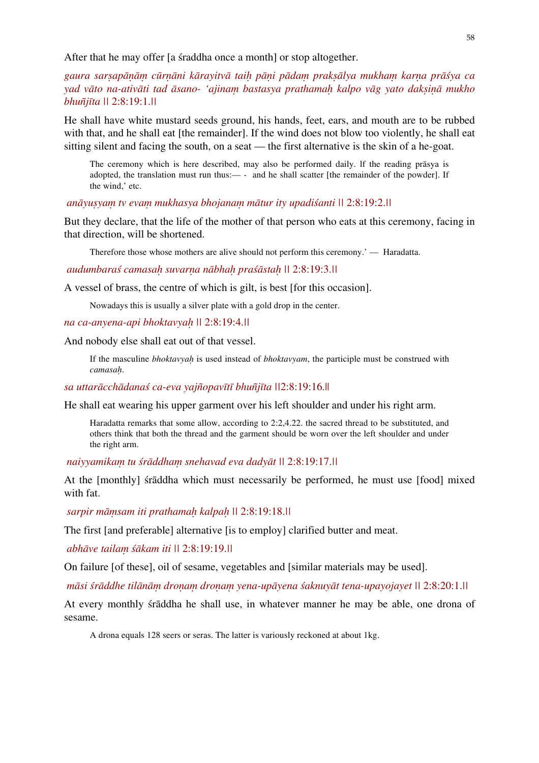After that he may offer [a straddha once a month] or stop altogether.

gaura sarsapānām cūrnāni kārayitvā taih pāni pādam praksālya mukham karna prāśya ca *yad vāto na-ativāti tad āsano- 'ajinaṃ bastasya prathamaḥ kalpo vāg yato dakṣiṇā mukho bhuñjīta ||* 2:8:19:1.*||* 

He shall have white mustard seeds ground, his hands, feet, ears, and mouth are to be rubbed with that, and he shall eat [the remainder]. If the wind does not blow too violently, he shall eat sitting silent and facing the south, on a seat — the first alternative is the skin of a he-goat.

The ceremony which is here described, may also be performed daily. lf the reading prāsya is adopted, the translation must run thus:— - and he shall scatter [the remainder of the powder]. If the wind,' etc.

## *anāyuṣyaṃ tv evaṃ mukhasya bhojanaṃ mātur ity upadiśanti ||* 2:8:19:2.*||*

But they declare, that the life of the mother of that person who eats at this ceremony, facing in that direction, will be shortened.

Therefore those whose mothers are alive should not perform this ceremony.' — Haradatta.

#### *audumbaraś camasaḥ suvarṇa nābhaḥ praśāstaḥ ||* 2:8:19:3.*||*

A vessel of brass, the centre of which is gilt, is best [for this occasion].

Nowadays this is usually a silver plate with a gold drop in the center.

#### *na ca-anyena-api bhoktavyaḥ ||* 2:8:19:4.*||*

And nobody else shall eat out of that vessel.

If the masculine *bhoktavyaḥ* is used instead of *bhoktavyam*, the participle must be construed with *camasaḥ*.

#### *sa uttarācchādanaś ca-eva yajñopavītī bhuñjīta ||*2:8:19:16.||

He shall eat wearing his upper garment over his left shoulder and under his right arm.

Haradatta remarks that some allow, according to 2:2,4.22. the sacred thread to be substituted, and others think that both the thread and the garment should be worn over the left shoulder and under the right arm.

 *naiyyamikaṃ tu śrāddhaṃ snehavad eva dadyāt ||* 2:8:19:17.*||* 

At the [monthly] śrāddha which must necessarily be performed, he must use [food] mixed with fat.

 *sarpir māṃsam iti prathamaḥ kalpaḥ ||* 2:8:19:18.*||* 

The first [and preferable] alternative [is to employ] clarified butter and meat.

 *abhāve tailaṃ śākam iti ||* 2:8:19:19.*||* 

On failure [of these], oil of sesame, vegetables and [similar materials may be used].

māsi śrāddhe tilānām dronam dronam yena-upāyena śaknuyāt tena-upayojayet || 2:8:20:1.||

At every monthly śrāddha he shall use, in whatever manner he may be able, one drona of sesame.

A drona equals 128 seers or seras. The latter is variously reckoned at about 1kg.